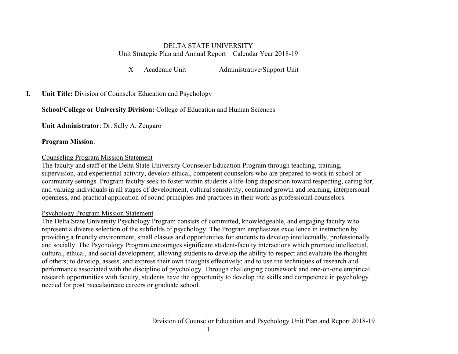#### DELTA STATE UNIVERSITY Unit Strategic Plan and Annual Report – Calendar Year 2018-19

X Academic Unit Administrative/Support Unit

## **I. Unit Title:** Division of Counselor Education and Psychology

## **School/College or University Division:** College of Education and Human Sciences

**Unit Administrator**: Dr. Sally A. Zengaro

#### **Program Mission**:

#### Counseling Program Mission Statement

The faculty and staff of the Delta State University Counselor Education Program through teaching, training, supervision, and experiential activity, develop ethical, competent counselors who are prepared to work in school or community settings. Program faculty seek to foster within students a life-long disposition toward respecting, caring for, and valuing individuals in all stages of development, cultural sensitivity, continued growth and learning, interpersonal openness, and practical application of sound principles and practices in their work as professional counselors.

## Psychology Program Mission Statement

The Delta State University Psychology Program consists of committed, knowledgeable, and engaging faculty who represent a diverse selection of the subfields of psychology. The Program emphasizes excellence in instruction by providing a friendly environment, small classes and opportunities for students to develop intellectually, professionally and socially. The Psychology Program encourages significant student-faculty interactions which promote intellectual, cultural, ethical, and social development, allowing students to develop the ability to respect and evaluate the thoughts of others; to develop, assess, and express their own thoughts effectively; and to use the techniques of research and performance associated with the discipline of psychology. Through challenging coursework and one-on-one empirical research opportunities with faculty, students have the opportunity to develop the skills and competence in psychology needed for post baccalaureate careers or graduate school.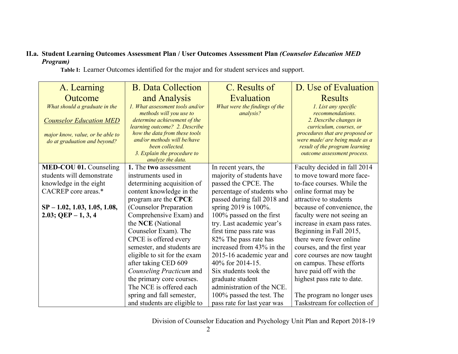# **II.a. Student Learning Outcomes Assessment Plan / User Outcomes Assessment Plan** *(Counselor Education MED Program)*

A. Learning **Outcome** *What should a graduate in the Counselor Education MED major know, value, or be able to do at graduation and beyond?* B. Data Collection and Analysis *1. What assessment tools and/or methods will you use to determine achievement of the learning outcome? 2. Describe how the data from these tools and/or methods will be/have been collected. 3. Explain the procedure to analyze the data.* C. Results of Evaluation *What were the findings of the analysis?* D. Use of Evaluation Results *1. List any specific recommendations. 2. Describe changes in curriculum, courses, or procedures that are proposed or were made/ are being made as a result of the program learning outcome assessment process.* **MED-COU 01.** Counseling students will demonstrate knowledge in the eight CACREP core areas.\* **SP – 1.02, 1.03, 1.05, 1.08, 2.03; QEP – 1, 3, 4 1.** The **two** assessment instruments used in determining acquisition of content knowledge in the program are the **CPCE** (Counselor Preparation Comprehensive Exam) and the **NCE** (National Counselor Exam). The CPCE is offered every semester, and students are eligible to sit for the exam after taking CED 609 *Counseling Practicum* and the primary core courses. The NCE is offered each spring and fall semester, and students are eligible to In recent years, the majority of students have passed the CPCE. The percentage of students who passed during fall 2018 and spring 2019 is 100%. 100% passed on the first try. Last academic year's first time pass rate was 82% The pass rate has increased from 43% in the 2015-16 academic year and 40% for 2014-15. Six students took the graduate student administration of the NCE. 100% passed the test. The pass rate for last year was Faculty decided in fall 2014 to move toward more faceto-face courses. While the online format may be attractive to students because of convenience, the faculty were not seeing an increase in exam pass rates. Beginning in Fall 2015, there were fewer online courses, and the first year core courses are now taught on campus. These efforts have paid off with the highest pass rate to date. The program no longer uses Taskstream for collection of

 **Table I:**Learner Outcomes identified for the major and for student services and support.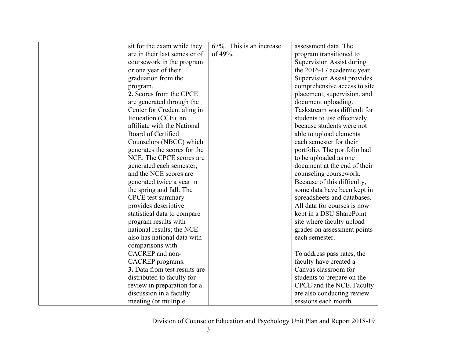| sit for the exam while they   | 67%. This is an increase | assessment data. The               |
|-------------------------------|--------------------------|------------------------------------|
| are in their last semester of | of 49%.                  | program transitioned to            |
| coursework in the program     |                          | Supervision Assist during          |
| or one year of their          |                          | the 2016-17 academic year.         |
| graduation from the           |                          | <b>Supervision Assist provides</b> |
| program.                      |                          | comprehensive access to site       |
| 2. Scores from the CPCE       |                          | placement, supervision, and        |
| are generated through the     |                          | document uploading.                |
| Center for Credentialing in   |                          | Taskstream was difficult for       |
| Education (CCE), an           |                          | students to use effectively        |
| affiliate with the National   |                          | because students were not          |
| Board of Certified            |                          | able to upload elements            |
| Counselors (NBCC) which       |                          | each semester for their            |
| generates the scores for the  |                          | portfolio. The portfolio had       |
| NCE. The CPCE scores are      |                          | to be uploaded as one              |
| generated each semester,      |                          | document at the end of their       |
| and the NCE scores are        |                          | counseling coursework.             |
| generated twice a year in     |                          | Because of this difficulty,        |
| the spring and fall. The      |                          | some data have been kept in        |
| <b>CPCE</b> test summary      |                          | spreadsheets and databases.        |
| provides descriptive          |                          | All data for courses is now        |
| statistical data to compare   |                          | kept in a DSU SharePoint           |
| program results with          |                          | site where faculty upload          |
| national results; the NCE     |                          | grades on assessment points        |
| also has national data with   |                          | each semester.                     |
| comparisons with              |                          |                                    |
| CACREP and non-               |                          | To address pass rates, the         |
| CACREP programs.              |                          | faculty have created a             |
| 3. Data from test results are |                          | Canvas classroom for               |
| distributed to faculty for    |                          | students to prepare on the         |
| review in preparation for a   |                          | CPCE and the NCE. Faculty          |
| discussion in a faculty       |                          | are also conducting review         |
| meeting (or multiple)         |                          | sessions each month.               |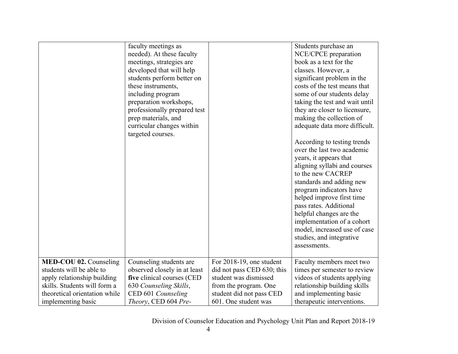|                               | faculty meetings as<br>needed). At these faculty<br>meetings, strategies are<br>developed that will help<br>students perform better on<br>these instruments,<br>including program<br>preparation workshops,<br>professionally prepared test<br>prep materials, and<br>curricular changes within<br>targeted courses. |                            | Students purchase an<br>NCE/CPCE preparation<br>book as a text for the<br>classes. However, a<br>significant problem in the<br>costs of the test means that<br>some of our students delay<br>taking the test and wait until<br>they are closer to licensure,<br>making the collection of<br>adequate data more difficult.<br>According to testing trends<br>over the last two academic<br>years, it appears that<br>aligning syllabi and courses<br>to the new CACREP<br>standards and adding new<br>program indicators have<br>helped improve first time<br>pass rates. Additional<br>helpful changes are the<br>implementation of a cohort<br>model, increased use of case<br>studies, and integrative<br>assessments. |
|-------------------------------|----------------------------------------------------------------------------------------------------------------------------------------------------------------------------------------------------------------------------------------------------------------------------------------------------------------------|----------------------------|--------------------------------------------------------------------------------------------------------------------------------------------------------------------------------------------------------------------------------------------------------------------------------------------------------------------------------------------------------------------------------------------------------------------------------------------------------------------------------------------------------------------------------------------------------------------------------------------------------------------------------------------------------------------------------------------------------------------------|
| <b>MED-COU 02.</b> Counseling | Counseling students are                                                                                                                                                                                                                                                                                              | For 2018-19, one student   | Faculty members meet two                                                                                                                                                                                                                                                                                                                                                                                                                                                                                                                                                                                                                                                                                                 |
| students will be able to      | observed closely in at least                                                                                                                                                                                                                                                                                         | did not pass CED 630; this | times per semester to review                                                                                                                                                                                                                                                                                                                                                                                                                                                                                                                                                                                                                                                                                             |
| apply relationship building   | five clinical courses (CED                                                                                                                                                                                                                                                                                           | student was dismissed      | videos of students applying                                                                                                                                                                                                                                                                                                                                                                                                                                                                                                                                                                                                                                                                                              |
| skills. Students will form a  | 630 Counseling Skills,                                                                                                                                                                                                                                                                                               | from the program. One      | relationship building skills                                                                                                                                                                                                                                                                                                                                                                                                                                                                                                                                                                                                                                                                                             |
| theoretical orientation while | CED 601 Counseling                                                                                                                                                                                                                                                                                                   | student did not pass CED   | and implementing basic                                                                                                                                                                                                                                                                                                                                                                                                                                                                                                                                                                                                                                                                                                   |
| implementing basic            | Theory, CED 604 Pre-                                                                                                                                                                                                                                                                                                 | 601. One student was       | therapeutic interventions.                                                                                                                                                                                                                                                                                                                                                                                                                                                                                                                                                                                                                                                                                               |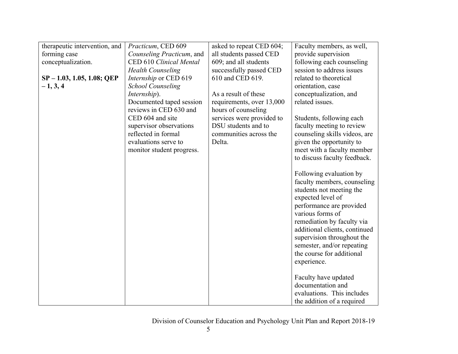| therapeutic intervention, and | Practicum, CED 609        | asked to repeat CED 604;  | Faculty members, as well,     |
|-------------------------------|---------------------------|---------------------------|-------------------------------|
| forming case                  | Counseling Practicum, and | all students passed CED   | provide supervision           |
| conceptualization.            | CED 610 Clinical Mental   | 609; and all students     | following each counseling     |
|                               | <b>Health Counseling</b>  | successfully passed CED   | session to address issues     |
| $SP - 1.03, 1.05, 1.08; QEP$  | Internship or CED 619     | 610 and CED 619.          | related to theoretical        |
| $-1, 3, 4$                    | <b>School Counseling</b>  |                           | orientation, case             |
|                               | Internship).              | As a result of these      | conceptualization, and        |
|                               | Documented taped session  | requirements, over 13,000 | related issues.               |
|                               | reviews in CED 630 and    | hours of counseling       |                               |
|                               | CED 604 and site          | services were provided to | Students, following each      |
|                               | supervisor observations   | DSU students and to       | faculty meeting to review     |
|                               | reflected in formal       | communities across the    | counseling skills videos, are |
|                               | evaluations serve to      | Delta.                    | given the opportunity to      |
|                               | monitor student progress. |                           | meet with a faculty member    |
|                               |                           |                           | to discuss faculty feedback.  |
|                               |                           |                           | Following evaluation by       |
|                               |                           |                           | faculty members, counseling   |
|                               |                           |                           | students not meeting the      |
|                               |                           |                           | expected level of             |
|                               |                           |                           | performance are provided      |
|                               |                           |                           | various forms of              |
|                               |                           |                           | remediation by faculty via    |
|                               |                           |                           | additional clients, continued |
|                               |                           |                           | supervision throughout the    |
|                               |                           |                           | semester, and/or repeating    |
|                               |                           |                           | the course for additional     |
|                               |                           |                           | experience.                   |
|                               |                           |                           |                               |
|                               |                           |                           | Faculty have updated          |
|                               |                           |                           | documentation and             |
|                               |                           |                           | evaluations. This includes    |
|                               |                           |                           | the addition of a required    |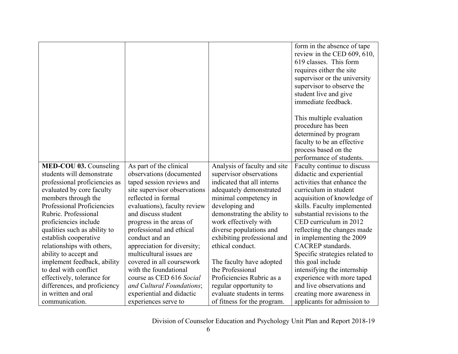|                               |                              |                              | form in the absence of tape                   |
|-------------------------------|------------------------------|------------------------------|-----------------------------------------------|
|                               |                              |                              | review in the CED 609, 610,                   |
|                               |                              |                              | 619 classes. This form                        |
|                               |                              |                              |                                               |
|                               |                              |                              | requires either the site                      |
|                               |                              |                              | supervisor or the university                  |
|                               |                              |                              | supervisor to observe the                     |
|                               |                              |                              | student live and give                         |
|                               |                              |                              | immediate feedback.                           |
|                               |                              |                              | This multiple evaluation                      |
|                               |                              |                              | procedure has been                            |
|                               |                              |                              | determined by program                         |
|                               |                              |                              | faculty to be an effective                    |
|                               |                              |                              | process based on the                          |
|                               |                              |                              | performance of students.                      |
| MED-COU 03. Counseling        | As part of the clinical      | Analysis of faculty and site | Faculty continue to discuss                   |
| students will demonstrate     | observations (documented     | supervisor observations      | didactic and experiential                     |
| professional proficiencies as | taped session reviews and    | indicated that all interns   | activities that enhance the                   |
| evaluated by core faculty     | site supervisor observations | adequately demonstrated      | curriculum in student                         |
| members through the           | reflected in formal          | minimal competency in        | acquisition of knowledge of                   |
| Professional Proficiencies    | evaluations), faculty review | developing and               | skills. Faculty implemented                   |
| Rubric. Professional          | and discuss student          | demonstrating the ability to | substantial revisions to the                  |
| proficiencies include         | progress in the areas of     | work effectively with        | CED curriculum in 2012                        |
| qualities such as ability to  | professional and ethical     | diverse populations and      | reflecting the changes made                   |
|                               | conduct and an               | exhibiting professional and  |                                               |
| establish cooperative         |                              |                              | in implementing the 2009<br>CACREP standards. |
| relationships with others,    | appreciation for diversity;  | ethical conduct.             |                                               |
| ability to accept and         | multicultural issues are     |                              | Specific strategies related to                |
| implement feedback, ability   | covered in all coursework    | The faculty have adopted     | this goal include                             |
| to deal with conflict         | with the foundational        | the Professional             | intensifying the internship                   |
| effectively, tolerance for    | course as CED 616 Social     | Proficiencies Rubric as a    | experience with more taped                    |
| differences, and proficiency  | and Cultural Foundations;    | regular opportunity to       | and live observations and                     |
| in written and oral           | experiential and didactic    | evaluate students in terms   | creating more awareness in                    |
| communication.                | experiences serve to         | of fitness for the program.  | applicants for admission to                   |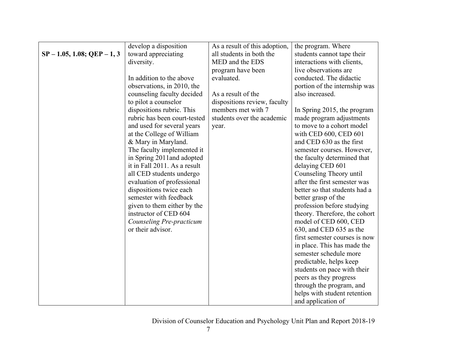|                                | develop a disposition        | As a result of this adoption, | the program. Where            |  |  |
|--------------------------------|------------------------------|-------------------------------|-------------------------------|--|--|
| $SP - 1.05$ , 1.08; QEP - 1, 3 | toward appreciating          | all students in both the      | students cannot tape their    |  |  |
|                                | diversity.                   | MED and the EDS               | interactions with clients,    |  |  |
|                                |                              | program have been             | live observations are         |  |  |
|                                | In addition to the above     | evaluated.                    | conducted. The didactic       |  |  |
|                                | observations, in 2010, the   |                               | portion of the internship was |  |  |
|                                | counseling faculty decided   | As a result of the            | also increased.               |  |  |
|                                | to pilot a counselor         | dispositions review, faculty  |                               |  |  |
|                                | dispositions rubric. This    | members met with 7            | In Spring 2015, the program   |  |  |
|                                | rubric has been court-tested | students over the academic    | made program adjustments      |  |  |
|                                | and used for several years   | year.                         | to move to a cohort model     |  |  |
|                                | at the College of William    |                               | with CED 600, CED 601         |  |  |
|                                | & Mary in Maryland.          |                               | and CED 630 as the first      |  |  |
|                                | The faculty implemented it   |                               | semester courses. However,    |  |  |
|                                | in Spring 2011 and adopted   |                               | the faculty determined that   |  |  |
|                                | it in Fall 2011. As a result |                               | delaying CED 601              |  |  |
|                                | all CED students undergo     |                               | Counseling Theory until       |  |  |
|                                | evaluation of professional   |                               | after the first semester was  |  |  |
|                                | dispositions twice each      |                               | better so that students had a |  |  |
|                                | semester with feedback       |                               | better grasp of the           |  |  |
|                                | given to them either by the  |                               | profession before studying    |  |  |
|                                | instructor of CED 604        |                               | theory. Therefore, the cohort |  |  |
|                                | Counseling Pre-practicum     |                               | model of CED 600, CED         |  |  |
|                                | or their advisor.            |                               | 630, and CED 635 as the       |  |  |
|                                |                              |                               | first semester courses is now |  |  |
|                                |                              |                               | in place. This has made the   |  |  |
|                                |                              |                               | semester schedule more        |  |  |
|                                |                              |                               | predictable, helps keep       |  |  |
|                                |                              |                               | students on pace with their   |  |  |
|                                |                              |                               | peers as they progress        |  |  |
|                                |                              |                               | through the program, and      |  |  |
|                                |                              |                               | helps with student retention  |  |  |
|                                |                              |                               | and application of            |  |  |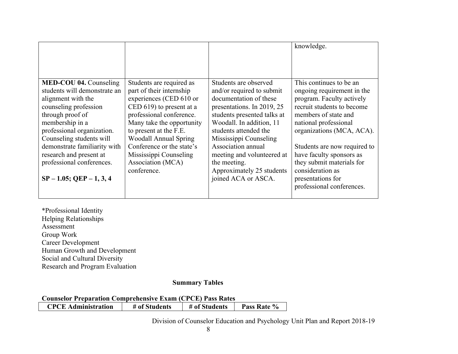|                                                                                                                                                                                                                                                                                                                                       |                                                                                                                                                                                                                                                                                                                              |                                                                                                                                                                                                                                                                                                                                                  | knowledge.                                                                                                                                                                                                                                                                                                                                                    |
|---------------------------------------------------------------------------------------------------------------------------------------------------------------------------------------------------------------------------------------------------------------------------------------------------------------------------------------|------------------------------------------------------------------------------------------------------------------------------------------------------------------------------------------------------------------------------------------------------------------------------------------------------------------------------|--------------------------------------------------------------------------------------------------------------------------------------------------------------------------------------------------------------------------------------------------------------------------------------------------------------------------------------------------|---------------------------------------------------------------------------------------------------------------------------------------------------------------------------------------------------------------------------------------------------------------------------------------------------------------------------------------------------------------|
| <b>MED-COU 04. Counseling</b><br>students will demonstrate an<br>alignment with the<br>counseling profession<br>through proof of<br>membership in a<br>professional organization.<br>Counseling students will<br>demonstrate familiarity with<br>research and present at<br>professional conferences.<br>$SP - 1.05$ ; QEP $-1, 3, 4$ | Students are required as<br>part of their internship<br>experiences (CED 610 or<br>CED $619$ ) to present at a<br>professional conference.<br>Many take the opportunity<br>to present at the F.E.<br><b>Woodall Annual Spring</b><br>Conference or the state's<br>Mississippi Counseling<br>Association (MCA)<br>conference. | Students are observed<br>and/or required to submit<br>documentation of these<br>presentations. In 2019, 25<br>students presented talks at<br>Woodall. In addition, 11<br>students attended the<br>Mississippi Counseling<br>Association annual<br>meeting and volunteered at<br>the meeting.<br>Approximately 25 students<br>joined ACA or ASCA. | This continues to be an<br>ongoing requirement in the<br>program. Faculty actively<br>recruit students to become<br>members of state and<br>national professional<br>organizations (MCA, ACA).<br>Students are now required to<br>have faculty sponsors as<br>they submit materials for<br>consideration as<br>presentations for<br>professional conferences. |

\*Professional Identity Helping Relationships Assessment Group Work Career Development Human Growth and Development Social and Cultural Diversity Research and Program Evaluation

#### **Summary Tables**

**Counselor Preparation Comprehensive Exam (CPCE) Pass Rates**

| <b>CPCE Administration</b> | # of Students | # of Students | Pass Rate % |
|----------------------------|---------------|---------------|-------------|
|                            |               |               |             |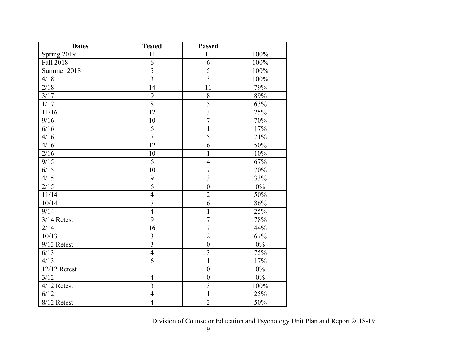| <b>Dates</b>  | <b>Tested</b>  | <b>Passed</b>           |        |
|---------------|----------------|-------------------------|--------|
| Spring $2019$ | 11             | 11                      | 100%   |
| Fall 2018     | 6              | 6                       | 100%   |
| Summer 2018   | $\overline{5}$ | $\overline{5}$          | 100%   |
| 4/18          | $\overline{3}$ | $\overline{3}$          | 100%   |
| 2/18          | 14             | 11                      | 79%    |
| 3/17          | 9              | $\, 8$                  | 89%    |
| $1/17$        | $\overline{8}$ | $\overline{5}$          | 63%    |
| 11/16         | 12             | $\overline{\mathbf{3}}$ | 25%    |
| 9/16          | 10             | $\overline{7}$          | 70%    |
| 6/16          | 6              | $\mathbf{1}$            | 17%    |
| 4/16          | $\overline{7}$ | $\overline{5}$          | 71%    |
| 4/16          | 12             | $\overline{6}$          | 50%    |
| 2/16          | 10             | $\mathbf{1}$            | $10\%$ |
| 9/15          | 6              | $\overline{4}$          | 67%    |
| 6/15          | 10             | $\overline{7}$          | 70%    |
| 4/15          | 9              | $\overline{3}$          | 33%    |
| 2/15          | 6              | $\boldsymbol{0}$        | $0\%$  |
| 11/14         | $\overline{4}$ | $\overline{2}$          | 50%    |
| 10/14         | $\overline{7}$ | 6                       | 86%    |
| 9/14          | $\overline{4}$ | $\mathbf 1$             | 25%    |
| 3/14 Retest   | $\overline{9}$ | $\overline{7}$          | 78%    |
| 2/14          | 16             | $\overline{7}$          | 44%    |
| 10/13         | $\overline{3}$ | $\overline{2}$          | 67%    |
| 9/13 Retest   | $\overline{3}$ | $\boldsymbol{0}$        | $0\%$  |
| 6/13          | $\overline{4}$ | $\overline{3}$          | 75%    |
| 4/13          | 6              | $\mathbf{1}$            | 17%    |
| 12/12 Retest  | $\mathbf{1}$   | $\boldsymbol{0}$        | $0\%$  |
| 3/12          | $\overline{4}$ | $\overline{0}$          | $0\%$  |
| 4/12 Retest   | $\overline{3}$ | $\overline{\mathbf{3}}$ | 100%   |
| 6/12          | $\overline{4}$ | $\mathbf{1}$            | 25%    |
| 8/12 Retest   | $\overline{4}$ | $\overline{2}$          | 50%    |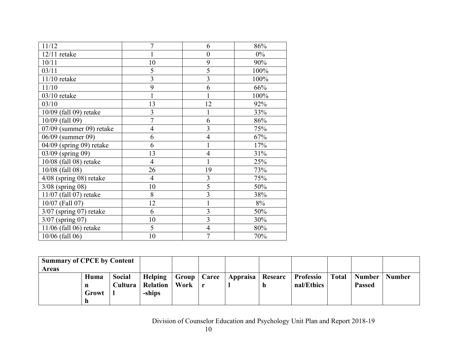| 11/12                     | $\overline{7}$ | 6              | 86%   |
|---------------------------|----------------|----------------|-------|
| $12/11$ retake            | 1              | $\overline{0}$ | $0\%$ |
| 10/11                     | 10             | 9              | 90%   |
| 03/11                     | 5              | 5              | 100%  |
| 11/10 retake              | 3              | $\overline{3}$ | 100%  |
| 11/10                     | 9              | 6              | 66%   |
| $03/10$ retake            | $\mathbf{1}$   |                | 100%  |
| 03/10                     | 13             | 12             | 92%   |
| 10/09 (fall 09) retake    | 3              |                | 33%   |
| 10/09 (fall 09)           | $\overline{7}$ | 6              | 86%   |
| 07/09 (summer 09) retake  | $\overline{4}$ | 3              | 75%   |
| 06/09 (summer 09)         | 6              | $\overline{4}$ | 67%   |
| 04/09 (spring 09) retake  | 6              |                | 17%   |
| 03/09 (spring 09)         | 13             | 4              | 31%   |
| 10/08 (fall 08) retake    | $\overline{4}$ |                | 25%   |
| 10/08 (fall 08)           | 26             | 19             | 73%   |
| $4/08$ (spring 08) retake | $\overline{4}$ | $\overline{3}$ | 75%   |
| $3/08$ (spring 08)        | 10             | 5              | 50%   |
| 11/07 (fall 07) retake    | 8              | $\overline{3}$ | 38%   |
| 10/07 (Fall 07)           | 12             |                | 8%    |
| $3/07$ (spring 07) retake | 6              | $\overline{3}$ | 50%   |
| $3/07$ (spring 07)        | 10             | $\overline{3}$ | 30%   |
| 11/06 (fall 06) retake    | 5              | 4              | 80%   |
| 10/06 (fall 06)           | 10             | $\overline{7}$ | 70%   |

| <b>Summary of CPCE by Content</b> |       |               |                         |                      |                    |   |            |              |               |               |
|-----------------------------------|-------|---------------|-------------------------|----------------------|--------------------|---|------------|--------------|---------------|---------------|
| Areas                             |       |               |                         |                      |                    |   |            |              |               |               |
|                                   | Huma  | <b>Social</b> | Helping                 | <b>Group</b>   Caree | Appraisa   Researc |   | Professio  | <b>Total</b> | <b>Number</b> | <b>Number</b> |
|                                   | n     |               | <b>Cultura</b> Relation | Work   r             |                    | n | nal/Ethics |              | <b>Passed</b> |               |
|                                   | Growt |               | -ships                  |                      |                    |   |            |              |               |               |
|                                   |       |               |                         |                      |                    |   |            |              |               |               |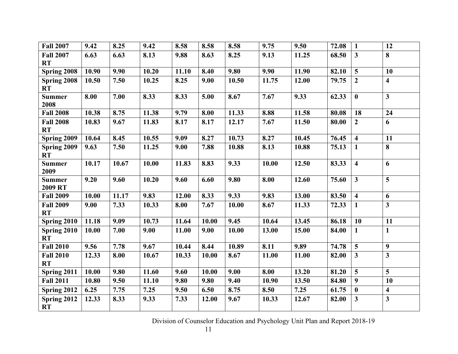| <b>Fall 2007</b>              | 9.42  | 8.25  | 9.42  | 8.58  | 8.58  | 8.58  | 9.75  | 9.50  | 72.08 | $\mathbf{1}$            | 12                      |
|-------------------------------|-------|-------|-------|-------|-------|-------|-------|-------|-------|-------------------------|-------------------------|
| <b>Fall 2007</b><br><b>RT</b> | 6.63  | 6.63  | 8.13  | 9.88  | 8.63  | 8.25  | 9.13  | 11.25 | 68.50 | $\overline{\mathbf{3}}$ | 8                       |
| Spring 2008                   | 10.90 | 9.90  | 10.20 | 11.10 | 8.40  | 9.80  | 9.90  | 11.90 | 82.10 | $\overline{5}$          | 10                      |
| Spring 2008<br><b>RT</b>      | 10.50 | 7.50  | 10.25 | 8.25  | 9.00  | 10.50 | 11.75 | 12.00 | 79.75 | $\overline{2}$          | $\overline{\mathbf{4}}$ |
| <b>Summer</b><br>2008         | 8.00  | 7.00  | 8.33  | 8.33  | 5.00  | 8.67  | 7.67  | 9.33  | 62.33 | $\bf{0}$                | $\overline{\mathbf{3}}$ |
| <b>Fall 2008</b>              | 10.38 | 8.75  | 11.38 | 9.79  | 8.00  | 11.33 | 8.88  | 11.58 | 80.08 | 18                      | 24                      |
| <b>Fall 2008</b><br><b>RT</b> | 10.83 | 9.67  | 11.83 | 8.17  | 8.17  | 12.17 | 7.67  | 11.50 | 80.00 | $\overline{2}$          | 6                       |
| Spring 2009                   | 10.64 | 8.45  | 10.55 | 9.09  | 8.27  | 10.73 | 8.27  | 10.45 | 76.45 | $\overline{\mathbf{4}}$ | 11                      |
| Spring 2009<br>RT             | 9.63  | 7.50  | 11.25 | 9.00  | 7.88  | 10.88 | 8.13  | 10.88 | 75.13 | $\mathbf{1}$            | 8                       |
| <b>Summer</b><br>2009         | 10.17 | 10.67 | 10.00 | 11.83 | 8.83  | 9.33  | 10.00 | 12.50 | 83.33 | $\overline{\mathbf{4}}$ | 6                       |
| <b>Summer</b><br>2009 RT      | 9.20  | 9.60  | 10.20 | 9.60  | 6.60  | 9.80  | 8.00  | 12.60 | 75.60 | $\mathbf{3}$            | 5                       |
| <b>Fall 2009</b>              | 10.00 | 11.17 | 9.83  | 12.00 | 8.33  | 9.33  | 9.83  | 13.00 | 83.50 | $\overline{\mathbf{4}}$ | 6                       |
| <b>Fall 2009</b><br><b>RT</b> | 9.00  | 7.33  | 10.33 | 8.00  | 7.67  | 10.00 | 8.67  | 11.33 | 72.33 | $\mathbf{1}$            | $\overline{\mathbf{3}}$ |
| Spring 2010                   | 11.18 | 9.09  | 10.73 | 11.64 | 10.00 | 9.45  | 10.64 | 13.45 | 86.18 | 10                      | 11                      |
| Spring 2010<br><b>RT</b>      | 10.00 | 7.00  | 9.00  | 11.00 | 9.00  | 10.00 | 13.00 | 15.00 | 84.00 | $\mathbf{1}$            | $\mathbf{1}$            |
| <b>Fall 2010</b>              | 9.56  | 7.78  | 9.67  | 10.44 | 8.44  | 10.89 | 8.11  | 9.89  | 74.78 | $\overline{\mathbf{5}}$ | $\boldsymbol{9}$        |
| <b>Fall 2010</b><br><b>RT</b> | 12.33 | 8.00  | 10.67 | 10.33 | 10.00 | 8.67  | 11.00 | 11.00 | 82.00 | $\mathbf{3}$            | $\overline{\mathbf{3}}$ |
| Spring 2011                   | 10.00 | 9.80  | 11.60 | 9.60  | 10.00 | 9.00  | 8.00  | 13.20 | 81.20 | $\overline{\mathbf{5}}$ | 5                       |
| <b>Fall 2011</b>              | 10.80 | 9.50  | 11.10 | 9.80  | 9.80  | 9.40  | 10.90 | 13.50 | 84.80 | 9                       | 10                      |
| Spring 2012                   | 6.25  | 7.75  | 7.25  | 9.50  | 6.50  | 8.75  | 8.50  | 7.25  | 61.75 | $\bf{0}$                | $\overline{\mathbf{4}}$ |
| Spring 2012<br><b>RT</b>      | 12.33 | 8.33  | 9.33  | 7.33  | 12.00 | 9.67  | 10.33 | 12.67 | 82.00 | $\mathbf{3}$            | $\mathbf{3}$            |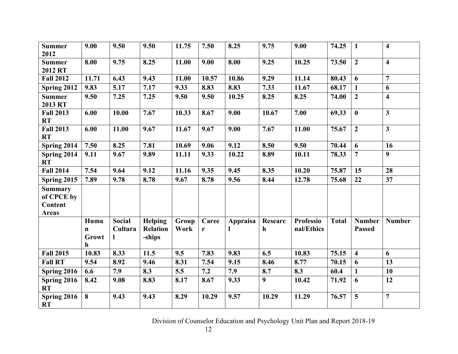| <b>Summer</b><br>2012                                          | 9.00                      | 9.50          | 9.50                      | 11.75 | 7.50  | 8.25     | 9.75    | 9.00             | 74.25        | $\mathbf{1}$            | $\overline{\mathbf{4}}$ |
|----------------------------------------------------------------|---------------------------|---------------|---------------------------|-------|-------|----------|---------|------------------|--------------|-------------------------|-------------------------|
| <b>Summer</b><br>2012 RT                                       | 8.00                      | 9.75          | 8.25                      | 11.00 | 9.00  | 8.00     | 9.25    | 10.25            | 73.50        | $\overline{2}$          | $\overline{\mathbf{4}}$ |
| <b>Fall 2012</b>                                               | 11.71                     | 6.43          | 9.43                      | 11.00 | 10.57 | 10.86    | 9.29    | 11.14            | 80.43        | 6                       | $\overline{7}$          |
| Spring 2012                                                    | 9.83                      | 5.17          | 7.17                      | 9.33  | 8.83  | 8.83     | 7.33    | 11.67            | 68.17        | $\mathbf{1}$            | 6                       |
| <b>Summer</b><br>2013 RT                                       | 9.50                      | 7.25          | 7.25                      | 9.50  | 9.50  | 10.25    | 8.25    | 8.25             | 74.00        | $\boldsymbol{2}$        | $\overline{\mathbf{4}}$ |
| <b>Fall 2013</b><br><b>RT</b>                                  | 6.00                      | 10.00         | 7.67                      | 10.33 | 8.67  | 9.00     | 10.67   | 7.00             | 69.33        | $\bf{0}$                | $\overline{\mathbf{3}}$ |
| <b>Fall 2013</b><br><b>RT</b>                                  | 6.00                      | 11.00         | 9.67                      | 11.67 | 9.67  | 9.00     | 7.67    | 11.00            | 75.67        | $\overline{2}$          | $\overline{\mathbf{3}}$ |
| Spring 2014                                                    | 7.50                      | 8.25          | 7.81                      | 10.69 | 9.06  | 9.12     | 8.50    | 9.50             | 70.44        | 6                       | 16                      |
| Spring 2014<br><b>RT</b>                                       | 9.11                      | 9.67          | 9.89                      | 11.11 | 9.33  | 10.22    | 8.89    | 10.11            | 78.33        | $\overline{7}$          | 9                       |
| <b>Fall 2014</b>                                               | 7.54                      | 9.64          | 9.12                      | 11.16 | 9.35  | 9.45     | 8.35    | 10.20            | 75.87        | 15                      | 28                      |
| Spring 2015                                                    | 7.89                      | 9.78          | 8.78                      | 9.67  | 8.78  | 9.56     | 8.44    | 12.78            | 75.68        | 22                      | 37                      |
| <b>Summary</b><br>of CPCE by<br><b>Content</b><br><b>Areas</b> |                           |               |                           |       |       |          |         |                  |              |                         |                         |
|                                                                | Huma                      | <b>Social</b> | <b>Helping</b>            | Group | Caree | Appraisa | Researc | <b>Professio</b> | <b>Total</b> | <b>Number</b>           | <b>Number</b>           |
|                                                                | $\mathbf n$<br>Growt<br>h | Cultura       | <b>Relation</b><br>-ships | Work  | r     |          | h       | nal/Ethics       |              | <b>Passed</b>           |                         |
| <b>Fall 2015</b>                                               | 10.83                     | 8.33          | 11.5                      | 9.5   | 7.83  | 9.83     | 6.5     | 10.83            | 75.15        | $\overline{\mathbf{4}}$ | 6                       |
| <b>Fall RT</b>                                                 | 9.54                      | 8.92          | 9.46                      | 8.31  | 7.54  | 9.15     | 8.46    | 8.77             | 70.15        | 6                       | 13                      |
| Spring 2016                                                    | 6.6                       | 7.9           | 8.3                       | 5.5   | 7.2   | 7.9      | 8.7     | 8.3              | 60.4         | $\mathbf{1}$            | 10                      |
| Spring 2016<br>RT                                              | 8.42                      | 9.08          | 8.83                      | 8.17  | 8.67  | 9.33     | 9       | 10.42            | 71.92        | 6                       | 12                      |
| Spring 2016<br><b>RT</b>                                       | 8                         | 9.43          | 9.43                      | 8.29  | 10.29 | 9.57     | 10.29   | 11.29            | 76.57        | 5                       | $\overline{7}$          |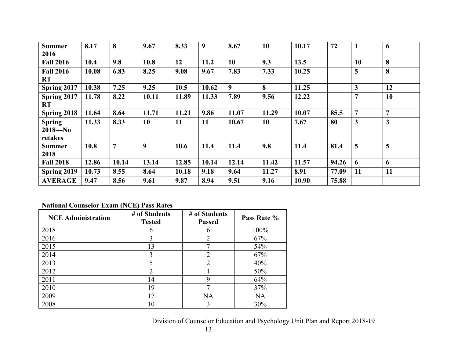| <b>Summer</b><br>2016                   | 8.17  | 8              | 9.67  | 8.33  | 9     | 8.67  | 10        | 10.17 | 72    | $\mathbf{1}$            | 6         |
|-----------------------------------------|-------|----------------|-------|-------|-------|-------|-----------|-------|-------|-------------------------|-----------|
| <b>Fall 2016</b>                        | 10.4  | 9.8            | 10.8  | 12    | 11.2  | 10    | 9.3       | 13.5  |       | 10                      | 8         |
| <b>Fall 2016</b><br>RT                  | 10.08 | 6.83           | 8.25  | 9.08  | 9.67  | 7.83  | 7.33      | 10.25 |       | 5                       | 8         |
| Spring 2017                             | 10.38 | 7.25           | 9.25  | 10.5  | 10.62 | 9     | 8         | 11.25 |       | $\overline{\mathbf{3}}$ | 12        |
| Spring 2017<br>RT                       | 11.78 | 8.22           | 10.11 | 11.89 | 11.33 | 7.89  | 9.56      | 12.22 |       | $\overline{7}$          | <b>10</b> |
| Spring 2018                             | 11.64 | 8.64           | 11.71 | 11.21 | 9.86  | 11.07 | 11.29     | 10.07 | 85.5  | $\overline{7}$          | 7         |
| <b>Spring</b><br>$2018 - No$<br>retakes | 11.33 | 8.33           | 10    | 11    | 11    | 10.67 | <b>10</b> | 7.67  | 80    | 3                       | 3         |
| <b>Summer</b><br>2018                   | 10.8  | $\overline{7}$ | 9     | 10.6  | 11.4  | 11.4  | 9.8       | 11.4  | 81.4  | 5                       | 5         |
| <b>Fall 2018</b>                        | 12.86 | 10.14          | 13.14 | 12.85 | 10.14 | 12.14 | 11.42     | 11.57 | 94.26 | 6                       | 6         |
| Spring 2019                             | 10.73 | 8.55           | 8.64  | 10.18 | 9.18  | 9.64  | 11.27     | 8.91  | 77.09 | 11                      | 11        |
| <b>AVERAGE</b>                          | 9.47  | 8.56           | 9.61  | 9.87  | 8.94  | 9.51  | 9.16      | 10.90 | 75.88 |                         |           |

# **National Counselor Exam (NCE) Pass Rates**

| <b>NCE</b> Administration | # of Students<br><b>Tested</b> | # of Students<br><b>Passed</b> | Pass Rate % |
|---------------------------|--------------------------------|--------------------------------|-------------|
| 2018                      | h                              |                                | 100%        |
| 2016                      | 3                              | 2                              | 67%         |
| 2015                      | 13                             |                                | 54%         |
| 2014                      | 3                              | $\mathcal{D}$                  | 67%         |
| 2013                      |                                | $\mathfrak{D}_{\mathfrak{p}}$  | 40%         |
| 2012                      | 2                              |                                | 50%         |
| 2011                      | 14                             |                                | 64%         |
| 2010                      | 19                             |                                | 37%         |
| 2009                      | 17                             | <b>NA</b>                      | <b>NA</b>   |
| 2008                      | 10                             |                                | 30%         |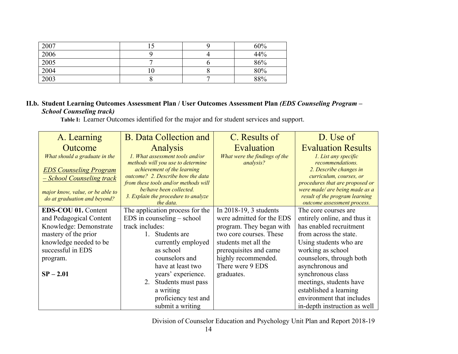| 2007 |     | 60% |
|------|-----|-----|
| 2006 |     | 44% |
| 2005 |     | 86% |
| 2004 | 1 V | 80% |
| 2003 |     | 88% |

## **II.b. Student Learning Outcomes Assessment Plan / User Outcomes Assessment Plan** *(EDS Counseling Program – School Counseling track)*

 **Table I:**Learner Outcomes identified for the major and for student services and support.

| A. Learning                      | <b>B.</b> Data Collection and                                    | C. Results of                 | D. Use of                                                  |  |  |
|----------------------------------|------------------------------------------------------------------|-------------------------------|------------------------------------------------------------|--|--|
| Outcome                          | Analysis                                                         | Evaluation                    | <b>Evaluation Results</b>                                  |  |  |
| What should a graduate in the    | 1. What assessment tools and/or                                  | What were the findings of the | 1. List any specific                                       |  |  |
|                                  | methods will you use to determine                                | analysis?                     | recommendations.                                           |  |  |
| <b>EDS Counseling Program</b>    | achievement of the learning<br>outcome? 2. Describe how the data |                               | 2. Describe changes in                                     |  |  |
| <u>– School Counseling track</u> | from these tools and/or methods will                             |                               | curriculum, courses, or<br>procedures that are proposed or |  |  |
| major know, value, or be able to | be/have been collected.                                          |                               | were made/ are being made as a                             |  |  |
| do at graduation and beyond?     | 3. Explain the procedure to analyze                              |                               | result of the program learning                             |  |  |
|                                  | the data.                                                        |                               | outcome assessment process.                                |  |  |
| <b>EDS-COU 01. Content</b>       | The application process for the                                  | In 2018-19, 3 students        | The core courses are                                       |  |  |
| and Pedagogical Content          | $EDS$ in counseling $-$ school                                   | were admitted for the EDS     | entirely online, and thus it                               |  |  |
| Knowledge: Demonstrate           | track includes:                                                  | program. They began with      | has enabled recruitment                                    |  |  |
| mastery of the prior             | Students are                                                     | two core courses. These       | from across the state.                                     |  |  |
| knowledge needed to be           | currently employed                                               | students met all the          | Using students who are                                     |  |  |
| successful in EDS                | as school                                                        | prerequisites and came        | working as school                                          |  |  |
| program.                         | counselors and                                                   | highly recommended.           | counselors, through both                                   |  |  |
|                                  | have at least two                                                | There were 9 EDS              | asynchronous and                                           |  |  |
| $SP - 2.01$                      | years' experience.                                               | graduates.                    | synchronous class                                          |  |  |
|                                  | Students must pass<br>2.                                         |                               | meetings, students have                                    |  |  |
|                                  | a writing                                                        |                               | established a learning                                     |  |  |
|                                  | proficiency test and                                             |                               | environment that includes                                  |  |  |
|                                  | submit a writing                                                 |                               | in-depth instruction as well                               |  |  |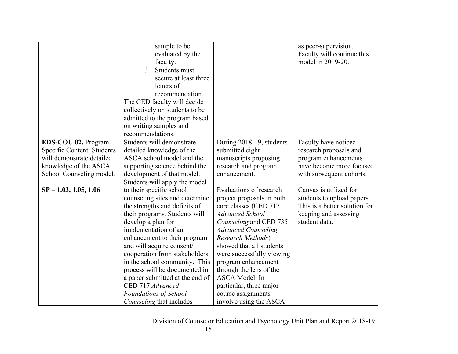|                            | sample to be                    |                            | as peer-supervision.          |
|----------------------------|---------------------------------|----------------------------|-------------------------------|
|                            | evaluated by the                |                            | Faculty will continue this    |
|                            | faculty.                        |                            | model in 2019-20.             |
|                            | Students must<br>3.             |                            |                               |
|                            | secure at least three           |                            |                               |
|                            |                                 |                            |                               |
|                            | letters of                      |                            |                               |
|                            | recommendation.                 |                            |                               |
|                            | The CED faculty will decide     |                            |                               |
|                            | collectively on students to be  |                            |                               |
|                            | admitted to the program based   |                            |                               |
|                            | on writing samples and          |                            |                               |
|                            | recommendations.                |                            |                               |
| EDS-COU 02. Program        | Students will demonstrate       | During 2018-19, students   | Faculty have noticed          |
| Specific Content: Students | detailed knowledge of the       | submitted eight            | research proposals and        |
| will demonstrate detailed  | ASCA school model and the       | manuscripts proposing      | program enhancements          |
| knowledge of the ASCA      | supporting science behind the   | research and program       | have become more focused      |
| School Counseling model.   | development of that model.      | enhancement.               | with subsequent cohorts.      |
|                            | Students will apply the model   |                            |                               |
| $SP - 1.03, 1.05, 1.06$    | to their specific school        | Evaluations of research    | Canvas is utilized for        |
|                            | counseling sites and determine  | project proposals in both  | students to upload papers.    |
|                            | the strengths and deficits of   | core classes (CED 717      | This is a better solution for |
|                            | their programs. Students will   | <b>Advanced School</b>     | keeping and assessing         |
|                            | develop a plan for              | Counseling and CED 735     | student data.                 |
|                            | implementation of an            | <b>Advanced Counseling</b> |                               |
|                            | enhancement to their program    | Research Methods)          |                               |
|                            | and will acquire consent/       | showed that all students   |                               |
|                            | cooperation from stakeholders   | were successfully viewing  |                               |
|                            | in the school community. This   | program enhancement        |                               |
|                            | process will be documented in   | through the lens of the    |                               |
|                            | a paper submitted at the end of | ASCA Model. In             |                               |
|                            | CED 717 Advanced                | particular, three major    |                               |
|                            | Foundations of School           | course assignments         |                               |
|                            | Counseling that includes        | involve using the ASCA     |                               |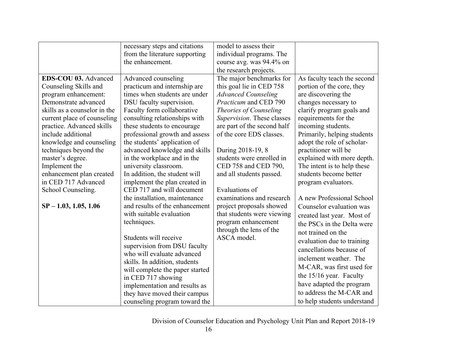|                              | necessary steps and citations   | model to assess their       |                             |
|------------------------------|---------------------------------|-----------------------------|-----------------------------|
|                              | from the literature supporting  | individual programs. The    |                             |
|                              | the enhancement.                | course avg. was 94.4% on    |                             |
|                              |                                 |                             |                             |
|                              |                                 | the research projects.      |                             |
| EDS-COU 03. Advanced         | Advanced counseling             | The major benchmarks for    | As faculty teach the second |
| Counseling Skills and        | practicum and internship are    | this goal lie in CED 758    | portion of the core, they   |
| program enhancement:         | times when students are under   | <b>Advanced Counseling</b>  | are discovering the         |
| Demonstrate advanced         | DSU faculty supervision.        | Practicum and CED 790       | changes necessary to        |
| skills as a counselor in the | Faculty form collaborative      | Theories of Counseling      | clarify program goals and   |
| current place of counseling  | consulting relationships with   | Supervision. These classes  | requirements for the        |
| practice. Advanced skills    | these students to encourage     | are part of the second half | incoming students.          |
| include additional           | professional growth and assess  | of the core EDS classes.    | Primarily, helping students |
| knowledge and counseling     | the students' application of    |                             | adopt the role of scholar-  |
| techniques beyond the        | advanced knowledge and skills   | During 2018-19, 8           | practitioner will be        |
| master's degree.             | in the workplace and in the     | students were enrolled in   | explained with more depth.  |
| Implement the                | university classroom.           | CED 758 and CED 790,        | The intent is to help these |
| enhancement plan created     | In addition, the student will   | and all students passed.    | students become better      |
| in CED 717 Advanced          | implement the plan created in   |                             | program evaluators.         |
| School Counseling.           | CED 717 and will document       | Evaluations of              |                             |
|                              | the installation, maintenance   | examinations and research   | A new Professional School   |
| $SP - 1.03, 1.05, 1.06$      | and results of the enhancement  | project proposals showed    | Counselor evaluation was    |
|                              | with suitable evaluation        | that students were viewing  | created last year. Most of  |
|                              | techniques.                     | program enhancement         | the PSCs in the Delta were  |
|                              |                                 | through the lens of the     | not trained on the          |
|                              | Students will receive           | ASCA model.                 |                             |
|                              | supervision from DSU faculty    |                             | evaluation due to training  |
|                              | who will evaluate advanced      |                             | cancellations because of    |
|                              | skills. In addition, students   |                             | inclement weather. The      |
|                              | will complete the paper started |                             | M-CAR, was first used for   |
|                              | in CED 717 showing              |                             | the 15/16 year. Faculty     |
|                              | implementation and results as   |                             | have adapted the program    |
|                              | they have moved their campus    |                             | to address the M-CAR and    |
|                              | counseling program toward the   |                             | to help students understand |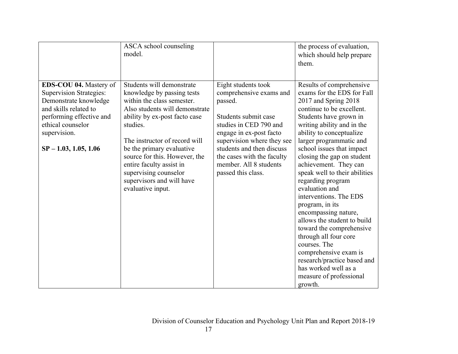|                                                                                                                                                                                                               | ASCA school counseling<br>model.                                                                                                                                                                                                                                                                                                                                           |                                                                                                                                                                                                                                                                                 | the process of evaluation,<br>which should help prepare<br>them.                                                                                                                                                                                                                                                                                                                                                                                                                                                                                                                                                                                                                      |
|---------------------------------------------------------------------------------------------------------------------------------------------------------------------------------------------------------------|----------------------------------------------------------------------------------------------------------------------------------------------------------------------------------------------------------------------------------------------------------------------------------------------------------------------------------------------------------------------------|---------------------------------------------------------------------------------------------------------------------------------------------------------------------------------------------------------------------------------------------------------------------------------|---------------------------------------------------------------------------------------------------------------------------------------------------------------------------------------------------------------------------------------------------------------------------------------------------------------------------------------------------------------------------------------------------------------------------------------------------------------------------------------------------------------------------------------------------------------------------------------------------------------------------------------------------------------------------------------|
| <b>EDS-COU 04.</b> Mastery of<br><b>Supervision Strategies:</b><br>Demonstrate knowledge<br>and skills related to<br>performing effective and<br>ethical counselor<br>supervision.<br>$SP - 1.03, 1.05, 1.06$ | Students will demonstrate<br>knowledge by passing tests<br>within the class semester.<br>Also students will demonstrate<br>ability by ex-post facto case<br>studies.<br>The instructor of record will<br>be the primary evaluative<br>source for this. However, the<br>entire faculty assist in<br>supervising counselor<br>supervisors and will have<br>evaluative input. | Eight students took<br>comprehensive exams and<br>passed.<br>Students submit case<br>studies in CED 790 and<br>engage in ex-post facto<br>supervision where they see<br>students and then discuss<br>the cases with the faculty<br>member. All 8 students<br>passed this class. | Results of comprehensive<br>exams for the EDS for Fall<br>2017 and Spring 2018<br>continue to be excellent.<br>Students have grown in<br>writing ability and in the<br>ability to conceptualize<br>larger programmatic and<br>school issues that impact<br>closing the gap on student<br>achievement. They can<br>speak well to their abilities<br>regarding program<br>evaluation and<br>interventions. The EDS<br>program, in its<br>encompassing nature,<br>allows the student to build<br>toward the comprehensive<br>through all four core<br>courses. The<br>comprehensive exam is<br>research/practice based and<br>has worked well as a<br>measure of professional<br>growth. |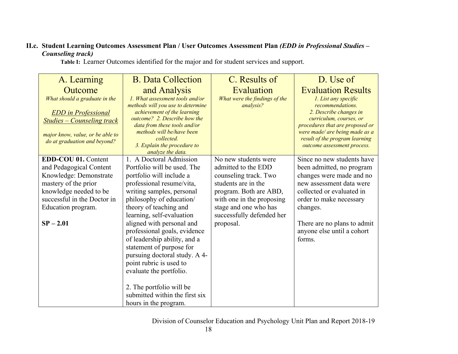## **II.c. Student Learning Outcomes Assessment Plan / User Outcomes Assessment Plan** *(EDD in Professional Studies – Counseling track)*

A. Learning **Outcome** *What should a graduate in the EDD in Professional Studies – Counseling track major know, value, or be able to do at graduation and beyond?* B. Data Collection and Analysis *1. What assessment tools and/or methods will you use to determine achievement of the learning outcome? 2. Describe how the data from these tools and/or methods will be/have been collected. 3. Explain the procedure to analyze the data.* C. Results of Evaluation *What were the findings of the analysis?* D. Use of Evaluation Results *1. List any specific recommendations. 2. Describe changes in curriculum, courses, or procedures that are proposed or were made/ are being made as a result of the program learning outcome assessment process.* **EDD-COU 01.** Content and Pedagogical Content Knowledge: Demonstrate mastery of the prior knowledge needed to be successful in the Doctor in Education program. **SP – 2.01** 1. A Doctoral Admission Portfolio will be used. The portfolio will include a professional resume/vita, writing samples, personal philosophy of education/ theory of teaching and learning, self-evaluation aligned with personal and professional goals, evidence of leadership ability, and a statement of purpose for pursuing doctoral study. A 4 point rubric is used to evaluate the portfolio. 2. The portfolio will be submitted within the first six hours in the program. No new students were admitted to the EDD counseling track. Two students are in the program. Both are ABD, with one in the proposing stage and one who has successfully defended her proposal. Since no new students have been admitted, no program changes were made and no new assessment data were collected or evaluated in order to make necessary changes. There are no plans to admit anyone else until a cohort forms.

 **Table I:**Learner Outcomes identified for the major and for student services and support.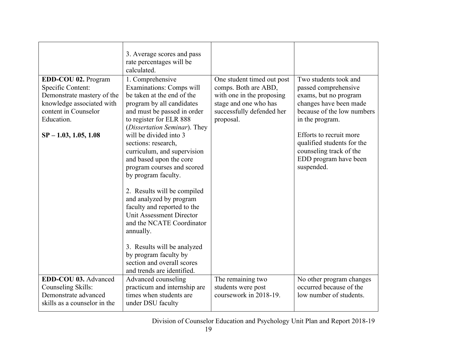|                                                                                                                                                                      | 3. Average scores and pass<br>rate percentages will be<br>calculated.                                                                                                                                                                                                                                                                                                                                                                                                                                                                                                                                                         |                                                                                                                                                    |                                                                                                                                                                                                                                                                              |
|----------------------------------------------------------------------------------------------------------------------------------------------------------------------|-------------------------------------------------------------------------------------------------------------------------------------------------------------------------------------------------------------------------------------------------------------------------------------------------------------------------------------------------------------------------------------------------------------------------------------------------------------------------------------------------------------------------------------------------------------------------------------------------------------------------------|----------------------------------------------------------------------------------------------------------------------------------------------------|------------------------------------------------------------------------------------------------------------------------------------------------------------------------------------------------------------------------------------------------------------------------------|
| EDD-COU 02. Program<br>Specific Content:<br>Demonstrate mastery of the<br>knowledge associated with<br>content in Counselor<br>Education.<br>$SP - 1.03, 1.05, 1.08$ | 1. Comprehensive<br>Examinations: Comps will<br>be taken at the end of the<br>program by all candidates<br>and must be passed in order<br>to register for ELR 888<br>(Dissertation Seminar). They<br>will be divided into 3<br>sections: research,<br>curriculum, and supervision<br>and based upon the core<br>program courses and scored<br>by program faculty.<br>2. Results will be compiled<br>and analyzed by program<br>faculty and reported to the<br><b>Unit Assessment Director</b><br>and the NCATE Coordinator<br>annually.<br>3. Results will be analyzed<br>by program faculty by<br>section and overall scores | One student timed out post<br>comps. Both are ABD,<br>with one in the proposing<br>stage and one who has<br>successfully defended her<br>proposal. | Two students took and<br>passed comprehensive<br>exams, but no program<br>changes have been made<br>because of the low numbers<br>in the program.<br>Efforts to recruit more<br>qualified students for the<br>counseling track of the<br>EDD program have been<br>suspended. |
| EDD-COU 03. Advanced<br>Counseling Skills:<br>Demonstrate advanced<br>skills as a counselor in the                                                                   | and trends are identified.<br>Advanced counseling<br>practicum and internship are<br>times when students are<br>under DSU faculty                                                                                                                                                                                                                                                                                                                                                                                                                                                                                             | The remaining two<br>students were post<br>coursework in 2018-19.                                                                                  | No other program changes<br>occurred because of the<br>low number of students.                                                                                                                                                                                               |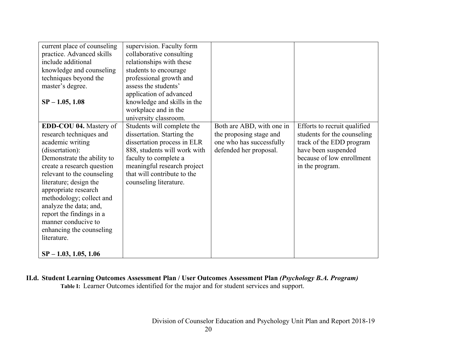| current place of counseling   | supervision. Faculty form    |                           |                              |
|-------------------------------|------------------------------|---------------------------|------------------------------|
| practice. Advanced skills     | collaborative consulting     |                           |                              |
| include additional            | relationships with these     |                           |                              |
| knowledge and counseling      | students to encourage        |                           |                              |
| techniques beyond the         | professional growth and      |                           |                              |
| master's degree.              | assess the students'         |                           |                              |
|                               | application of advanced      |                           |                              |
| $SP - 1.05, 1.08$             | knowledge and skills in the  |                           |                              |
|                               | workplace and in the         |                           |                              |
|                               | university classroom.        |                           |                              |
| <b>EDD-COU 04.</b> Mastery of | Students will complete the   | Both are ABD, with one in | Efforts to recruit qualified |
| research techniques and       | dissertation. Starting the   | the proposing stage and   | students for the counseling  |
| academic writing              | dissertation process in ELR  | one who has successfully  | track of the EDD program     |
| (dissertation):               | 888, students will work with | defended her proposal.    | have been suspended          |
| Demonstrate the ability to    | faculty to complete a        |                           | because of low enrollment    |
| create a research question    | meaningful research project  |                           | in the program.              |
| relevant to the counseling    | that will contribute to the  |                           |                              |
| literature; design the        | counseling literature.       |                           |                              |
| appropriate research          |                              |                           |                              |
| methodology; collect and      |                              |                           |                              |
| analyze the data; and,        |                              |                           |                              |
| report the findings in a      |                              |                           |                              |
| manner conducive to           |                              |                           |                              |
| enhancing the counseling      |                              |                           |                              |
| literature.                   |                              |                           |                              |
|                               |                              |                           |                              |
| $SP - 1.03, 1.05, 1.06$       |                              |                           |                              |

**II.d. Student Learning Outcomes Assessment Plan / User Outcomes Assessment Plan** *(Psychology B.A. Program)*  **Table I:**Learner Outcomes identified for the major and for student services and support.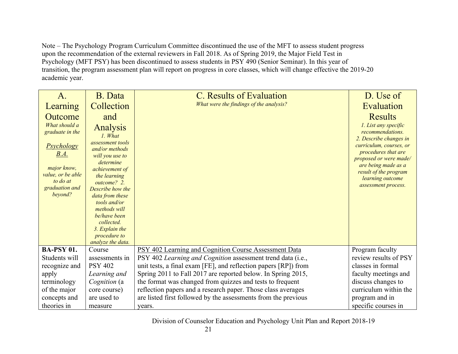Note – The Psychology Program Curriculum Committee discontinued the use of the MFT to assess student progress upon the recommendation of the external reviewers in Fall 2018. As of Spring 2019, the Major Field Test in Psychology (MFT PSY) has been discontinued to assess students in PSY 490 (Senior Seminar). In this year of transition, the program assessment plan will report on progress in core classes, which will change effective the 2019-20 academic year.

| A.                                                                                                     | B. Data                                                                                                                                                                                                                                                    | C. Results of Evaluation                                        | D. Use of                                                                                                                                                                                     |
|--------------------------------------------------------------------------------------------------------|------------------------------------------------------------------------------------------------------------------------------------------------------------------------------------------------------------------------------------------------------------|-----------------------------------------------------------------|-----------------------------------------------------------------------------------------------------------------------------------------------------------------------------------------------|
| Learning                                                                                               | Collection                                                                                                                                                                                                                                                 | What were the findings of the analysis?                         | Evaluation                                                                                                                                                                                    |
| Outcome                                                                                                | and                                                                                                                                                                                                                                                        |                                                                 | <b>Results</b>                                                                                                                                                                                |
| What should a<br>graduate in the                                                                       | Analysis<br>1. What                                                                                                                                                                                                                                        |                                                                 | 1. List any specific<br>recommendations.                                                                                                                                                      |
| <b>Psychology</b><br>B.A.<br>major know,<br>value, or be able<br>to do at<br>graduation and<br>beyond? | assessment tools<br>and/or methods<br>will you use to<br>determine<br>achievement of<br>the learning<br>outcome? 2.<br>Describe how the<br>data from these<br>tools and/or<br>methods will<br>be/have been<br>collected.<br>3. Explain the<br>procedure to |                                                                 | 2. Describe changes in<br>curriculum, courses, or<br>procedures that are<br>proposed or were made/<br>are being made as a<br>result of the program<br>learning outcome<br>assessment process. |
| <b>BA-PSY 01.</b>                                                                                      | analyze the data.<br>Course                                                                                                                                                                                                                                | PSY 402 Learning and Cognition Course Assessment Data           | Program faculty                                                                                                                                                                               |
| Students will                                                                                          | assessments in                                                                                                                                                                                                                                             | PSY 402 Learning and Cognition assessment trend data (i.e.,     | review results of PSY                                                                                                                                                                         |
| recognize and                                                                                          | <b>PSY 402</b>                                                                                                                                                                                                                                             | unit tests, a final exam [FE], and reflection papers [RP]) from | classes in formal                                                                                                                                                                             |
| apply                                                                                                  | Learning and                                                                                                                                                                                                                                               | Spring 2011 to Fall 2017 are reported below. In Spring 2015,    | faculty meetings and                                                                                                                                                                          |
| terminology                                                                                            | Cognition (a                                                                                                                                                                                                                                               | the format was changed from quizzes and tests to frequent       | discuss changes to                                                                                                                                                                            |
| of the major                                                                                           | core course)                                                                                                                                                                                                                                               | reflection papers and a research paper. Those class averages    | curriculum within the                                                                                                                                                                         |
| concepts and                                                                                           | are used to                                                                                                                                                                                                                                                | are listed first followed by the assessments from the previous  | program and in                                                                                                                                                                                |
| theories in                                                                                            | measure                                                                                                                                                                                                                                                    | years.                                                          | specific courses in                                                                                                                                                                           |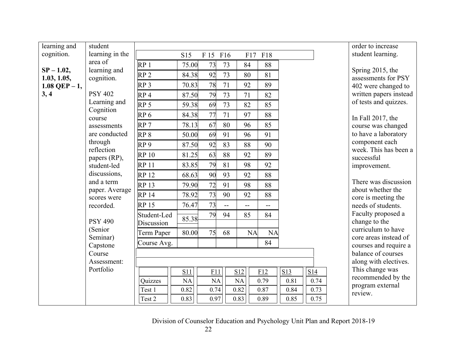| learning and                     | student                       |                 |       |           |                |           |           |              | order to increase                              |
|----------------------------------|-------------------------------|-----------------|-------|-----------|----------------|-----------|-----------|--------------|------------------------------------------------|
| cognition.                       | learning in the               |                 | S15   | F 15 F16  |                |           | F17 F18   |              | student learning.                              |
|                                  | area of                       | RP <sub>1</sub> | 75.00 | 73        | 73             | 84        | 88        |              |                                                |
| $SP - 1.02$ ,                    | learning and                  | RP <sub>2</sub> | 84.38 | 92        | 73             | 80        | 81        |              | Spring 2015, the                               |
| 1.03, 1.05,<br>$1.08$ QEP $-1$ , | cognition.                    | RP <sub>3</sub> | 70.83 | 78        | 71             | 92        | 89        |              | assessments for PSY<br>402 were changed to     |
| 3, 4                             | <b>PSY 402</b>                | RP <sub>4</sub> | 87.50 | 79        | 73             | 71        | 82        |              | written papers instead                         |
|                                  | Learning and                  | RP <sub>5</sub> | 59.38 | 69        | 73             | 82        | 85        |              | of tests and quizzes.                          |
|                                  | Cognition                     |                 |       |           |                |           |           |              |                                                |
|                                  | course                        | RP <sub>6</sub> | 84.38 | 77        | 71             | 97        | 88        |              | In Fall 2017, the                              |
|                                  | assessments                   | RP <sub>7</sub> | 78.13 | 67        | 80             | 96        | 85        |              | course was changed                             |
|                                  | are conducted                 | RP <sub>8</sub> | 50.00 | 69        | 91             | 96        | 91        |              | to have a laboratory                           |
|                                  | through<br>reflection         | RP <sub>9</sub> | 87.50 | 92        | 83             | 88        | 90        |              | component each<br>week. This has been a        |
|                                  | papers (RP),                  | <b>RP10</b>     | 81.25 | 63        | 88             | 92        | 89        |              | successful                                     |
|                                  | student-led                   | <b>RP11</b>     | 83.85 | 79        | 81             | 98        | 92        |              | improvement.                                   |
|                                  | discussions,                  | <b>RP 12</b>    | 68.63 | 90        | 93             | 92        | 88        |              |                                                |
|                                  | and a term                    | <b>RP13</b>     | 79.90 | 72        | 91             | 98        | 88        |              | There was discussion                           |
|                                  | paper. Average<br>scores were | <b>RP 14</b>    | 78.92 | 73        | 90             | 92        | 88        |              | about whether the<br>core is meeting the       |
|                                  | recorded.                     | <b>RP15</b>     | 76.47 | 73        | $\overline{a}$ | $-$       | $-$       |              | needs of students.                             |
|                                  |                               | Student-Led     |       | 79        | 94             | 85        | 84        |              | Faculty proposed a                             |
|                                  | <b>PSY 490</b>                | Discussion      | 85.38 |           |                |           |           |              | change to the                                  |
|                                  | (Senior                       | Term Paper      | 80.00 | 75        | 68             | <b>NA</b> | <b>NA</b> |              | curriculum to have                             |
|                                  | Seminar)<br>Capstone          | Course Avg.     |       |           |                |           | 84        |              | core areas instead of<br>courses and require a |
|                                  | Course                        |                 |       |           |                |           |           |              | balance of courses                             |
|                                  | Assessment:                   |                 |       |           |                |           |           |              | along with electives.                          |
|                                  | Portfolio                     |                 | S11   | F11       |                | S12       | F12       | S13<br>S14   | This change was                                |
|                                  |                               | Quizzes         | NA    | <b>NA</b> |                | NA        | 0.79      | 0.81<br>0.74 | recommended by the                             |
|                                  |                               | Test 1          | 0.82  | 0.74      |                | 0.82      | 0.87      | 0.73<br>0.84 | program external                               |
|                                  |                               | Test 2          | 0.83  | 0.97      |                | 0.83      | 0.89      | 0.75<br>0.85 | review.                                        |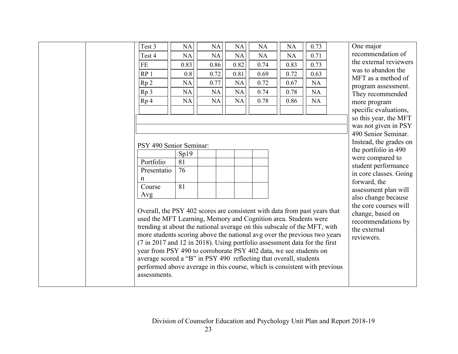|  | Test 3                                                                    | <b>NA</b> | NA   | <b>NA</b> | <b>NA</b> | <b>NA</b> | 0.73 | One major                                    |
|--|---------------------------------------------------------------------------|-----------|------|-----------|-----------|-----------|------|----------------------------------------------|
|  | Test 4                                                                    | <b>NA</b> | NA   | <b>NA</b> | <b>NA</b> | <b>NA</b> | 0.71 | recommendation of                            |
|  | FE                                                                        | 0.83      | 0.86 | 0.82      | 0.74      | 0.83      | 0.73 | the external reviewers                       |
|  | RP <sub>1</sub>                                                           | 0.8       | 0.72 | 0.81      | 0.69      | 0.72      | 0.63 | was to abandon the                           |
|  | Rp <sub>2</sub>                                                           | <b>NA</b> | 0.77 | <b>NA</b> | 0.72      | 0.67      | NA   | MFT as a method of                           |
|  | Rp 3                                                                      | <b>NA</b> | NA   | <b>NA</b> | 0.74      | 0.78      | NA   | program assessment.                          |
|  | Rp <sub>4</sub>                                                           | <b>NA</b> | NA   | <b>NA</b> | 0.78      | 0.86      | NA   | They recommended<br>more program             |
|  |                                                                           |           |      |           |           |           |      | specific evaluations,                        |
|  |                                                                           |           |      |           |           |           |      | so this year, the MFT                        |
|  |                                                                           |           |      |           |           |           |      | was not given in PSY                         |
|  |                                                                           |           |      |           |           |           |      | 490 Senior Seminar.                          |
|  | PSY 490 Senior Seminar:                                                   |           |      |           |           |           |      | Instead, the grades on                       |
|  |                                                                           | Sp19      |      |           |           |           |      | the portfolio in 490                         |
|  | Portfolio                                                                 | 81        |      |           |           |           |      | were compared to                             |
|  | Presentatio                                                               | 76        |      |           |           |           |      | student performance                          |
|  | n                                                                         |           |      |           |           |           |      | in core classes. Going                       |
|  | Course                                                                    | 81        |      |           |           |           |      | forward, the                                 |
|  | Avg                                                                       |           |      |           |           |           |      | assessment plan will                         |
|  |                                                                           |           |      |           |           |           |      | also change because<br>the core courses will |
|  | Overall, the PSY 402 scores are consistent with data from past years that |           |      |           |           |           |      | change, based on                             |
|  | used the MFT Learning, Memory and Cognition area. Students were           |           |      |           |           |           |      | recommendations by                           |
|  | trending at about the national average on this subscale of the MFT, with  |           |      |           |           |           |      | the external                                 |
|  | more students scoring above the national avg over the previous two years  |           |      |           |           |           |      | reviewers.                                   |
|  | (7 in 2017 and 12 in 2018). Using portfolio assessment data for the first |           |      |           |           |           |      |                                              |
|  | year from PSY 490 to corroborate PSY 402 data, we see students on         |           |      |           |           |           |      |                                              |
|  | average scored a "B" in PSY 490 reflecting that overall, students         |           |      |           |           |           |      |                                              |
|  | performed above average in this course, which is consistent with previous |           |      |           |           |           |      |                                              |
|  | assessments.                                                              |           |      |           |           |           |      |                                              |
|  |                                                                           |           |      |           |           |           |      |                                              |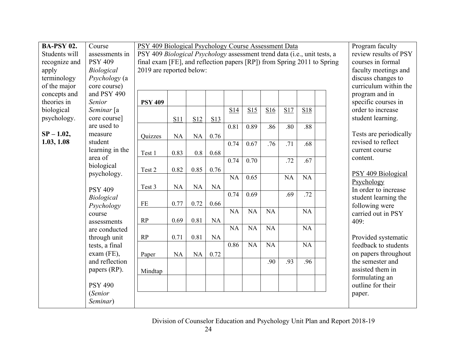| <b>BA-PSY 02.</b> | Course            | PSY 409 Biological Psychology Course Assessment Data                     |           |                    |                      |                       |           |           |           |                 |  | Program faculty        |
|-------------------|-------------------|--------------------------------------------------------------------------|-----------|--------------------|----------------------|-----------------------|-----------|-----------|-----------|-----------------|--|------------------------|
| Students will     | assessments in    | PSY 409 Biological Psychology assessment trend data (i.e., unit tests, a |           |                    |                      | review results of PSY |           |           |           |                 |  |                        |
| recognize and     | <b>PSY 409</b>    | final exam [FE], and reflection papers [RP]) from Spring 2011 to Spring  |           |                    | courses in formal    |                       |           |           |           |                 |  |                        |
| apply             | <b>Biological</b> | 2019 are reported below:                                                 |           |                    | faculty meetings and |                       |           |           |           |                 |  |                        |
| terminology       | Psychology (a     |                                                                          |           | discuss changes to |                      |                       |           |           |           |                 |  |                        |
| of the major      | core course)      |                                                                          |           |                    |                      |                       |           |           |           |                 |  | curriculum within the  |
| concepts and      | and PSY 490       |                                                                          |           |                    |                      |                       |           |           |           |                 |  | program and in         |
| theories in       | Senior            | <b>PSY 409</b>                                                           |           |                    |                      |                       |           |           |           |                 |  | specific courses in    |
| biological        | Seminar [a        |                                                                          |           |                    |                      | S14                   | S15       | S16       | S17       | S18             |  | order to increase      |
| psychology.       | core course]      |                                                                          | S11       | S12                | S13                  |                       |           |           |           |                 |  | student learning.      |
|                   | are used to       |                                                                          |           |                    |                      | 0.81                  | 0.89      | .86       | .80       | .88             |  |                        |
| $SP - 1.02$ ,     | measure           | Quizzes                                                                  | <b>NA</b> | NA                 | 0.76                 |                       |           |           |           |                 |  | Tests are periodically |
| 1.03, 1.08        | student           |                                                                          |           |                    |                      | 0.74                  | 0.67      | .76       | .71       | .68             |  | revised to reflect     |
|                   | learning in the   | Test 1                                                                   | 0.83      | 0.8                | 0.68                 |                       |           |           |           |                 |  | current course         |
|                   | area of           |                                                                          |           |                    |                      | 0.74                  | 0.70      |           | .72       | .67             |  | content.               |
|                   | biological        | Test 2                                                                   | 0.82      | 0.85               | 0.76                 |                       |           |           |           |                 |  |                        |
|                   | psychology.       |                                                                          |           |                    |                      | <b>NA</b>             | 0.65      |           | <b>NA</b> | <b>NA</b>       |  | PSY 409 Biological     |
|                   |                   | Test 3                                                                   | <b>NA</b> | NA                 | <b>NA</b>            |                       |           |           |           |                 |  | Psychology             |
|                   | <b>PSY 409</b>    |                                                                          |           |                    |                      | 0.74                  | 0.69      |           | .69       | .72             |  | In order to increase   |
|                   | Biological        | FE                                                                       | 0.77      | 0.72               | 0.66                 |                       |           |           |           |                 |  | student learning the   |
|                   | Psychology        |                                                                          |           |                    |                      | <b>NA</b>             | <b>NA</b> | <b>NA</b> |           | $\overline{NA}$ |  | following were         |
|                   | course            |                                                                          |           |                    |                      |                       |           |           |           |                 |  | carried out in PSY     |
|                   | assessments       | RP                                                                       | 0.69      | 0.81               | NA                   | <b>NA</b>             | NA        | <b>NA</b> |           | <b>NA</b>       |  | 409:                   |
|                   | are conducted     |                                                                          |           |                    |                      |                       |           |           |           |                 |  |                        |
|                   | through unit      | RP                                                                       | 0.71      | 0.81               | NA                   |                       |           |           |           |                 |  | Provided systematic    |
|                   | tests, a final    |                                                                          |           |                    |                      | 0.86                  | <b>NA</b> | <b>NA</b> |           | <b>NA</b>       |  | feedback to students   |
|                   | exam (FE),        | Paper                                                                    | NA        | NA                 | 0.72                 |                       |           |           |           |                 |  | on papers throughout   |
|                   | and reflection    |                                                                          |           |                    |                      |                       |           | .90       | .93       | .96             |  | the semester and       |
|                   | papers (RP).      | Mindtap                                                                  |           |                    |                      |                       |           |           |           |                 |  | assisted them in       |
|                   |                   |                                                                          |           |                    |                      |                       |           |           |           |                 |  | formulating an         |
|                   | <b>PSY 490</b>    |                                                                          |           |                    |                      |                       |           |           |           |                 |  | outline for their      |
|                   | (Senior           |                                                                          |           |                    |                      |                       |           |           |           |                 |  | paper.                 |
|                   | Seminar)          |                                                                          |           |                    |                      |                       |           |           |           |                 |  |                        |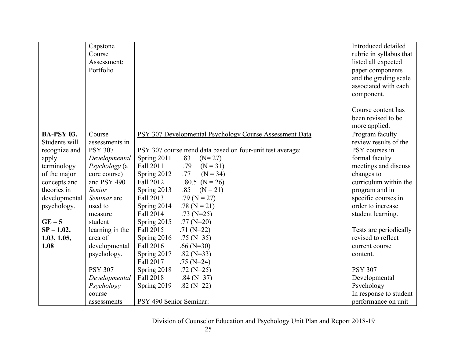|                   | Capstone<br>Course |                                                            | Introduced detailed<br>rubric in syllabus that |
|-------------------|--------------------|------------------------------------------------------------|------------------------------------------------|
|                   | Assessment:        |                                                            | listed all expected                            |
|                   | Portfolio          |                                                            | paper components                               |
|                   |                    |                                                            | and the grading scale                          |
|                   |                    |                                                            | associated with each                           |
|                   |                    |                                                            | component.                                     |
|                   |                    |                                                            |                                                |
|                   |                    |                                                            | Course content has                             |
|                   |                    |                                                            | been revised to be                             |
|                   |                    |                                                            | more applied.                                  |
| <b>BA-PSY 03.</b> | Course             | PSY 307 Developmental Psychology Course Assessment Data    | Program faculty                                |
| Students will     | assessments in     |                                                            | review results of the                          |
| recognize and     | <b>PSY 307</b>     | PSY 307 course trend data based on four-unit test average: | PSY courses in                                 |
| apply             | Developmental      | Spring 2011<br>.83<br>$(N=27)$                             | formal faculty                                 |
| terminology       | Psychology (a      | Fall 2011<br>.79<br>$(N = 31)$                             | meetings and discuss                           |
| of the major      | core course)       | Spring 2012<br>.77<br>$(N = 34)$                           | changes to                                     |
| concepts and      | and PSY 490        | .80.5 ( $N = 26$ )<br>Fall 2012                            | curriculum within the                          |
| theories in       | Senior             | $(N = 21)$<br>Spring 2013<br>.85                           | program and in                                 |
| developmental     | Seminar are        | Fall 2013<br>.79 ( $N = 27$ )                              | specific courses in                            |
| psychology.       | used to            | .78 ( $N = 21$ )<br>Spring 2014                            | order to increase                              |
|                   | measure            | Fall 2014<br>$.73$ (N=25)                                  | student learning.                              |
| $GE-5$            | student            | Spring 2015<br>$.77(N=20)$                                 |                                                |
| $SP - 1.02$ ,     | learning in the    | Fall 2015<br>$.71(N=22)$                                   | Tests are periodically                         |
| 1.03, 1.05,       | area of            | Spring 2016<br>$.75$ (N=35)                                | revised to reflect                             |
| 1.08              | developmental      | Fall 2016<br>$.66(N=30)$                                   | current course                                 |
|                   | psychology.        | Spring 2017<br>.82 ( $N=33$ )                              | content.                                       |
|                   |                    | Fall 2017<br>$.75$ (N=24)                                  |                                                |
|                   | <b>PSY 307</b>     | Spring 2018<br>$.72(N=25)$                                 | <b>PSY 307</b>                                 |
|                   | Developmental      | Fall 2018<br>$.84(N=37)$                                   | Developmental                                  |
|                   | Psychology         | Spring 2019<br>$.82(N=22)$                                 | Psychology                                     |
|                   | course             |                                                            | In response to student                         |
|                   | assessments        | PSY 490 Senior Seminar:                                    | performance on unit                            |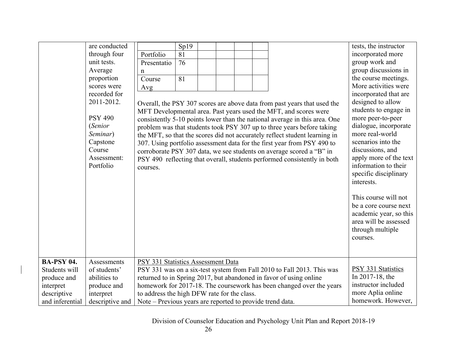|                   | are conducted   |                                                           | Sp19 |  |  |                                                                            | tests, the instructor  |
|-------------------|-----------------|-----------------------------------------------------------|------|--|--|----------------------------------------------------------------------------|------------------------|
|                   | through four    | Portfolio                                                 | 81   |  |  |                                                                            | incorporated more      |
|                   | unit tests.     | Presentatio                                               | 76   |  |  |                                                                            | group work and         |
|                   | Average         | n                                                         |      |  |  |                                                                            | group discussions in   |
|                   | proportion      | Course                                                    | 81   |  |  |                                                                            | the course meetings.   |
|                   | scores were     | Avg                                                       |      |  |  |                                                                            | More activities were   |
|                   | recorded for    |                                                           |      |  |  |                                                                            | incorporated that are  |
|                   | 2011-2012.      |                                                           |      |  |  | Overall, the PSY 307 scores are above data from past years that used the   | designed to allow      |
|                   |                 |                                                           |      |  |  | MFT Developmental area. Past years used the MFT, and scores were           | students to engage in  |
|                   | <b>PSY 490</b>  |                                                           |      |  |  | consistently 5-10 points lower than the national average in this area. One | more peer-to-peer      |
|                   | (Senior         |                                                           |      |  |  | problem was that students took PSY 307 up to three years before taking     | dialogue, incorporate  |
|                   | Seminar)        |                                                           |      |  |  | the MFT, so that the scores did not accurately reflect student learning in | more real-world        |
|                   | Capstone        |                                                           |      |  |  | 307. Using portfolio assessment data for the first year from PSY 490 to    | scenarios into the     |
|                   | Course          |                                                           |      |  |  | corroborate PSY 307 data, we see students on average scored a "B" in       | discussions, and       |
|                   | Assessment:     |                                                           |      |  |  | PSY 490 reflecting that overall, students performed consistently in both   | apply more of the text |
|                   | Portfolio       | courses.                                                  |      |  |  |                                                                            | information to their   |
|                   |                 |                                                           |      |  |  |                                                                            | specific disciplinary  |
|                   |                 |                                                           |      |  |  |                                                                            | interests.             |
|                   |                 |                                                           |      |  |  |                                                                            |                        |
|                   |                 |                                                           |      |  |  |                                                                            | This course will not   |
|                   |                 |                                                           |      |  |  |                                                                            | be a core course next  |
|                   |                 |                                                           |      |  |  |                                                                            | academic year, so this |
|                   |                 |                                                           |      |  |  |                                                                            | area will be assessed  |
|                   |                 |                                                           |      |  |  |                                                                            | through multiple       |
|                   |                 |                                                           |      |  |  |                                                                            | courses.               |
|                   |                 |                                                           |      |  |  |                                                                            |                        |
|                   |                 |                                                           |      |  |  |                                                                            |                        |
| <b>BA-PSY 04.</b> | Assessments     | PSY 331 Statistics Assessment Data                        |      |  |  |                                                                            |                        |
| Students will     | of students'    |                                                           |      |  |  | PSY 331 was on a six-test system from Fall 2010 to Fall 2013. This was     | PSY 331 Statistics     |
| produce and       | abilities to    |                                                           |      |  |  | returned to in Spring 2017, but abandoned in favor of using online         | In 2017-18, the        |
| interpret         | produce and     |                                                           |      |  |  | homework for 2017-18. The coursework has been changed over the years       | instructor included    |
| descriptive       | interpret       | to address the high DFW rate for the class.               |      |  |  |                                                                            | more Aplia online      |
| and inferential   | descriptive and | Note – Previous years are reported to provide trend data. |      |  |  |                                                                            | homework. However,     |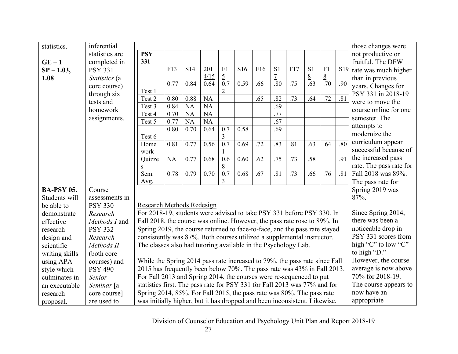| statistics.       | inferential    |                                                                                                    |              |                   |                   |                  |      |     |                |     |                  |                  |                  | those changes were      |
|-------------------|----------------|----------------------------------------------------------------------------------------------------|--------------|-------------------|-------------------|------------------|------|-----|----------------|-----|------------------|------------------|------------------|-------------------------|
|                   | statistics are | <b>PSY</b>                                                                                         |              |                   |                   |                  |      |     |                |     |                  |                  |                  | not productive or       |
| $GE-1$            | completed in   | 331                                                                                                |              |                   |                   |                  |      |     |                |     |                  |                  |                  | fruitful. The DFW       |
| $SP - 1.03$ ,     | <b>PSY 331</b> |                                                                                                    | F13          | S14               | 201               | $rac{F1}{5}$     | S16  | F16 | S <sub>1</sub> | F17 | $\frac{S1}{8}$   | F1               | S <sub>19</sub>  | rate was much higher    |
| 1.08              | Statistics (a  |                                                                                                    |              |                   | 4/15              |                  |      |     | $\overline{7}$ |     |                  | $\overline{8}$   |                  | than in previous        |
|                   | core course)   |                                                                                                    | 0.77         | 0.84              | 0.64              | 0.7              | 0.59 | .66 | .80            | .75 | $\overline{.63}$ | $\overline{.70}$ | .90              | years. Changes for      |
|                   | through six    | Test 1                                                                                             |              |                   | <b>NA</b>         |                  |      |     | .82            |     | .64              | .72              | $\overline{.81}$ | PSY 331 in 2018-19      |
|                   | tests and      | Test 2<br>Test 3                                                                                   | 0.80<br>0.84 | 0.88<br><b>NA</b> | <b>NA</b>         |                  |      | .65 | .69            | .73 |                  |                  |                  | were to move the        |
|                   | homework       | Test 4                                                                                             | 0.70         | <b>NA</b>         | <b>NA</b>         |                  |      |     | .77            |     |                  |                  |                  | course online for one   |
|                   | assignments.   | Test 5                                                                                             | 0.77         | <b>NA</b>         | <b>NA</b>         |                  |      |     | .67            |     |                  |                  |                  | semester. The           |
|                   |                |                                                                                                    | 0.80         | 0.70              | 0.64              | 0.7              | 0.58 |     | .69            |     |                  |                  |                  | attempts to             |
|                   |                | Test 6                                                                                             |              |                   |                   | 3                |      |     |                |     |                  |                  |                  | modernize the           |
|                   |                | Home                                                                                               | 0.81         | 0.77              | 0.56              | 0.7              | 0.69 | .72 | .83            | .81 | .63              | .64              | $\overline{.80}$ | curriculum appear       |
|                   |                | work                                                                                               |              |                   |                   |                  |      |     |                |     |                  |                  |                  | successful because of   |
|                   |                | Quizze                                                                                             | NA           | 0.77              | 0.68              | 0.6              | 0.60 | .62 | .75            | .73 | .58              |                  | .91              | the increased pass      |
|                   |                | S                                                                                                  |              |                   |                   | 8                |      |     |                |     |                  |                  |                  | rate. The pass rate for |
|                   |                | $\overline{\text{Sem}}$ .                                                                          | 0.78         | 0.79              | $\overline{0.70}$ | $\overline{0.7}$ | 0.68 | .67 | .81            | .73 | .66              | .76              | $\overline{.81}$ | Fall 2018 was 89%.      |
|                   |                | Avg.                                                                                               |              |                   |                   | 3                |      |     |                |     |                  |                  |                  | The pass rate for       |
| <b>BA-PSY 05.</b> | Course         |                                                                                                    |              |                   |                   |                  |      |     |                |     |                  |                  |                  | Spring 2019 was         |
| Students will     | assessments in |                                                                                                    |              |                   |                   |                  |      |     |                |     |                  |                  |                  | 87%.                    |
| be able to        | <b>PSY 330</b> | Research Methods Redesign                                                                          |              |                   |                   |                  |      |     |                |     |                  |                  |                  |                         |
| demonstrate       | Research       | For 2018-19, students were advised to take PSY 331 before PSY 330. In                              |              |                   |                   |                  |      |     |                |     |                  |                  |                  | Since Spring 2014,      |
| effective         | Methods I and  | Fall 2018, the course was online. However, the pass rate rose to 89%. In                           |              |                   |                   |                  |      |     |                |     |                  |                  |                  | there was been a        |
| research          | <b>PSY 332</b> | Spring 2019, the course returned to face-to-face, and the pass rate stayed                         |              |                   |                   |                  |      |     |                |     |                  |                  |                  | noticeable drop in      |
| design and        | Research       | consistently was 87%. Both courses utilized a supplemental instructor.                             |              |                   |                   |                  |      |     |                |     |                  |                  |                  | PSY 331 scores from     |
| scientific        | Methods II     | The classes also had tutoring available in the Psychology Lab.                                     |              |                   |                   |                  |      |     |                |     |                  |                  |                  | high "C" to low "C"     |
| writing skills    | (both core     |                                                                                                    |              |                   |                   |                  |      |     |                |     |                  |                  |                  | to high "D."            |
| using APA         | courses) and   | While the Spring 2014 pass rate increased to 79%, the pass rate since Fall                         |              |                   |                   |                  |      |     |                |     |                  |                  |                  | However, the course     |
| style which       | <b>PSY 490</b> | 2015 has frequently been below 70%. The pass rate was 43% in Fall 2013.                            |              |                   |                   |                  |      |     |                |     |                  |                  |                  | average is now above    |
| culminates in     | Senior         | For Fall 2013 and Spring 2014, the courses were re-sequenced to put                                |              |                   |                   |                  |      |     |                |     |                  |                  |                  | 70% for 2018-19.        |
| an executable     | Seminar [a     | The course appears to<br>statistics first. The pass rate for PSY 331 for Fall 2013 was 77% and for |              |                   |                   |                  |      |     |                |     |                  |                  |                  |                         |
| research          | core course]   | Spring 2014, 85%. For Fall 2015, the pass rate was 80%. The pass rate                              |              |                   |                   |                  |      |     |                |     |                  |                  |                  | now have an             |
| proposal.         | are used to    | was initially higher, but it has dropped and been inconsistent. Likewise,                          |              |                   |                   |                  |      |     |                |     |                  |                  |                  | appropriate             |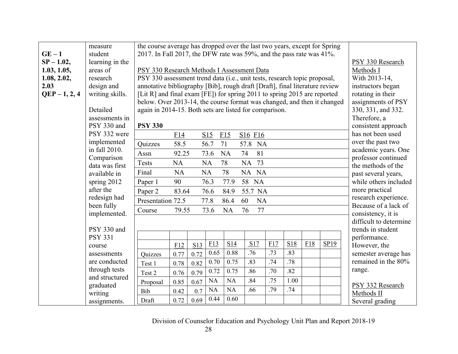|                 | measure                        | the course average has dropped over the last two years, except for Spring   |           |                    |           |           |                                 |     |                  |     |      |                                              |
|-----------------|--------------------------------|-----------------------------------------------------------------------------|-----------|--------------------|-----------|-----------|---------------------------------|-----|------------------|-----|------|----------------------------------------------|
| $GE-1$          | student                        | 2017. In Fall 2017, the DFW rate was 59%, and the pass rate was 41%.        |           |                    |           |           |                                 |     |                  |     |      |                                              |
| $SP - 1.02$ ,   | learning in the                |                                                                             |           |                    |           |           |                                 |     |                  |     |      | PSY 330 Research                             |
| 1.03, 1.05,     | areas of                       | PSY 330 Research Methods I Assessment Data                                  |           | Methods I          |           |           |                                 |     |                  |     |      |                                              |
| 1.08, 2.02,     | research                       | PSY 330 assessment trend data (i.e., unit tests, research topic proposal,   |           | With 2013-14,      |           |           |                                 |     |                  |     |      |                                              |
| 2.03            | design and                     | annotative bibliography [Bib], rough draft [Draft], final literature review |           | instructors began  |           |           |                                 |     |                  |     |      |                                              |
| $QEP - 1, 2, 4$ | writing skills.                | [Lit R] and final exam [FE]) for spring 2011 to spring 2015 are reported    |           | rotating in their  |           |           |                                 |     |                  |     |      |                                              |
|                 |                                | below. Over 2013-14, the course format was changed, and then it changed     |           | assignments of PSY |           |           |                                 |     |                  |     |      |                                              |
|                 | Detailed                       | again in 2014-15. Both sets are listed for comparison.                      |           | 330, 331, and 332. |           |           |                                 |     |                  |     |      |                                              |
|                 | assessments in                 |                                                                             |           | Therefore, a       |           |           |                                 |     |                  |     |      |                                              |
|                 | PSY 330 and                    | <b>PSY 330</b>                                                              |           |                    |           |           |                                 |     |                  |     |      | consistent approach                          |
|                 | PSY 332 were                   |                                                                             | F14       |                    | S15       | F15       | S <sub>16</sub> F <sub>16</sub> |     |                  |     |      | has not been used                            |
|                 | implemented                    | Quizzes                                                                     | 58.5      |                    | 56.7      | 71        | 57.8 NA                         |     |                  |     |      | over the past two                            |
|                 | in fall 2010.                  | Assn                                                                        | 92.25     |                    | 73.6      | <b>NA</b> | 81<br>74                        |     |                  |     |      | academic years. One                          |
|                 | Comparison                     | <b>Tests</b>                                                                | <b>NA</b> |                    | <b>NA</b> | 78        | NA 73                           |     |                  |     |      | professor continued                          |
|                 | data was first<br>available in | Final                                                                       | <b>NA</b> |                    | <b>NA</b> | 78        | NA NA                           |     |                  |     |      | the methods of the                           |
|                 | spring 2012                    | Paper 1                                                                     | 90        |                    | 76.3      | 77.9      | 58 NA                           |     |                  |     |      | past several years,<br>while others included |
|                 | after the                      |                                                                             |           |                    |           |           |                                 |     |                  |     |      | more practical                               |
|                 | redesign had                   | Paper 2                                                                     | 83.64     |                    | 76.6      | 84.9      | 55.7 NA                         |     |                  |     |      | research experience.                         |
|                 | been fully                     | Presentation 72.5                                                           |           |                    | 77.8      | 86.4      | 60<br>NA                        |     |                  |     |      | Because of a lack of                         |
|                 | implemented.                   | Course                                                                      | 79.55     |                    | 73.6      | NA        | 76<br>77                        |     |                  |     |      | consistency, it is                           |
|                 |                                |                                                                             |           |                    |           |           |                                 |     |                  |     |      | difficult to determine                       |
|                 | PSY 330 and                    |                                                                             |           |                    |           |           |                                 |     |                  |     |      | trends in student                            |
|                 | <b>PSY 331</b>                 |                                                                             |           |                    |           |           |                                 |     |                  |     |      | performance.                                 |
|                 | course                         |                                                                             | F12       | S13                | E13       | S14       | S17                             | F17 | S18              | E18 | SP19 | However, the                                 |
|                 | assessments                    | Quizzes                                                                     | 0.77      | 0.72               | 0.65      | 0.88      | .76                             | .73 | .83              |     |      | semester average has                         |
|                 | are conducted                  | Test 1                                                                      | 0.78      | 0.82               | 0.70      | 0.75      | .83                             | .74 | .78              |     |      | remained in the 80%                          |
|                 | through tests                  | Test 2                                                                      | 0.76      | 0.79               | 0.72      | 0.75      | .86                             | .70 | $\overline{.82}$ |     |      | range.                                       |
|                 | and structured                 | Proposal                                                                    | 0.85      | 0.67               | NA        | <b>NA</b> | .84                             | .75 | 1.00             |     |      |                                              |
|                 | graduated                      | Bib                                                                         | 0.42      | 0.7                | <b>NA</b> | <b>NA</b> | .66                             | .79 | .74              |     |      | PSY 332 Research                             |
|                 | writing                        |                                                                             |           |                    | 0.44      | 0.60      |                                 |     |                  |     |      | Methods II                                   |
|                 | assignments.                   | Draft                                                                       | 0.72      | 0.69               |           |           |                                 |     |                  |     |      | Several grading                              |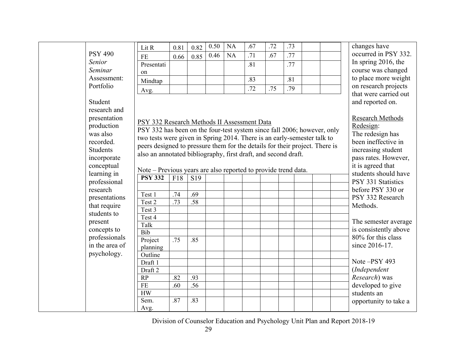|                                 | Lit R                                                                       | 0.81 | 0.82            | 0.50 | <b>NA</b> | .67 | .72 | .73 |  | changes have                                |
|---------------------------------|-----------------------------------------------------------------------------|------|-----------------|------|-----------|-----|-----|-----|--|---------------------------------------------|
| <b>PSY 490</b>                  |                                                                             |      |                 | 0.46 | <b>NA</b> | .71 | .67 | .77 |  | occurred in PSY 332.                        |
| Senior                          | $\rm FE$<br>Presentati                                                      | 0.66 | 0.85            |      |           |     |     |     |  | In spring 2016, the                         |
| Seminar                         |                                                                             |      |                 |      |           | .81 |     | .77 |  | course was changed                          |
| Assessment:                     | on                                                                          |      |                 |      |           | .83 |     | .81 |  | to place more weight                        |
| Portfolio                       | Mindtap                                                                     |      |                 |      |           |     |     |     |  | on research projects                        |
|                                 | Avg.                                                                        |      |                 |      |           | .72 | .75 | .79 |  | that were carried out                       |
| Student                         |                                                                             |      |                 |      |           |     |     |     |  | and reported on.                            |
| research and                    |                                                                             |      |                 |      |           |     |     |     |  |                                             |
| presentation                    |                                                                             |      |                 |      |           |     |     |     |  | <b>Research Methods</b>                     |
| production                      | PSY 332 Research Methods II Assessment Data                                 |      |                 |      |           |     |     |     |  | Redesign:                                   |
| was also                        | PSY 332 has been on the four-test system since fall 2006; however, only     |      |                 |      |           |     |     |     |  | The redesign has                            |
| recorded.                       | two tests were given in Spring 2014. There is an early-semester talk to     |      |                 |      |           |     |     |     |  | been ineffective in                         |
| <b>Students</b>                 | peers designed to pressure them for the details for their project. There is |      |                 |      |           |     |     |     |  | increasing student                          |
| incorporate                     | also an annotated bibliography, first draft, and second draft.              |      |                 |      |           |     |     |     |  | pass rates. However,                        |
| conceptual                      |                                                                             |      |                 |      |           |     |     |     |  | it is agreed that                           |
| learning in                     | Note - Previous years are also reported to provide trend data.              |      |                 |      |           |     |     |     |  | students should have                        |
| professional                    | <b>PSY 332</b>                                                              | F18  | S <sub>19</sub> |      |           |     |     |     |  | PSY 331 Statistics                          |
| research                        |                                                                             |      |                 |      |           |     |     |     |  | before PSY 330 or                           |
| presentations                   | Test 1                                                                      | .74  | .69             |      |           |     |     |     |  | PSY 332 Research                            |
| that require                    | Test 2                                                                      | .73  | .58             |      |           |     |     |     |  | Methods.                                    |
| students to                     | Test 3                                                                      |      |                 |      |           |     |     |     |  |                                             |
|                                 | Test 4                                                                      |      |                 |      |           |     |     |     |  |                                             |
| present                         | Talk                                                                        |      |                 |      |           |     |     |     |  | The semester average                        |
| concepts to                     | Bib                                                                         |      |                 |      |           |     |     |     |  | is consistently above<br>80% for this class |
| professionals<br>in the area of | Project                                                                     | .75  | .85             |      |           |     |     |     |  |                                             |
|                                 | planning                                                                    |      |                 |      |           |     |     |     |  | since 2016-17.                              |
| psychology.                     | Outline                                                                     |      |                 |      |           |     |     |     |  |                                             |
|                                 | Draft 1                                                                     |      |                 |      |           |     |     |     |  | Note -PSY 493                               |
|                                 | Draft 2                                                                     |      |                 |      |           |     |     |     |  | (Independent                                |
|                                 | RP                                                                          | .82  | .93             |      |           |     |     |     |  | Research) was                               |
|                                 | <b>FE</b>                                                                   | .60  | .56             |      |           |     |     |     |  | developed to give                           |
|                                 | <b>HW</b>                                                                   |      |                 |      |           |     |     |     |  | students an                                 |
|                                 | Sem.                                                                        | .87  | .83             |      |           |     |     |     |  | opportunity to take a                       |
|                                 | Avg.                                                                        |      |                 |      |           |     |     |     |  |                                             |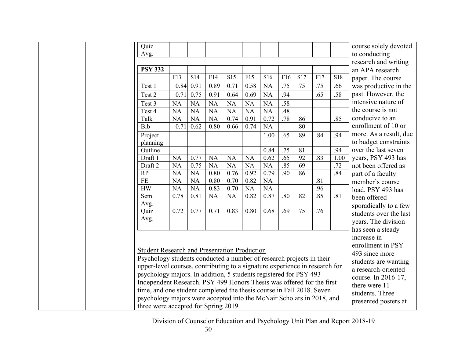| Quiz                                                                                                                                           |           |           |           |           |           |           |     |     |     |      | course solely devoted  |
|------------------------------------------------------------------------------------------------------------------------------------------------|-----------|-----------|-----------|-----------|-----------|-----------|-----|-----|-----|------|------------------------|
| Avg.                                                                                                                                           |           |           |           |           |           |           |     |     |     |      | to conducting          |
|                                                                                                                                                |           |           |           |           |           |           |     |     |     |      | research and writing   |
| <b>PSY 332</b>                                                                                                                                 |           |           |           |           |           |           |     |     |     |      | an APA research        |
|                                                                                                                                                | F13       | S14       | F14       | S15       | F15       | S16       | F16 | S17 | F17 | S18  | paper. The course      |
| Test 1                                                                                                                                         | 0.84      | 0.91      | 0.89      | 0.71      | 0.58      | NA        | .75 | .75 | .75 | .66  | was productive in the  |
| Test 2                                                                                                                                         | 0.71      | 0.75      | 0.91      | 0.64      | 0.69      | <b>NA</b> | .94 |     | .65 | .58  | past. However, the     |
| Test 3                                                                                                                                         | <b>NA</b> | <b>NA</b> | <b>NA</b> | <b>NA</b> | <b>NA</b> | <b>NA</b> | .58 |     |     |      | intensive nature of    |
| Test 4                                                                                                                                         | <b>NA</b> | <b>NA</b> | <b>NA</b> | <b>NA</b> | <b>NA</b> | <b>NA</b> | .48 |     |     |      | the course is not      |
| Talk                                                                                                                                           | <b>NA</b> | NA        | <b>NA</b> | 0.74      | 0.91      | 0.72      | .78 | .86 |     | .85  | conducive to an        |
| Bib                                                                                                                                            | 0.71      | 0.62      | 0.80      | 0.66      | 0.74      | <b>NA</b> |     | .80 |     |      | enrollment of 10 or    |
| Project                                                                                                                                        |           |           |           |           |           | 1.00      | .65 | .89 | .84 | .94  | more. As a result, due |
| planning                                                                                                                                       |           |           |           |           |           |           |     |     |     |      | to budget constraints  |
| Outline                                                                                                                                        |           |           |           |           |           | 0.84      | .75 | .81 |     | .94  | over the last seven    |
| Draft 1                                                                                                                                        | <b>NA</b> | 0.77      | <b>NA</b> | <b>NA</b> | <b>NA</b> | 0.62      | .65 | .92 | .83 | 1.00 | years, PSY 493 has     |
| Draft 2                                                                                                                                        | <b>NA</b> | 0.75      | <b>NA</b> | <b>NA</b> | <b>NA</b> | <b>NA</b> | .85 | .69 |     | .72  | not been offered as    |
| RP                                                                                                                                             | <b>NA</b> | <b>NA</b> | 0.80      | 0.76      | 0.92      | 0.79      | .90 | .86 |     | .84  | part of a faculty      |
| $\rm FE$                                                                                                                                       | <b>NA</b> | <b>NA</b> | 0.80      | 0.70      | 0.82      | <b>NA</b> |     |     | .81 |      | member's course        |
| <b>HW</b>                                                                                                                                      | <b>NA</b> | <b>NA</b> | 0.83      | 0.70      | NA        | <b>NA</b> |     |     | .96 |      | load. PSY 493 has      |
| Sem.                                                                                                                                           | 0.78      | 0.81      | <b>NA</b> | <b>NA</b> | 0.82      | 0.87      | .80 | .82 | .85 | .81  | been offered           |
| Avg.<br>Quiz                                                                                                                                   | 0.72      | 0.77      | 0.71      | 0.83      | 0.80      | 0.68      | .69 | .75 | .76 |      | sporadically to a few  |
| Avg.                                                                                                                                           |           |           |           |           |           |           |     |     |     |      | students over the last |
|                                                                                                                                                |           |           |           |           |           |           |     |     |     |      | years. The division    |
|                                                                                                                                                |           |           |           |           |           |           |     |     |     |      | has seen a steady      |
|                                                                                                                                                |           |           |           |           |           |           |     |     |     |      | increase in            |
| <b>Student Research and Presentation Production</b>                                                                                            |           |           |           |           |           |           |     |     |     |      | enrollment in PSY      |
| Psychology students conducted a number of research projects in their                                                                           |           |           |           |           |           |           |     |     |     |      | 493 since more         |
| upper-level courses, contributing to a signature experience in research for                                                                    |           |           |           |           |           |           |     |     |     |      | students are wanting   |
| psychology majors. In addition, 5 students registered for PSY 493                                                                              |           |           |           |           |           |           |     |     |     |      | a research-oriented    |
|                                                                                                                                                |           |           |           |           |           |           |     |     |     |      | course. In 2016-17,    |
| Independent Research. PSY 499 Honors Thesis was offered for the first<br>time, and one student completed the thesis course in Fall 2018. Seven |           |           |           |           |           |           |     |     |     |      | there were 11          |
| psychology majors were accepted into the McNair Scholars in 2018, and                                                                          |           |           |           |           |           |           |     |     |     |      | students. Three        |
| three were accepted for Spring 2019.                                                                                                           |           |           |           |           |           |           |     |     |     |      | presented posters at   |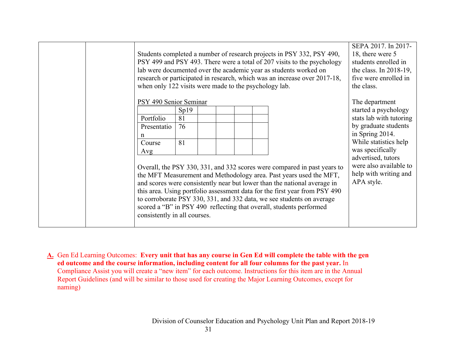| Students completed a number of research projects in PSY 332, PSY 490,<br>PSY 499 and PSY 493. There were a total of 207 visits to the psychology<br>lab were documented over the academic year as students worked on<br>research or participated in research, which was an increase over 2017-18,<br>when only 122 visits were made to the psychology lab. | SEPA 2017. In 2017-<br>18, there were 5<br>students enrolled in<br>the class. In $2018-19$ ,<br>five were enrolled in<br>the class. |  |  |  |                                                                                                                                                                                                                                                                                                                                                                                                                                                          |                                                                                                                                                                                                                                                  |
|------------------------------------------------------------------------------------------------------------------------------------------------------------------------------------------------------------------------------------------------------------------------------------------------------------------------------------------------------------|-------------------------------------------------------------------------------------------------------------------------------------|--|--|--|----------------------------------------------------------------------------------------------------------------------------------------------------------------------------------------------------------------------------------------------------------------------------------------------------------------------------------------------------------------------------------------------------------------------------------------------------------|--------------------------------------------------------------------------------------------------------------------------------------------------------------------------------------------------------------------------------------------------|
| PSY 490 Senior Seminar<br>Portfolio<br>Presentatio<br>n<br>Course<br>Avg<br>consistently in all courses.                                                                                                                                                                                                                                                   | Sp19<br>81<br>76<br>81                                                                                                              |  |  |  | Overall, the PSY 330, 331, and 332 scores were compared in past years to<br>the MFT Measurement and Methodology area. Past years used the MFT,<br>and scores were consistently near but lower than the national average in<br>this area. Using portfolio assessment data for the first year from PSY 490<br>to corroborate PSY 330, 331, and 332 data, we see students on average<br>scored a "B" in PSY 490 reflecting that overall, students performed | The department<br>started a psychology<br>stats lab with tutoring<br>by graduate students<br>in Spring 2014.<br>While statistics help<br>was specifically<br>advertised, tutors<br>were also available to<br>help with writing and<br>APA style. |

**A.** Gen Ed Learning Outcomes: **Every unit that has any course in Gen Ed will complete the table with the gen ed outcome and the course information, including content for all four columns for the past year.** In Compliance Assist you will create a "new item" for each outcome. Instructions for this item are in the Annual Report Guidelines (and will be similar to those used for creating the Major Learning Outcomes, except for naming)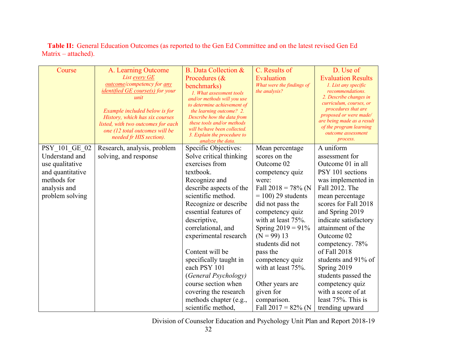**Table II:** General Education Outcomes (as reported to the Gen Ed Committee and on the latest revised Gen Ed Matrix – attached).

| Course                                                                                                                   | A. Learning Outcome<br>List every GE<br>outcome/competency for any<br><i>identified GE course(s) for your</i><br>unit<br>Example included below is for<br>History, which has six courses<br>listed, with two outcomes for each<br>one (12 total outcomes will be<br>needed fr HIS section). | <b>B.</b> Data Collection &<br>Procedures (&<br>benchmarks)<br>1. What assessment tools<br>and/or methods will you use<br>to determine achievement of<br>the learning outcome? 2.<br>Describe how the data from<br>these tools and/or methods<br>will be/have been collected.<br>3. Explain the procedure to<br>analyze the data.                                                                                                                      | C. Results of<br>Evaluation<br>What were the findings of<br>the analysis?                                                                                                                                                                                                                                                                                                           | D. Use of<br><b>Evaluation Results</b><br>1. List any specific<br><i>recommendations.</i><br>2. Describe changes in<br>curriculum, courses, or<br>procedures that are<br>proposed or were made/<br>are being made as a result<br>of the program learning<br>outcome assessment<br>process.                                                                                                                               |
|--------------------------------------------------------------------------------------------------------------------------|---------------------------------------------------------------------------------------------------------------------------------------------------------------------------------------------------------------------------------------------------------------------------------------------|--------------------------------------------------------------------------------------------------------------------------------------------------------------------------------------------------------------------------------------------------------------------------------------------------------------------------------------------------------------------------------------------------------------------------------------------------------|-------------------------------------------------------------------------------------------------------------------------------------------------------------------------------------------------------------------------------------------------------------------------------------------------------------------------------------------------------------------------------------|--------------------------------------------------------------------------------------------------------------------------------------------------------------------------------------------------------------------------------------------------------------------------------------------------------------------------------------------------------------------------------------------------------------------------|
| PSY 101 GE 02<br>Understand and<br>use qualitative<br>and quantitative<br>methods for<br>analysis and<br>problem solving | Research, analysis, problem<br>solving, and response                                                                                                                                                                                                                                        | Specific Objectives:<br>Solve critical thinking<br>exercises from<br>textbook.<br>Recognize and<br>describe aspects of the<br>scientific method.<br>Recognize or describe<br>essential features of<br>descriptive,<br>correlational, and<br>experimental research<br>Content will be<br>specifically taught in<br>each PSY 101<br>(General Psychology)<br>course section when<br>covering the research<br>methods chapter (e.g.,<br>scientific method, | Mean percentage<br>scores on the<br>Outcome 02<br>competency quiz<br>were:<br>Fall $2018 = 78\%$ (N<br>$= 100$ ) 29 students<br>did not pass the<br>competency quiz<br>with at least 75%.<br>Spring $2019 = 91\%$<br>$(N = 99)$ 13<br>students did not<br>pass the<br>competency quiz<br>with at least 75%.<br>Other years are<br>given for<br>comparison.<br>Fall $2017 = 82\%$ (N | A uniform<br>assessment for<br>Outcome 01 in all<br>PSY 101 sections<br>was implemented in<br>Fall 2012. The<br>mean percentage<br>scores for Fall 2018<br>and Spring 2019<br>indicate satisfactory<br>attainment of the<br>Outcome 02<br>competency. 78%<br>of Fall 2018<br>students and 91% of<br>Spring 2019<br>students passed the<br>competency quiz<br>with a score of at<br>least 75%. This is<br>trending upward |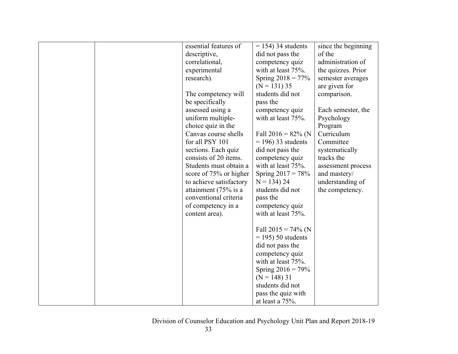| essential features of   | $= 154$ ) 34 students | since the beginning |
|-------------------------|-----------------------|---------------------|
| descriptive,            | did not pass the      | of the              |
| correlational,          | competency quiz       | administration of   |
| experimental            | with at least 75%.    | the quizzes. Prior  |
| research).              | Spring $2018 = 77\%$  | semester averages   |
|                         | $(N = 131)$ 35        | are given for       |
| The competency will     | students did not      | comparison.         |
| be specifically         | pass the              |                     |
| assessed using a        | competency quiz       | Each semester, the  |
| uniform multiple-       | with at least 75%.    | Psychology          |
| choice quiz in the      |                       | Program             |
| Canvas course shells    | Fall $2016 = 82\%$ (N | Curriculum          |
| for all PSY 101         | $= 196$ ) 33 students | Committee           |
| sections. Each quiz     | did not pass the      | systematically      |
| consists of 20 items.   | competency quiz       | tracks the          |
| Students must obtain a  | with at least 75%.    | assessment process  |
| score of 75% or higher  | Spring $2017 = 78%$   | and mastery/        |
| to achieve satisfactory | $N = 134$ ) 24        | understanding of    |
| attainment (75% is a    | students did not      | the competency.     |
| conventional criteria   | pass the              |                     |
| of competency in a      | competency quiz       |                     |
| content area).          | with at least 75%.    |                     |
|                         |                       |                     |
|                         | Fall $2015 = 74\%$ (N |                     |
|                         | $=$ 195) 50 students  |                     |
|                         | did not pass the      |                     |
|                         | competency quiz       |                     |
|                         | with at least 75%.    |                     |
|                         | Spring $2016 = 79\%$  |                     |
|                         | $(N = 148)$ 31        |                     |
|                         | students did not      |                     |
|                         | pass the quiz with    |                     |
|                         | at least a $75%$ .    |                     |
|                         |                       |                     |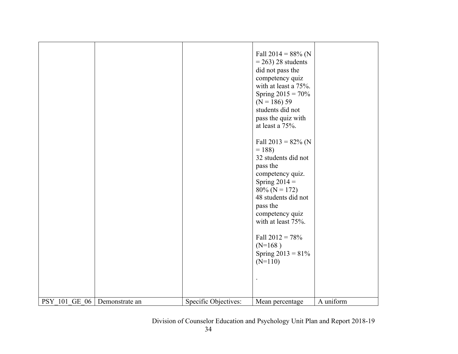| Fall $2014 = 88\%$ (N<br>$= 263$ ) 28 students<br>did not pass the<br>competency quiz<br>with at least a 75%.<br>Spring $2015 = 70\%$<br>$(N = 186) 59$<br>students did not<br>pass the quiz with<br>at least a $75%$ .<br>Fall 2013 = $82\%$ (N<br>$= 188$<br>32 students did not<br>pass the<br>competency quiz.<br>Spring $2014 =$ |  |
|---------------------------------------------------------------------------------------------------------------------------------------------------------------------------------------------------------------------------------------------------------------------------------------------------------------------------------------|--|
| $80\%$ (N = 172)<br>48 students did not<br>pass the<br>competency quiz<br>with at least 75%.<br>Fall $2012 = 78%$<br>$(N=168)$<br>Spring $2013 = 81\%$<br>$(N=110)$                                                                                                                                                                   |  |
| A uniform<br>PSY 101 GE 06 Demonstrate an<br>Specific Objectives:<br>Mean percentage                                                                                                                                                                                                                                                  |  |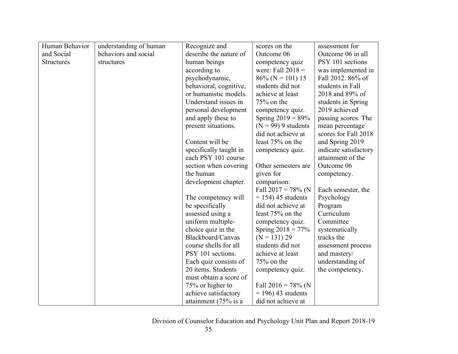| Human Behavior    | understanding of human | Recognize and          | scores on the         | assessment for        |
|-------------------|------------------------|------------------------|-----------------------|-----------------------|
| and Social        | behaviors and social   | describe the nature of | Outcome 06            | Outcome 06 in all     |
| <b>Structures</b> | structures             | human beings           | competency quiz       | PSY 101 sections      |
|                   |                        | according to           | were: Fall $2018 =$   | was implemented in    |
|                   |                        | psychodynamic,         | $86\%$ (N = 101) 15   | Fall 2012. 86% of     |
|                   |                        | behavioral, cognitive, | students did not      | students in Fall      |
|                   |                        | or humanistic models.  | achieve at least      | 2018 and 89% of       |
|                   |                        | Understand issues in   | $75%$ on the          | students in Spring    |
|                   |                        | personal development   | competency quiz.      | 2019 achieved         |
|                   |                        | and apply these to     | Spring $2019 = 89\%$  | passing scores. The   |
|                   |                        | present situations.    | $(N = 99)$ 9 students | mean percentage       |
|                   |                        |                        | did not achieve at    | scores for Fall 2018  |
|                   |                        | Content will be        | least 75% on the      | and Spring 2019       |
|                   |                        | specifically taught in | competency quiz.      | indicate satisfactory |
|                   |                        | each PSY 101 course    |                       | attainment of the     |
|                   |                        | section when covering  | Other semesters are   | Outcome 06            |
|                   |                        | the human              | given for             | competency.           |
|                   |                        | development chapter.   | comparison:           |                       |
|                   |                        |                        | Fall $2017 = 78\%$ (N | Each semester, the    |
|                   |                        | The competency will    | $= 154$ ) 45 students | Psychology            |
|                   |                        | be specifically        | did not achieve at    | Program               |
|                   |                        | assessed using a       | least 75% on the      | Curriculum            |
|                   |                        | uniform multiple-      | competency quiz.      | Committee             |
|                   |                        | choice quiz in the     | Spring $2018 = 77\%$  | systematically        |
|                   |                        | Blackboard/Canvas      | $(N = 131) 29$        | tracks the            |
|                   |                        | course shells for all  | students did not      | assessment process    |
|                   |                        | PSY 101 sections.      | achieve at least      | and mastery/          |
|                   |                        | Each quiz consists of  | 75% on the            | understanding of      |
|                   |                        | 20 items. Students     | competency quiz.      | the competency.       |
|                   |                        | must obtain a score of |                       |                       |
|                   |                        | 75% or higher to       | Fall $2016 = 78\%$ (N |                       |
|                   |                        | achieve satisfactory   | $= 196$ ) 43 students |                       |
|                   |                        | attainment (75% is a   | did not achieve at    |                       |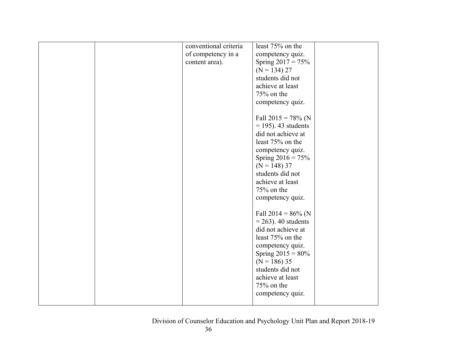| conventional criteria | least 75% on the       |  |
|-----------------------|------------------------|--|
| of competency in a    | competency quiz.       |  |
| content area).        | Spring $2017 = 75%$    |  |
|                       | $(N = 134) 27$         |  |
|                       | students did not       |  |
|                       | achieve at least       |  |
|                       | 75% on the             |  |
|                       | competency quiz.       |  |
|                       |                        |  |
|                       | Fall $2015 = 78\%$ (N  |  |
|                       | $=$ 195). 43 students  |  |
|                       | did not achieve at     |  |
|                       | least 75% on the       |  |
|                       | competency quiz.       |  |
|                       | Spring $2016 = 75%$    |  |
|                       | $(N = 148)$ 37         |  |
|                       | students did not       |  |
|                       |                        |  |
|                       | achieve at least       |  |
|                       | 75% on the             |  |
|                       | competency quiz.       |  |
|                       |                        |  |
|                       | Fall $2014 = 86\%$ (N  |  |
|                       | $= 263$ ). 40 students |  |
|                       | did not achieve at     |  |
|                       | least 75% on the       |  |
|                       | competency quiz.       |  |
|                       | Spring $2015 = 80\%$   |  |
|                       | $(N = 186)$ 35         |  |
|                       | students did not       |  |
|                       | achieve at least       |  |
|                       | 75% on the             |  |
|                       | competency quiz.       |  |
|                       |                        |  |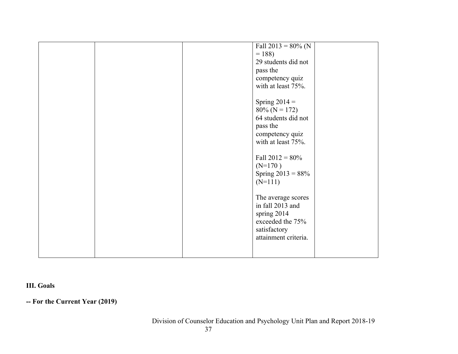|  | Fall $2013 = 80\%$ (N |  |
|--|-----------------------|--|
|  | $= 188$               |  |
|  | 29 students did not   |  |
|  | pass the              |  |
|  | competency quiz       |  |
|  | with at least 75%.    |  |
|  |                       |  |
|  | Spring $2014 =$       |  |
|  |                       |  |
|  | $80\%$ (N = 172)      |  |
|  | 64 students did not   |  |
|  | pass the              |  |
|  | competency quiz       |  |
|  | with at least 75%.    |  |
|  |                       |  |
|  | Fall $2012 = 80\%$    |  |
|  | $(N=170)$             |  |
|  | Spring $2013 = 88%$   |  |
|  | $(N=111)$             |  |
|  |                       |  |
|  | The average scores    |  |
|  | in fall 2013 and      |  |
|  | spring 2014           |  |
|  | exceeded the 75%      |  |
|  | satisfactory          |  |
|  | attainment criteria.  |  |
|  |                       |  |
|  |                       |  |
|  |                       |  |

# **III. Goals**

**-- For the Current Year (2019)**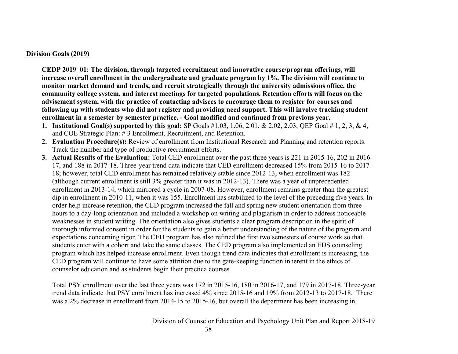#### **Division Goals (2019)**

**CEDP 2019\_01: The division, through targeted recruitment and innovative course/program offerings, will increase overall enrollment in the undergraduate and graduate program by 1%. The division will continue to monitor market demand and trends, and recruit strategically through the university admissions office, the community college system, and interest meetings for targeted populations. Retention efforts will focus on the advisement system, with the practice of contacting advisees to encourage them to register for courses and following up with students who did not register and providing need support. This will involve tracking student enrollment in a semester by semester practice. - Goal modified and continued from previous year.**

- **1. Institutional Goal(s) supported by this goal:** SP Goals #1.03, 1.06, 2.01, & 2.02, 2.03, QEP Goal # 1, 2, 3, & 4, and COE Strategic Plan: # 3 Enrollment, Recruitment, and Retention.
- **2. Evaluation Procedure(s):** Review of enrollment from Institutional Research and Planning and retention reports. Track the number and type of productive recruitment efforts.
- **3. Actual Results of the Evaluation:** Total CED enrollment over the past three years is 221 in 2015-16, 202 in 2016- 17, and 188 in 2017-18. Three-year trend data indicate that CED enrollment decreased 15% from 2015-16 to 2017- 18; however, total CED enrollment has remained relatively stable since 2012-13, when enrollment was 182 (although current enrollment is still 3% greater than it was in 2012-13). There was a year of unprecedented enrollment in 2013-14, which mirrored a cycle in 2007-08. However, enrollment remains greater than the greatest dip in enrollment in 2010-11, when it was 155. Enrollment has stabilized to the level of the preceding five years. In order help increase retention, the CED program increased the fall and spring new student orientation from three hours to a day-long orientation and included a workshop on writing and plagiarism in order to address noticeable weaknesses in student writing. The orientation also gives students a clear program description in the spirit of thorough informed consent in order for the students to gain a better understanding of the nature of the program and expectations concerning rigor. The CED program has also refined the first two semesters of course work so that students enter with a cohort and take the same classes. The CED program also implemented an EDS counseling program which has helped increase enrollment. Even though trend data indicates that enrollment is increasing, the CED program will continue to have some attrition due to the gate-keeping function inherent in the ethics of counselor education and as students begin their practica courses

Total PSY enrollment over the last three years was 172 in 2015-16, 180 in 2016-17, and 179 in 2017-18. Three-year trend data indicate that PSY enrollment has increased 4% since 2015-16 and 19% from 2012-13 to 2017-18. There was a 2% decrease in enrollment from 2014-15 to 2015-16, but overall the department has been increasing in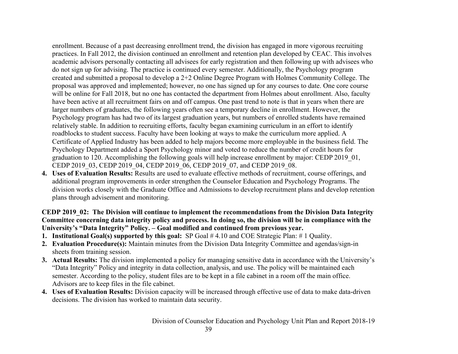enrollment. Because of a past decreasing enrollment trend, the division has engaged in more vigorous recruiting practices. In Fall 2012, the division continued an enrollment and retention plan developed by CEAC. This involves academic advisors personally contacting all advisees for early registration and then following up with advisees who do not sign up for advising. The practice is continued every semester. Additionally, the Psychology program created and submitted a proposal to develop a 2+2 Online Degree Program with Holmes Community College. The proposal was approved and implemented; however, no one has signed up for any courses to date. One core course will be online for Fall 2018, but no one has contacted the department from Holmes about enrollment. Also, faculty have been active at all recruitment fairs on and off campus. One past trend to note is that in years when there are larger numbers of graduates, the following years often see a temporary decline in enrollment. However, the Psychology program has had two of its largest graduation years, but numbers of enrolled students have remained relatively stable. In addition to recruiting efforts, faculty began examining curriculum in an effort to identify roadblocks to student success. Faculty have been looking at ways to make the curriculum more applied. A Certificate of Applied Industry has been added to help majors become more employable in the business field. The Psychology Department added a Sport Psychology minor and voted to reduce the number of credit hours for graduation to 120. Accomplishing the following goals will help increase enrollment by major: CEDP 2019\_01, CEDP 2019\_03, CEDP 2019\_04, CEDP 2019\_06, CEDP 2019\_07, and CEDP 2019\_08.

**4. Uses of Evaluation Results:** Results are used to evaluate effective methods of recruitment, course offerings, and additional program improvements in order strengthen the Counselor Education and Psychology Programs. The division works closely with the Graduate Office and Admissions to develop recruitment plans and develop retention plans through advisement and monitoring.

## **CEDP 2019 02: The Division will continue to implement the recommendations from the Division Data Integrity Committee concerning data integrity policy and process. In doing so, the division will be in compliance with the University's "Data Integrity" Policy. – Goal modified and continued from previous year.**

- **1. Institutional Goal(s) supported by this goal:** SP Goal # 4.10 and COE Strategic Plan: # 1 Quality.
- **2. Evaluation Procedure(s):** Maintain minutes from the Division Data Integrity Committee and agendas/sign-in sheets from training session.
- **3. Actual Results:** The division implemented a policy for managing sensitive data in accordance with the University's "Data Integrity" Policy and integrity in data collection, analysis, and use. The policy will be maintained each semester. According to the policy, student files are to be kept in a file cabinet in a room off the main office. Advisors are to keep files in the file cabinet.
- **4. Uses of Evaluation Results:** Division capacity will be increased through effective use of data to make data-driven decisions. The division has worked to maintain data security.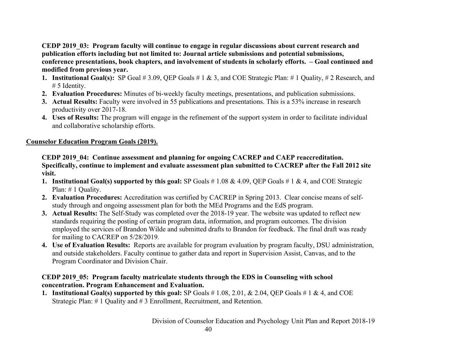**CEDP 2019\_03: Program faculty will continue to engage in regular discussions about current research and publication efforts including but not limited to: Journal article submissions and potential submissions, conference presentations, book chapters, and involvement of students in scholarly efforts. – Goal continued and modified from previous year.**

- **1. Institutional Goal(s):** SP Goal # 3.09, QEP Goals # 1 & 3, and COE Strategic Plan: # 1 Quality, # 2 Research, and # 5 Identity.
- **2. Evaluation Procedures:** Minutes of bi-weekly faculty meetings, presentations, and publication submissions.
- **3. Actual Results:** Faculty were involved in 55 publications and presentations. This is a 53% increase in research productivity over 2017-18.
- **4. Uses of Results:** The program will engage in the refinement of the support system in order to facilitate individual and collaborative scholarship efforts.

# **Counselor Education Program Goals (2019).**

**CEDP 2019\_04: Continue assessment and planning for ongoing CACREP and CAEP reaccreditation. Specifically, continue to implement and evaluate assessment plan submitted to CACREP after the Fall 2012 site visit.** 

- **1. Institutional Goal(s) supported by this goal:** SP Goals # 1.08 & 4.09, QEP Goals # 1 & 4, and COE Strategic Plan: # 1 Quality.
- **2. Evaluation Procedures:** Accreditation was certified by CACREP in Spring 2013. Clear concise means of selfstudy through and ongoing assessment plan for both the MEd Programs and the EdS program.
- **3. Actual Results:** The Self-Study was completed over the 2018-19 year. The website was updated to reflect new standards requiring the posting of certain program data, information, and program outcomes. The division employed the services of Brandon Wilde and submitted drafts to Brandon for feedback. The final draft was ready for mailing to CACREP on 5/28/2019.
- **4. Use of Evaluation Results:** Reports are available for program evaluation by program faculty, DSU administration, and outside stakeholders. Faculty continue to gather data and report in Supervision Assist, Canvas, and to the Program Coordinator and Division Chair.

# **CEDP 2019\_05: Program faculty matriculate students through the EDS in Counseling with school concentration. Program Enhancement and Evaluation.**

**1. Institutional Goal(s) supported by this goal:** SP Goals # 1.08, 2.01, & 2.04, QEP Goals # 1 & 4, and COE Strategic Plan: # 1 Quality and # 3 Enrollment, Recruitment, and Retention.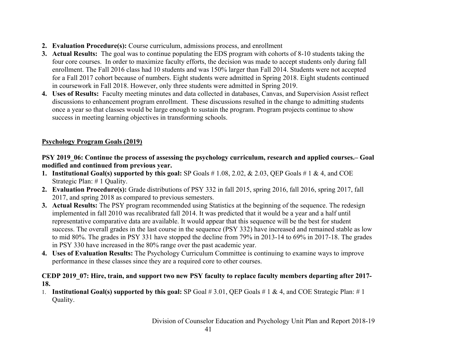- **2. Evaluation Procedure(s):** Course curriculum, admissions process, and enrollment
- **3. Actual Results:** The goal was to continue populating the EDS program with cohorts of 8-10 students taking the four core courses. In order to maximize faculty efforts, the decision was made to accept students only during fall enrollment. The Fall 2016 class had 10 students and was 150% larger than Fall 2014. Students were not accepted for a Fall 2017 cohort because of numbers. Eight students were admitted in Spring 2018. Eight students continued in coursework in Fall 2018. However, only three students were admitted in Spring 2019.
- **4. Uses of Results:** Faculty meeting minutes and data collected in databases, Canvas, and Supervision Assist reflect discussions to enhancement program enrollment. These discussions resulted in the change to admitting students once a year so that classes would be large enough to sustain the program. Program projects continue to show success in meeting learning objectives in transforming schools.

## **Psychology Program Goals (2019)**

## **PSY 2019\_06: Continue the process of assessing the psychology curriculum, research and applied courses.– Goal modified and continued from previous year.**

- **1. Institutional Goal(s) supported by this goal:** SP Goals # 1.08, 2.02, & 2.03, QEP Goals # 1 & 4, and COE Strategic Plan: # 1 Quality.
- **2. Evaluation Procedure(s):** Grade distributions of PSY 332 in fall 2015, spring 2016, fall 2016, spring 2017, fall 2017, and spring 2018 as compared to previous semesters.
- **3. Actual Results:** The PSY program recommended using Statistics at the beginning of the sequence. The redesign implemented in fall 2010 was recalibrated fall 2014. It was predicted that it would be a year and a half until representative comparative data are available. It would appear that this sequence will be the best for student success. The overall grades in the last course in the sequence (PSY 332) have increased and remained stable as low to mid 80%. The grades in PSY 331 have stopped the decline from 79% in 2013-14 to 69% in 2017-18. The grades in PSY 330 have increased in the 80% range over the past academic year.
- **4. Uses of Evaluation Results:** The Psychology Curriculum Committee is continuing to examine ways to improve performance in these classes since they are a required core to other courses.

## **CEDP 2019\_07: Hire, train, and support two new PSY faculty to replace faculty members departing after 2017- 18.**

1. **Institutional Goal(s) supported by this goal:** SP Goal # 3.01, QEP Goals # 1 & 4, and COE Strategic Plan: # 1 Quality.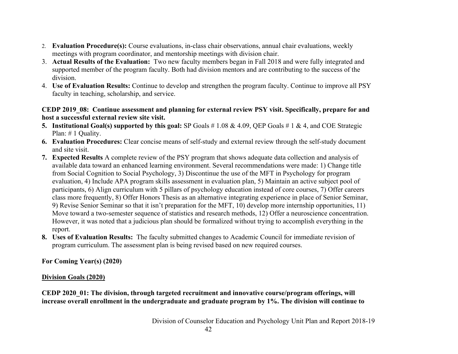- 2. **Evaluation Procedure(s):** Course evaluations, in-class chair observations, annual chair evaluations, weekly meetings with program coordinator, and mentorship meetings with division chair.
- 3. **Actual Results of the Evaluation:** Two new faculty members began in Fall 2018 and were fully integrated and supported member of the program faculty. Both had division mentors and are contributing to the success of the division.
- 4. **Use of Evaluation Results:** Continue to develop and strengthen the program faculty. Continue to improve all PSY faculty in teaching, scholarship, and service.

#### **CEDP 2019\_08: Continue assessment and planning for external review PSY visit. Specifically, prepare for and host a successful external review site visit.**

- **5. Institutional Goal(s) supported by this goal:** SP Goals # 1.08 & 4.09, QEP Goals # 1 & 4, and COE Strategic Plan: # 1 Quality.
- **6. Evaluation Procedures:** Clear concise means of self-study and external review through the self-study document and site visit.
- **7. Expected Results** A complete review of the PSY program that shows adequate data collection and analysis of available data toward an enhanced learning environment. Several recommendations were made: 1) Change title from Social Cognition to Social Psychology, 3) Discontinue the use of the MFT in Psychology for program evaluation, 4) Include APA program skills assessment in evaluation plan, 5) Maintain an active subject pool of participants, 6) Align curriculum with 5 pillars of psychology education instead of core courses, 7) Offer careers class more frequently, 8) Offer Honors Thesis as an alternative integrating experience in place of Senior Seminar, 9) Revise Senior Seminar so that it isn't preparation for the MFT, 10) develop more internship opportunities, 11) Move toward a two-semester sequence of statistics and research methods, 12) Offer a neuroscience concentration. However, it was noted that a judicious plan should be formalized without trying to accomplish everything in the report.
- **8. Uses of Evaluation Results:** The faculty submitted changes to Academic Council for immediate revision of program curriculum. The assessment plan is being revised based on new required courses.

**For Coming Year(s) (2020)**

## **Division Goals (2020)**

**CEDP 2020\_01: The division, through targeted recruitment and innovative course/program offerings, will increase overall enrollment in the undergraduate and graduate program by 1%. The division will continue to**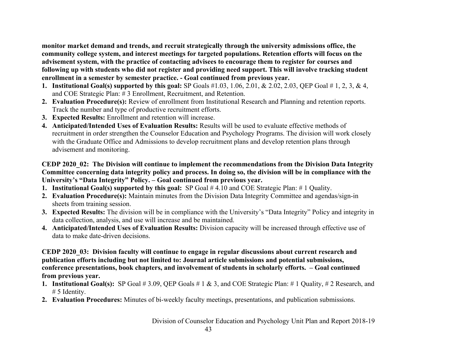**monitor market demand and trends, and recruit strategically through the university admissions office, the community college system, and interest meetings for targeted populations. Retention efforts will focus on the advisement system, with the practice of contacting advisees to encourage them to register for courses and following up with students who did not register and providing need support. This will involve tracking student enrollment in a semester by semester practice. - Goal continued from previous year.**

- **1. Institutional Goal(s) supported by this goal:** SP Goals #1.03, 1.06, 2.01, & 2.02, 2.03, QEP Goal # 1, 2, 3, & 4, and COE Strategic Plan: # 3 Enrollment, Recruitment, and Retention.
- **2. Evaluation Procedure(s):** Review of enrollment from Institutional Research and Planning and retention reports. Track the number and type of productive recruitment efforts.
- **3. Expected Results:** Enrollment and retention will increase.
- **4. Anticipated/Intended Uses of Evaluation Results:** Results will be used to evaluate effective methods of recruitment in order strengthen the Counselor Education and Psychology Programs. The division will work closely with the Graduate Office and Admissions to develop recruitment plans and develop retention plans through advisement and monitoring.

## **CEDP 2020\_02: The Division will continue to implement the recommendations from the Division Data Integrity Committee concerning data integrity policy and process. In doing so, the division will be in compliance with the University's "Data Integrity" Policy. – Goal continued from previous year.**

- **1. Institutional Goal(s) supported by this goal:** SP Goal # 4.10 and COE Strategic Plan: # 1 Quality.
- **2. Evaluation Procedure(s):** Maintain minutes from the Division Data Integrity Committee and agendas/sign-in sheets from training session.
- **3. Expected Results:** The division will be in compliance with the University's "Data Integrity" Policy and integrity in data collection, analysis, and use will increase and be maintained.
- **4. Anticipated/Intended Uses of Evaluation Results:** Division capacity will be increased through effective use of data to make date-driven decisions.

## **CEDP 2020\_03: Division faculty will continue to engage in regular discussions about current research and publication efforts including but not limited to: Journal article submissions and potential submissions, conference presentations, book chapters, and involvement of students in scholarly efforts. – Goal continued from previous year.**

- **1. Institutional Goal(s):** SP Goal # 3.09, QEP Goals # 1 & 3, and COE Strategic Plan: # 1 Quality, # 2 Research, and # 5 Identity.
- **2. Evaluation Procedures:** Minutes of bi-weekly faculty meetings, presentations, and publication submissions.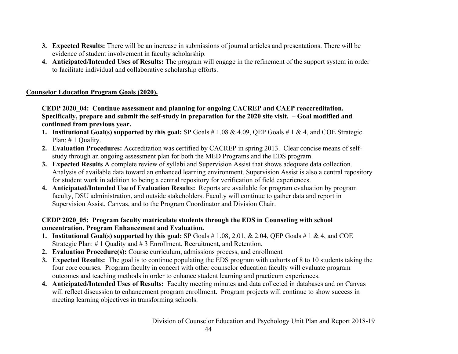- **3. Expected Results:** There will be an increase in submissions of journal articles and presentations. There will be evidence of student involvement in faculty scholarship.
- **4. Anticipated/Intended Uses of Results:** The program will engage in the refinement of the support system in order to facilitate individual and collaborative scholarship efforts.

## **Counselor Education Program Goals (2020).**

**CEDP 2020\_04: Continue assessment and planning for ongoing CACREP and CAEP reaccreditation. Specifically, prepare and submit the self-study in preparation for the 2020 site visit. – Goal modified and continued from previous year.**

- **1. Institutional Goal(s) supported by this goal:** SP Goals # 1.08 & 4.09, QEP Goals # 1 & 4, and COE Strategic Plan: # 1 Quality.
- **2. Evaluation Procedures:** Accreditation was certified by CACREP in spring 2013. Clear concise means of selfstudy through an ongoing assessment plan for both the MED Programs and the EDS program.
- **3. Expected Results** A complete review of syllabi and Supervision Assist that shows adequate data collection. Analysis of available data toward an enhanced learning environment. Supervision Assist is also a central repository for student work in addition to being a central repository for verification of field experiences.
- **4. Anticipated/Intended Use of Evaluation Results:** Reports are available for program evaluation by program faculty, DSU administration, and outside stakeholders. Faculty will continue to gather data and report in Supervision Assist, Canvas, and to the Program Coordinator and Division Chair.

## **CEDP 2020\_05: Program faculty matriculate students through the EDS in Counseling with school concentration. Program Enhancement and Evaluation.**

- **1. Institutional Goal(s) supported by this goal:** SP Goals # 1.08, 2.01, & 2.04, QEP Goals # 1 & 4, and COE Strategic Plan: # 1 Quality and # 3 Enrollment, Recruitment, and Retention.
- **2. Evaluation Procedure(s):** Course curriculum, admissions process, and enrollment
- **3. Expected Results:** The goal is to continue populating the EDS program with cohorts of 8 to 10 students taking the four core courses. Program faculty in concert with other counselor education faculty will evaluate program outcomes and teaching methods in order to enhance student learning and practicum experiences.
- **4. Anticipated/Intended Uses of Results:** Faculty meeting minutes and data collected in databases and on Canvas will reflect discussion to enhancement program enrollment. Program projects will continue to show success in meeting learning objectives in transforming schools.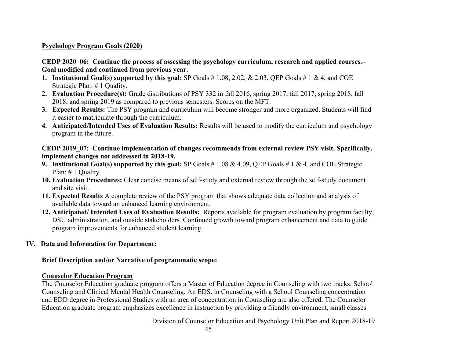#### **Psychology Program Goals (2020)**

#### **CEDP 2020\_06: Continue the process of assessing the psychology curriculum, research and applied courses.– Goal modified and continued from previous year.**

- **1. Institutional Goal(s) supported by this goal:** SP Goals # 1.08, 2.02, & 2.03, QEP Goals # 1 & 4, and COE Strategic Plan: # 1 Quality.
- **2. Evaluation Procedure(s):** Grade distributions of PSY 332 in fall 2016, spring 2017, fall 2017, spring 2018. fall 2018, and spring 2019 as compared to previous semesters. Scores on the MFT.
- **3. Expected Results:** The PSY program and curriculum will become stronger and more organized. Students will find it easier to matriculate through the curriculum.
- **4. Anticipated/Intended Uses of Evaluation Results:** Results will be used to modify the curriculum and psychology program in the future.

#### **CEDP 2019\_07: Continue implementation of changes recommends from external review PSY visit. Specifically, implement changes not addressed in 2018-19.**

- **9. Institutional Goal(s) supported by this goal:** SP Goals # 1.08 & 4.09, QEP Goals # 1 & 4, and COE Strategic Plan: # 1 Quality.
- **10. Evaluation Procedures:** Clear concise means of self-study and external review through the self-study document and site visit.
- **11. Expected Results** A complete review of the PSY program that shows adequate data collection and analysis of available data toward an enhanced learning environment.
- **12. Anticipated/ Intended Uses of Evaluation Results:** Reports available for program evaluation by program faculty, DSU administration, and outside stakeholders. Continued growth toward program enhancement and data to guide program improvements for enhanced student learning.

## **IV. Data and Information for Department:**

## **Brief Description and/or Narrative of programmatic scope:**

#### **Counselor Education Program**

The Counselor Education graduate program offers a Master of Education degree in Counseling with two tracks: School Counseling and Clinical Mental Health Counseling. An EDS. in Counseling with a School Counseling concentration and EDD degree in Professional Studies with an area of concentration in Counseling are also offered. The Counselor Education graduate program emphasizes excellence in instruction by providing a friendly environment, small classes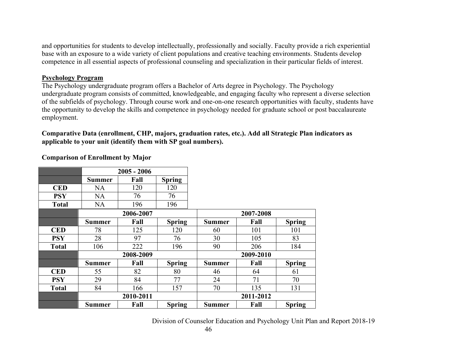and opportunities for students to develop intellectually, professionally and socially. Faculty provide a rich experiential base with an exposure to a wide variety of client populations and creative teaching environments. Students develop competence in all essential aspects of professional counseling and specialization in their particular fields of interest.

#### **Psychology Program**

The Psychology undergraduate program offers a Bachelor of Arts degree in Psychology. The Psychology undergraduate program consists of committed, knowledgeable, and engaging faculty who represent a diverse selection of the subfields of psychology. Through course work and one-on-one research opportunities with faculty, students have the opportunity to develop the skills and competence in psychology needed for graduate school or post baccalaureate employment.

**Comparative Data (enrollment, CHP, majors, graduation rates, etc.). Add all Strategic Plan indicators as applicable to your unit (identify them with SP goal numbers).**

|              |               | $2005 - 2006$ |               |               |           |               |
|--------------|---------------|---------------|---------------|---------------|-----------|---------------|
|              | <b>Summer</b> | Fall          | <b>Spring</b> |               |           |               |
| <b>CED</b>   | NA            | 120           | 120           |               |           |               |
| <b>PSY</b>   | <b>NA</b>     | 76            | 76            |               |           |               |
| <b>Total</b> | <b>NA</b>     | 196           | 196           |               |           |               |
|              |               | 2006-2007     |               |               | 2007-2008 |               |
|              | <b>Summer</b> | Fall          | <b>Spring</b> | <b>Summer</b> | Fall      | <b>Spring</b> |
| <b>CED</b>   | 78            | 125           | 120           | 60            | 101       | 101           |
| <b>PSY</b>   | 28            | 97            | 76            | 30            | 105       | 83            |
| <b>Total</b> | 106           | 222           | 196           | 90            | 206       | 184           |
|              |               | 2008-2009     |               | 2009-2010     |           |               |
|              | <b>Summer</b> | Fall          | <b>Spring</b> | <b>Summer</b> | Fall      | <b>Spring</b> |
| <b>CED</b>   | 55            | 82            | 80            | 46            | 64        | 61            |
| <b>PSY</b>   | 29            | 84            | 77            | 24            | 71        | 70            |
| <b>Total</b> | 84            | 166           | 157           | 70            | 135       | 131           |
|              |               | 2010-2011     |               | 2011-2012     |           |               |
|              | <b>Summer</b> | Fall          | <b>Spring</b> | <b>Summer</b> | Fall      | <b>Spring</b> |

#### **Comparison of Enrollment by Major**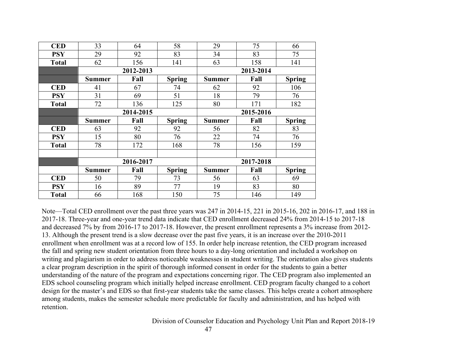| <b>CED</b>   | 33            | 64        | 58            | 29            | 75        | 66            |  |
|--------------|---------------|-----------|---------------|---------------|-----------|---------------|--|
| <b>PSY</b>   | 29            | 92        | 83            | 34            | 83        | 75            |  |
| <b>Total</b> | 62            | 156       | 141           | 63            | 158       | 141           |  |
|              |               | 2012-2013 |               |               | 2013-2014 |               |  |
|              | <b>Summer</b> | Fall      | <b>Spring</b> | <b>Summer</b> | Fall      | <b>Spring</b> |  |
| <b>CED</b>   | 41            | 67        | 74            | 62            | 92        | 106           |  |
| <b>PSY</b>   | 31            | 69        | 51            | 18            | 79        | 76            |  |
| <b>Total</b> | 72            | 136       | 125           | 80            | 171       | 182           |  |
|              |               | 2014-2015 |               |               | 2015-2016 |               |  |
|              | <b>Summer</b> | Fall      | <b>Spring</b> | <b>Summer</b> | Fall      | <b>Spring</b> |  |
| <b>CED</b>   | 63            | 92        | 92            | 56            | 82        | 83            |  |
| <b>PSY</b>   | 15            | 80        | 76            | 22            | 74        | 76            |  |
| <b>Total</b> | 78            | 172       | 168           | 78            | 156       | 159           |  |
|              |               |           |               |               |           |               |  |
|              |               | 2016-2017 |               |               | 2017-2018 |               |  |
|              | <b>Summer</b> | Fall      | <b>Spring</b> | <b>Summer</b> | Fall      | <b>Spring</b> |  |
| <b>CED</b>   | 50            | 79        | 73            | 56            | 63        | 69            |  |
| <b>PSY</b>   | 16            | 89        | 77            | 19            | 83        | 80            |  |
| <b>Total</b> | 66            | 168       | 150           | 75            | 146       | 149           |  |

Note—Total CED enrollment over the past three years was 247 in 2014-15, 221 in 2015-16, 202 in 2016-17, and 188 in 2017-18. Three-year and one-year trend data indicate that CED enrollment decreased 24% from 2014-15 to 2017-18 and decreased 7% by from 2016-17 to 2017-18. However, the present enrollment represents a 3% increase from 2012- 13. Although the present trend is a slow decrease over the past five years, it is an increase over the 2010-2011 enrollment when enrollment was at a record low of 155. In order help increase retention, the CED program increased the fall and spring new student orientation from three hours to a day-long orientation and included a workshop on writing and plagiarism in order to address noticeable weaknesses in student writing. The orientation also gives students a clear program description in the spirit of thorough informed consent in order for the students to gain a better understanding of the nature of the program and expectations concerning rigor. The CED program also implemented an EDS school counseling program which initially helped increase enrollment. CED program faculty changed to a cohort design for the master's and EDS so that first-year students take the same classes. This helps create a cohort atmosphere among students, makes the semester schedule more predictable for faculty and administration, and has helped with retention.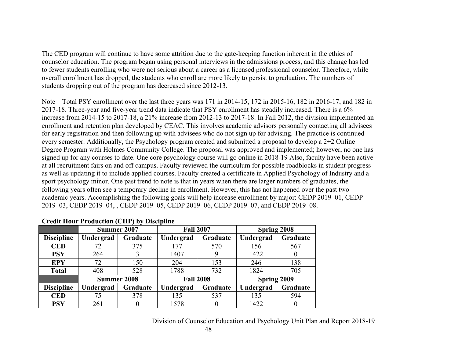The CED program will continue to have some attrition due to the gate-keeping function inherent in the ethics of counselor education. The program began using personal interviews in the admissions process, and this change has led to fewer students enrolling who were not serious about a career as a licensed professional counselor. Therefore, while overall enrollment has dropped, the students who enroll are more likely to persist to graduation. The numbers of students dropping out of the program has decreased since 2012-13.

Note—Total PSY enrollment over the last three years was 171 in 2014-15, 172 in 2015-16, 182 in 2016-17, and 182 in 2017-18. Three-year and five-year trend data indicate that PSY enrollment has steadily increased. There is a 6% increase from 2014-15 to 2017-18, a 21% increase from 2012-13 to 2017-18. In Fall 2012, the division implemented an enrollment and retention plan developed by CEAC. This involves academic advisors personally contacting all advisees for early registration and then following up with advisees who do not sign up for advising. The practice is continued every semester. Additionally, the Psychology program created and submitted a proposal to develop a 2+2 Online Degree Program with Holmes Community College. The proposal was approved and implemented; however, no one has signed up for any courses to date. One core psychology course will go online in 2018-19 Also, faculty have been active at all recruitment fairs on and off campus. Faculty reviewed the curriculum for possible roadblocks in student progress as well as updating it to include applied courses. Faculty created a certificate in Applied Psychology of Industry and a sport psychology minor. One past trend to note is that in years when there are larger numbers of graduates, the following years often see a temporary decline in enrollment. However, this has not happened over the past two academic years. Accomplishing the following goals will help increase enrollment by major: CEDP 2019\_01, CEDP 2019 03, CEDP 2019 04, , CEDP 2019 05, CEDP 2019 06, CEDP 2019 07, and CEDP 2019 08.

|                   | Summer 2007        |          | <b>Fall 2007</b> |          | Spring 2008        |          |
|-------------------|--------------------|----------|------------------|----------|--------------------|----------|
| <b>Discipline</b> | Undergrad          | Graduate | Undergrad        | Graduate | Undergrad          | Graduate |
| <b>CED</b>        | 72                 | 375      | 177              | 570      | 156                | 567      |
| <b>PSY</b>        | 264                |          | 1407             | 9        | 1422               | $\bf{0}$ |
| <b>EPY</b>        | 72                 | 150      | 204              | 153      | 246                | 138      |
| <b>Total</b>      | 408                | 528      | 1788             | 732      | 1824               | 705      |
|                   | <b>Summer 2008</b> |          | <b>Fall 2008</b> |          | <b>Spring 2009</b> |          |
| <b>Discipline</b> | Undergrad          | Graduate | Undergrad        | Graduate | Undergrad          | Graduate |
| <b>CED</b>        | 75                 | 378      | 135              | 537      | 135                | 594      |
| <b>PSY</b>        | 261                |          | 1578             | 0        | 1422               | $\theta$ |

#### **Credit Hour Production (CHP) by Discipline**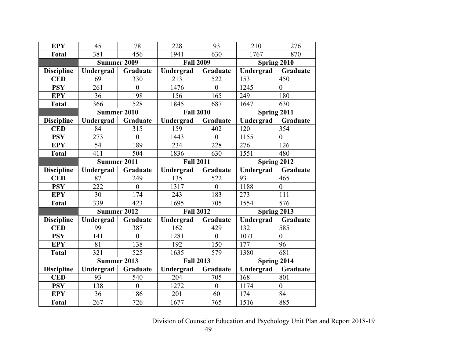| <b>EPY</b>        | 45                 | 78               | 228              | 93               | 210           | 276              |
|-------------------|--------------------|------------------|------------------|------------------|---------------|------------------|
| <b>Total</b>      | 381                | 456              | 1941             | 630              | 1767          | 870              |
|                   | <b>Summer 2009</b> |                  | <b>Fall 2009</b> |                  |               | Spring 2010      |
| <b>Discipline</b> | Undergrad          | Graduate         | Undergrad        | Graduate         | Undergrad     | Graduate         |
| <b>CED</b>        | 69                 | 330              | 213              | 522              | 153           | 450              |
| <b>PSY</b>        | 261                | $\overline{0}$   | 1476             | $\theta$         | 1245          | $\overline{0}$   |
| <b>EPY</b>        | 36                 | 198              | 156              | 165              | 249           | 180              |
| <b>Total</b>      | 366                | 528              | 1845             | 687              | 1647          | 630              |
|                   | Summer 2010        |                  | <b>Fall 2010</b> |                  | Spring 2011   |                  |
| <b>Discipline</b> | Undergrad          | Graduate         | Undergrad        | <b>Graduate</b>  | Undergrad     | Graduate         |
| <b>CED</b>        | 84                 | 315              | 159              | 402              | 120           | 354              |
| <b>PSY</b>        | 273                | $\theta$         | 1443             | $\theta$         | 1155          | $\theta$         |
| <b>EPY</b>        | 54                 | 189              | 234              | 228              | 276           | 126              |
| <b>Total</b>      | 411                | 504              | 1836             | 630              | 1551          | 480              |
|                   | Summer 2011        |                  | <b>Fall 2011</b> |                  | Spring $2012$ |                  |
| <b>Discipline</b> | Undergrad          | Graduate         | Undergrad        | Graduate         | Undergrad     | Graduate         |
| <b>CED</b>        | 87                 | 249              | 135              | 522              | 93            | 465              |
| <b>PSY</b>        | 222                | $\overline{0}$   | 1317             | $\overline{0}$   | 1188          | $\boldsymbol{0}$ |
| <b>EPY</b>        | 30                 | 174              | 243              | 183              | 273           | 111              |
| <b>Total</b>      | 339                | 423              | 1695             | 705              | 1554          | 576              |
|                   | <b>Summer 2012</b> |                  | <b>Fall 2012</b> |                  | Spring 2013   |                  |
| <b>Discipline</b> | Undergrad          | Graduate         | Undergrad        | <b>Graduate</b>  | Undergrad     | Graduate         |
| <b>CED</b>        | 99                 | 387              | 162              | 429              | 132           | 585              |
| <b>PSY</b>        | 141                | $\theta$         | 1281             | $\mathbf{0}$     | 1071          | $\overline{0}$   |
| <b>EPY</b>        | 81                 | 138              | 192              | 150              | 177           | 96               |
| <b>Total</b>      | 321                | 525              | 1635             | 579              | 1380          | 681              |
|                   | Summer 2013        |                  | <b>Fall 2013</b> |                  |               | Spring 2014      |
| <b>Discipline</b> | Undergrad          | Graduate         | Undergrad        | Graduate         | Undergrad     | Graduate         |
| <b>CED</b>        | 93                 | 540              | 204              | 705              | 168           | 801              |
| <b>PSY</b>        | 138                | $\boldsymbol{0}$ | 1272             | $\boldsymbol{0}$ | 1174          | $\boldsymbol{0}$ |
| <b>EPY</b>        | 36                 | 186              | 201              | 60               | 174           | 84               |
| <b>Total</b>      | 267                | 726              | 1677             | 765              | 1516          | 885              |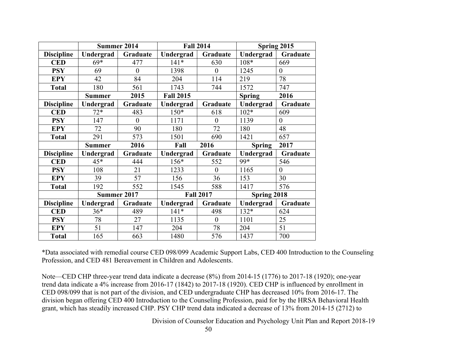|                   |               | <b>Summer 2014</b> |                  | <b>Fall 2014</b> | Spring 2015   |                |
|-------------------|---------------|--------------------|------------------|------------------|---------------|----------------|
| <b>Discipline</b> | Undergrad     | Graduate           | Undergrad        | Graduate         | Undergrad     | Graduate       |
| <b>CED</b>        | $69*$         | 477                | $141*$           | 630              | 108*          | 669            |
| <b>PSY</b>        | 69            | $\theta$           | 1398             | $\theta$         | 1245          | $\overline{0}$ |
| <b>EPY</b>        | 42            | 84                 | 204              | 114              | 219           | 78             |
| <b>Total</b>      | 180           | 561                | 1743             | 744              | 1572          | 747            |
|                   | <b>Summer</b> | 2015               | <b>Fall 2015</b> |                  | <b>Spring</b> | 2016           |
| <b>Discipline</b> | Undergrad     | Graduate           | Undergrad        | Graduate         | Undergrad     | Graduate       |
| <b>CED</b>        | $72*$         | 483                | $150*$           | 618              | $102*$        | 609            |
| <b>PSY</b>        | 147           | $\overline{0}$     | 1171             | $\mathbf{0}$     | 1139          | $\overline{0}$ |
| <b>EPY</b>        | 72            | 90                 | 180              | 72               | 180           | 48             |
| <b>Total</b>      | 291           | 573                | 1501             | 690              | 1421          | 657            |
|                   | <b>Summer</b> | 2016               | Fall             | 2016             | <b>Spring</b> | 2017           |
| <b>Discipline</b> | Undergrad     | Graduate           | Undergrad        | Graduate         | Undergrad     | Graduate       |
| <b>CED</b>        | $45*$         | 444                | $156*$           | 552              | 99*           | 546            |
| <b>PSY</b>        | 108           | 21                 | 1233             | $\theta$         | 1165          | $\overline{0}$ |
| <b>EPY</b>        | 39            | 57                 | 156              | 36               | 153           | 30             |
| <b>Total</b>      | 192           | 552                | 1545             | 588              | 1417          | 576            |
|                   |               | <b>Summer 2017</b> | <b>Fall 2017</b> |                  | Spring 2018   |                |
| <b>Discipline</b> | Undergrad     | Graduate           | Undergrad        | Graduate         | Undergrad     | Graduate       |
| <b>CED</b>        | $36*$         | 489                | $141*$           | 498              | $132*$        | 624            |
| <b>PSY</b>        | 78            | 27                 | 1135             | $\theta$         | 1101          | 25             |
| <b>EPY</b>        | 51            | 147                | 204              | 78               | 204           | 51             |
| <b>Total</b>      | 165           | 663                | 1480             | 576              | 1437          | 700            |

\*Data associated with remedial course CED 098/099 Academic Support Labs, CED 400 Introduction to the Counseling Profession, and CED 481 Bereavement in Children and Adolescents.

Note—CED CHP three-year trend data indicate a decrease (8%) from 2014-15 (1776) to 2017-18 (1920); one-year trend data indicate a 4% increase from 2016-17 (1842) to 2017-18 (1920). CED CHP is influenced by enrollment in CED 098/099 that is not part of the division, and CED undergraduate CHP has decreased 10% from 2016-17. The division began offering CED 400 Introduction to the Counseling Profession, paid for by the HRSA Behavioral Health grant, which has steadily increased CHP. PSY CHP trend data indicated a decrease of 13% from 2014-15 (2712) to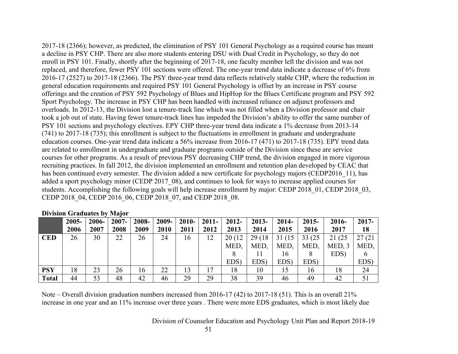2017-18 (2366); however, as predicted, the elimination of PSY 101 General Psychology as a required course has meant a decline in PSY CHP. There are also more students entering DSU with Dual Credit in Psychology, so they do not enroll in PSY 101. Finally, shortly after the beginning of 2017-18, one faculty member left the division and was not replaced, and therefore, fewer PSY 101 sections were offered. The one-year trend data indicate a decrease of 6% from 2016-17 (2527) to 2017-18 (2366). The PSY three-year trend data reflects relatively stable CHP, where the reduction in general education requirements and required PSY 101 General Psychology is offset by an increase in PSY course offerings and the creation of PSY 592 Psychology of Blues and HipHop for the Blues Certificate program and PSY 592 Sport Psychology. The increase in PSY CHP has been handled with increased reliance on adjunct professors and overloads. In 2012-13, the Division lost a tenure-track line which was not filled when a Division professor and chair took a job out of state. Having fewer tenure-track lines has impeded the Division's ability to offer the same number of PSY 101 sections and psychology electives. EPY CHP three-year trend data indicate a 1% decrease from 2013-14 (741) to 2017-18 (735); this enrollment is subject to the fluctuations in enrollment in graduate and undergraduate education courses. One-year trend data indicate a 56% increase from 2016-17 (471) to 2017-18 (735). EPY trend data are related to enrollment in undergraduate and graduate programs outside of the Division since these are service courses for other programs. As a result of previous PSY decreasing CHP trend, the division engaged in more vigorous recruiting practices. In fall 2012, the division implemented an enrollment and retention plan developed by CEAC that has been continued every semester. The division added a new certificate for psychology majors (CEDP2016 11), has added a sport psychology minor (CEDP 2017–08), and continues to look for ways to increase applied courses for students. Accomplishing the following goals will help increase enrollment by major: CEDP 2018 01, CEDP 2018 03, CEDP 2018\_04, CEDP 2016\_06, CEDP 2018\_07, and CEDP 2018\_08.

|            | $2005 -$ | 2006- | 2007- | 2008- | 2009- | $2010 -$ | $2011 -$ | $2012 -$ | $2013 -$ | 2014-   | $2015 -$ | 2016-   | $2017 -$ |
|------------|----------|-------|-------|-------|-------|----------|----------|----------|----------|---------|----------|---------|----------|
|            | 2006     | 2007  | 2008  | 2009  | 2010  | 2011     | 2012     | 2013     | 2014     | 2015    | 2016     | 2017    | 18       |
| <b>CED</b> | 26       | 30    | 22    | 26    | 24    | 16       | 12       | 20(12)   | 29 (18)  | 31 (15) | 33 (25)  | 21 (25) | 27(21)   |
|            |          |       |       |       |       |          |          | MED,     | MED,     | MED,    | MED,     | MED, 3  | MED,     |
|            |          |       |       |       |       |          |          |          |          | 16      |          | EDS)    | 6        |
|            |          |       |       |       |       |          |          | EDS)     | EDS)     | EDS)    | EDS)     |         | EDS)     |
| <b>PSY</b> | 18       | 23    | 26    | 16    | 22    | 13       | 17       | 18       | 10       | 15      | 16       | 18      | 24       |
| Total      | 44       | 53    | 48    | 42    | 46    | 29       | 29       | 38       | 39       | 46      | 49       | 42      | 51       |

#### **Division Graduates by Major**

Note – Overall division graduation numbers increased from 2016-17 (42) to 2017-18 (51). This is an overall 21% increase in one year and an 11% increase over three years . There were more EDS graduates, which is most likely due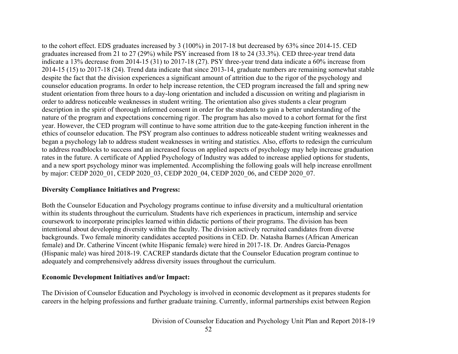to the cohort effect. EDS graduates increased by 3 (100%) in 2017-18 but decreased by 63% since 2014-15. CED graduates increased from 21 to 27 (29%) while PSY increased from 18 to 24 (33.3%). CED three-year trend data indicate a 13% decrease from 2014-15 (31) to 2017-18 (27). PSY three-year trend data indicate a 60% increase from 2014-15 (15) to 2017-18 (24). Trend data indicate that since 2013-14, graduate numbers are remaining somewhat stable despite the fact that the division experiences a significant amount of attrition due to the rigor of the psychology and counselor education programs. In order to help increase retention, the CED program increased the fall and spring new student orientation from three hours to a day-long orientation and included a discussion on writing and plagiarism in order to address noticeable weaknesses in student writing. The orientation also gives students a clear program description in the spirit of thorough informed consent in order for the students to gain a better understanding of the nature of the program and expectations concerning rigor. The program has also moved to a cohort format for the first year. However, the CED program will continue to have some attrition due to the gate-keeping function inherent in the ethics of counselor education. The PSY program also continues to address noticeable student writing weaknesses and began a psychology lab to address student weaknesses in writing and statistics. Also, efforts to redesign the curriculum to address roadblocks to success and an increased focus on applied aspects of psychology may help increase graduation rates in the future. A certificate of Applied Psychology of Industry was added to increase applied options for students, and a new sport psychology minor was implemented. Accomplishing the following goals will help increase enrollment by major: CEDP 2020 01, CEDP 2020 03, CEDP 2020 04, CEDP 2020 06, and CEDP 2020 07.

## **Diversity Compliance Initiatives and Progress:**

Both the Counselor Education and Psychology programs continue to infuse diversity and a multicultural orientation within its students throughout the curriculum. Students have rich experiences in practicum, internship and service coursework to incorporate principles learned within didactic portions of their programs. The division has been intentional about developing diversity within the faculty. The division actively recruited candidates from diverse backgrounds. Two female minority candidates accepted positions in CED. Dr. Natasha Barnes (African American female) and Dr. Catherine Vincent (white Hispanic female) were hired in 2017-18. Dr. Andres Garcia-Penagos (Hispanic male) was hired 2018-19. CACREP standards dictate that the Counselor Education program continue to adequately and comprehensively address diversity issues throughout the curriculum.

#### **Economic Development Initiatives and/or Impact:**

The Division of Counselor Education and Psychology is involved in economic development as it prepares students for careers in the helping professions and further graduate training. Currently, informal partnerships exist between Region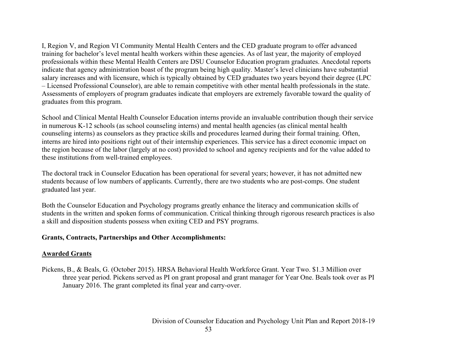I, Region V, and Region VI Community Mental Health Centers and the CED graduate program to offer advanced training for bachelor's level mental health workers within these agencies. As of last year, the majority of employed professionals within these Mental Health Centers are DSU Counselor Education program graduates. Anecdotal reports indicate that agency administration boast of the program being high quality. Master's level clinicians have substantial salary increases and with licensure, which is typically obtained by CED graduates two years beyond their degree (LPC – Licensed Professional Counselor), are able to remain competitive with other mental health professionals in the state. Assessments of employers of program graduates indicate that employers are extremely favorable toward the quality of graduates from this program.

School and Clinical Mental Health Counselor Education interns provide an invaluable contribution though their service in numerous K-12 schools (as school counseling interns) and mental health agencies (as clinical mental health counseling interns) as counselors as they practice skills and procedures learned during their formal training. Often, interns are hired into positions right out of their internship experiences. This service has a direct economic impact on the region because of the labor (largely at no cost) provided to school and agency recipients and for the value added to these institutions from well-trained employees.

The doctoral track in Counselor Education has been operational for several years; however, it has not admitted new students because of low numbers of applicants. Currently, there are two students who are post-comps. One student graduated last year.

Both the Counselor Education and Psychology programs greatly enhance the literacy and communication skills of students in the written and spoken forms of communication. Critical thinking through rigorous research practices is also a skill and disposition students possess when exiting CED and PSY programs.

#### **Grants, Contracts, Partnerships and Other Accomplishments:**

#### **Awarded Grants**

Pickens, B., & Beals, G. (October 2015). HRSA Behavioral Health Workforce Grant. Year Two. \$1.3 Million over three year period. Pickens served as PI on grant proposal and grant manager for Year One. Beals took over as PI January 2016. The grant completed its final year and carry-over.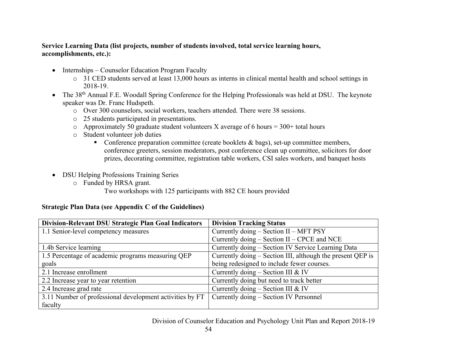## **Service Learning Data (list projects, number of students involved, total service learning hours, accomplishments, etc.):**

- Internships Counselor Education Program Faculty
	- o 31 CED students served at least 13,000 hours as interns in clinical mental health and school settings in 2018-19.
- The 38<sup>th</sup> Annual F.E. Woodall Spring Conference for the Helping Professionals was held at DSU. The keynote speaker was Dr. Franc Hudspeth.
	- o Over 300 counselors, social workers, teachers attended. There were 38 sessions.
	- o 25 students participated in presentations.
	- $\circ$  Approximately 50 graduate student volunteers X average of 6 hours = 300+ total hours
	- o Student volunteer job duties
		- Conference preparation committee (create booklets  $\&$  bags), set-up committee members, conference greeters, session moderators, post conference clean up committee, solicitors for door prizes, decorating committee, registration table workers, CSI sales workers, and banquet hosts
- DSU Helping Professions Training Series
	- o Funded by HRSA grant.

Two workshops with 125 participants with 882 CE hours provided

# **Strategic Plan Data (see Appendix C of the Guidelines)**

| Division-Relevant DSU Strategic Plan Goal Indicators     | <b>Division Tracking Status</b>                            |
|----------------------------------------------------------|------------------------------------------------------------|
| 1.1 Senior-level competency measures                     | Currently doing – Section II – MFT PSY                     |
|                                                          | Currently doing – Section II – CPCE and NCE                |
| 1.4b Service learning                                    | Currently doing – Section IV Service Learning Data         |
| 1.5 Percentage of academic programs measuring QEP        | Currently doing – Section III, although the present QEP is |
| goals                                                    | being redesigned to include fewer courses.                 |
| 2.1 Increase enrollment                                  | Currently doing – Section III & IV                         |
| 2.2 Increase year to year retention                      | Currently doing but need to track better                   |
| 2.4 Increase grad rate                                   | Currently doing – Section III & IV                         |
| 3.11 Number of professional development activities by FT | Currently doing - Section IV Personnel                     |
| faculty                                                  |                                                            |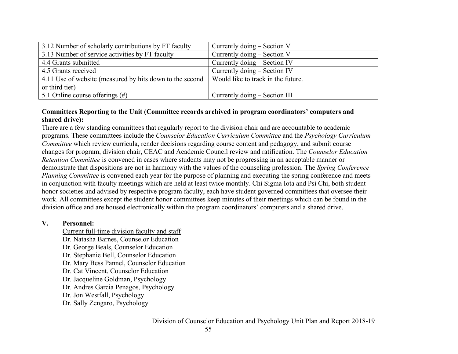| 3.12 Number of scholarly contributions by FT faculty     | Currently doing $-$ Section V      |
|----------------------------------------------------------|------------------------------------|
| 3.13 Number of service activities by FT faculty          | Currently doing $-$ Section V      |
| 4.4 Grants submitted                                     | Currently doing - Section IV       |
| 4.5 Grants received                                      | Currently doing $-$ Section IV     |
| 4.11 Use of website (measured by hits down to the second | Would like to track in the future. |
| or third tier)                                           |                                    |
| 5.1 Online course offerings $(\#)$                       | Currently doing $-$ Section III    |

## **Committees Reporting to the Unit (Committee records archived in program coordinators' computers and shared drive):**

There are a few standing committees that regularly report to the division chair and are accountable to academic programs. These committees include the *Counselor Education Curriculum Committee* and the *Psychology Curriculum Committee* which review curricula, render decisions regarding course content and pedagogy, and submit course changes for program, division chair, CEAC and Academic Council review and ratification. The *Counselor Education Retention Committee* is convened in cases where students may not be progressing in an acceptable manner or demonstrate that dispositions are not in harmony with the values of the counseling profession. The *Spring Conference Planning Committee* is convened each year for the purpose of planning and executing the spring conference and meets in conjunction with faculty meetings which are held at least twice monthly. Chi Sigma Iota and Psi Chi, both student honor societies and advised by respective program faculty, each have student governed committees that oversee their work. All committees except the student honor committees keep minutes of their meetings which can be found in the division office and are housed electronically within the program coordinators' computers and a shared drive.

#### **V. Personnel:**

- Current full-time division faculty and staff Dr. Natasha Barnes, Counselor Education Dr. George Beals, Counselor Education Dr. Stephanie Bell, Counselor Education
- Dr. Mary Bess Pannel, Counselor Education
- Dr. Cat Vincent, Counselor Education
- Dr. Jacqueline Goldman, Psychology
- Dr. Andres Garcia Penagos, Psychology
- Dr. Jon Westfall, Psychology
- Dr. Sally Zengaro, Psychology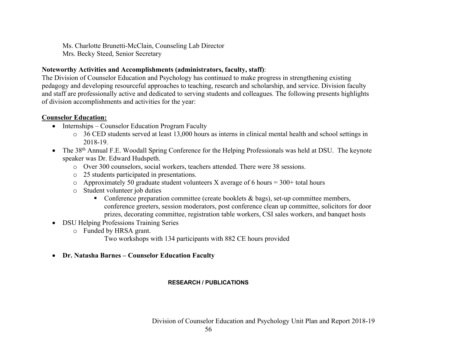Ms. Charlotte Brunetti-McClain, Counseling Lab Director Mrs. Becky Steed, Senior Secretary

## **Noteworthy Activities and Accomplishments (administrators, faculty, staff)**:

The Division of Counselor Education and Psychology has continued to make progress in strengthening existing pedagogy and developing resourceful approaches to teaching, research and scholarship, and service. Division faculty and staff are professionally active and dedicated to serving students and colleagues. The following presents highlights of division accomplishments and activities for the year:

# **Counselor Education:**

- Internships Counselor Education Program Faculty
	- o 36 CED students served at least 13,000 hours as interns in clinical mental health and school settings in 2018-19.
- The 38<sup>th</sup> Annual F.E. Woodall Spring Conference for the Helping Professionals was held at DSU. The keynote speaker was Dr. Edward Hudspeth.
	- o Over 300 counselors, social workers, teachers attended. There were 38 sessions.
	- o 25 students participated in presentations.
	- o Approximately 50 graduate student volunteers X average of 6 hours =  $300+$  total hours
	- o Student volunteer job duties
		- Conference preparation committee (create booklets & bags), set-up committee members, conference greeters, session moderators, post conference clean up committee, solicitors for door prizes, decorating committee, registration table workers, CSI sales workers, and banquet hosts
- DSU Helping Professions Training Series
	- o Funded by HRSA grant.
		- Two workshops with 134 participants with 882 CE hours provided
- **Dr. Natasha Barnes – Counselor Education Faculty**

# **RESEARCH / PUBLICATIONS**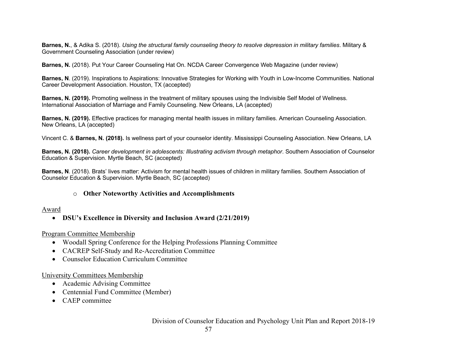**Barnes, N.**, & Adika S. (2018). *Using the structural family counseling theory to resolve depression in military families*. Military & Government Counseling Association (under review)

**Barnes, N.** (2018). Put Your Career Counseling Hat On. NCDA Career Convergence Web Magazine (under review)

**Barnes, N**. (2019). Inspirations to Aspirations: Innovative Strategies for Working with Youth in Low-Income Communities. National Career Development Association. Houston, TX (accepted)

**Barnes, N. (2019).** Promoting wellness in the treatment of military spouses using the Indivisible Self Model of Wellness. International Association of Marriage and Family Counseling. New Orleans, LA (accepted)

**Barnes, N. (2019).** Effective practices for managing mental health issues in military families. American Counseling Association. New Orleans, LA (accepted)

Vincent C. & **Barnes, N. (2018).** Is wellness part of your counselor identity. Mississippi Counseling Association. New Orleans, LA

**Barnes, N. (2018).** *Career development in adolescents: Illustrating activism through metaphor*. Southern Association of Counselor Education & Supervision. Myrtle Beach, SC (accepted)

**Barnes, N**. (2018). Brats' lives matter: Activism for mental health issues of children in military families. Southern Association of Counselor Education & Supervision. Myrtle Beach, SC (accepted)

#### o **Other Noteworthy Activities and Accomplishments**

#### Award

## • **DSU's Excellence in Diversity and Inclusion Award (2/21/2019)**

Program Committee Membership

- Woodall Spring Conference for the Helping Professions Planning Committee
- CACREP Self-Study and Re-Accreditation Committee
- Counselor Education Curriculum Committee

University Committees Membership

- Academic Advising Committee
- Centennial Fund Committee (Member)
- CAEP committee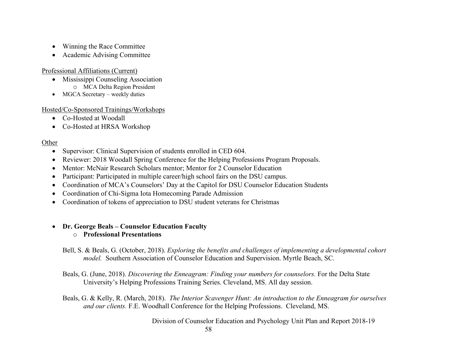- Winning the Race Committee
- Academic Advising Committee

## Professional Affiliations (Current)

- Mississippi Counseling Association o MCA Delta Region President
- MGCA Secretary weekly duties

# Hosted/Co-Sponsored Trainings/Workshops

- Co-Hosted at Woodall
- Co-Hosted at HRSA Workshop

# Other

- Supervisor: Clinical Supervision of students enrolled in CED 604.
- Reviewer: 2018 Woodall Spring Conference for the Helping Professions Program Proposals.
- Mentor: McNair Research Scholars mentor: Mentor for 2 Counselor Education
- Participant: Participated in multiple career/high school fairs on the DSU campus.
- Coordination of MCA's Counselors' Day at the Capitol for DSU Counselor Education Students
- Coordination of Chi-Sigma Iota Homecoming Parade Admission
- Coordination of tokens of appreciation to DSU student veterans for Christmas

# • **Dr. George Beals – Counselor Education Faculty**

o **Professional Presentations**

Bell, S. & Beals, G. (October, 2018). *Exploring the benefits and challenges of implementing a developmental cohort model.* Southern Association of Counselor Education and Supervision. Myrtle Beach, SC.

Beals, G. (June, 2018). *Discovering the Enneagram: Finding your numbers for counselors.* For the Delta State University's Helping Professions Training Series. Cleveland, MS. All day session.

Beals, G. & Kelly, R. (March, 2018). *The Interior Scavenger Hunt: An introduction to the Enneagram for ourselves and our clients.* F.E. Woodhall Conference for the Helping Professions. Cleveland, MS.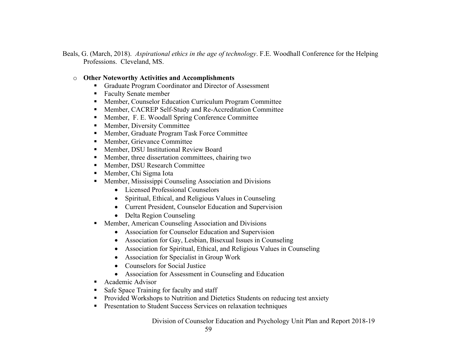- Beals, G. (March, 2018). *Aspirational ethics in the age of technology*. F.E. Woodhall Conference for the Helping Professions. Cleveland, MS.
	- o **Other Noteworthy Activities and Accomplishments**
		- Graduate Program Coordinator and Director of Assessment
		- Faculty Senate member
		- § Member, Counselor Education Curriculum Program Committee
		- Member, CACREP Self-Study and Re-Accreditation Committee
		- Member, F. E. Woodall Spring Conference Committee
		- Member, Diversity Committee
		- Member, Graduate Program Task Force Committee
		- Member, Grievance Committee
		- Member, DSU Institutional Review Board
		- Member, three dissertation committees, chairing two
		- Member, DSU Research Committee
		- Member, Chi Sigma Iota
		- Member, Mississippi Counseling Association and Divisions
			- Licensed Professional Counselors
			- Spiritual, Ethical, and Religious Values in Counseling
			- Current President, Counselor Education and Supervision
			- Delta Region Counseling
		- Member, American Counseling Association and Divisions
			- Association for Counselor Education and Supervision
			- Association for Gay, Lesbian, Bisexual Issues in Counseling
			- Association for Spiritual, Ethical, and Religious Values in Counseling
			- Association for Specialist in Group Work
			- Counselors for Social Justice
			- Association for Assessment in Counseling and Education
		- § Academic Advisor
		- Safe Space Training for faculty and staff
		- Provided Workshops to Nutrition and Dietetics Students on reducing test anxiety
		- Presentation to Student Success Services on relaxation techniques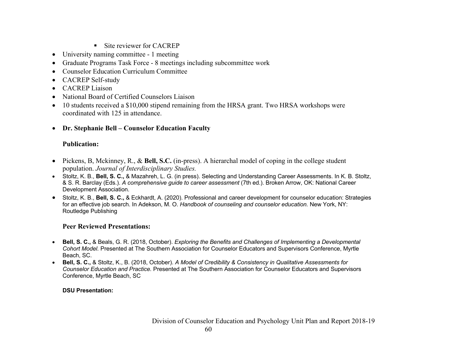- Site reviewer for CACREP
- University naming committee 1 meeting
- Graduate Programs Task Force 8 meetings including subcommittee work
- Counselor Education Curriculum Committee
- CACREP Self-study
- CACREP Liaison
- National Board of Certified Counselors Liaison
- 10 students received a \$10,000 stipend remaining from the HRSA grant. Two HRSA workshops were coordinated with 125 in attendance.
- **Dr. Stephanie Bell – Counselor Education Faculty**

# **Publication:**

- Pickens, B, Mckinney, R., & **Bell, S.C.** (in-press). A hierarchal model of coping in the college student population. *Journal of Interdisciplinary Studies.*
- Stoltz, K. B., **Bell, S. C.,** & Mazahreh, L. G. (in press). Selecting and Understanding Career Assessments. In K. B. Stoltz, & S. R. Barclay (Eds.). *A comprehensive guide to career assessment* (7th ed.). Broken Arrow, OK: National Career Development Association.
- Stoltz, K. B., **Bell, S. C.,** & Eckhardt, A. (2020). Professional and career development for counselor education: Strategies for an effective job search. In Adekson, M. O. *Handbook of counseling and counselor education.* New York, NY: Routledge Publishing

# **Peer Reviewed Presentations:**

- **Bell, S. C.,** & Beals, G. R. (2018, October). *Exploring the Benefits and Challenges of Implementing a Developmental Cohort Model.* Presented at The Southern Association for Counselor Educators and Supervisors Conference, Myrtle Beach, SC.
- **Bell, S. C.,** & Stoltz, K., B. (2018, October). *A Model of Credibility & Consistency in Qualitative Assessments for Counselor Education and Practice.* Presented at The Southern Association for Counselor Educators and Supervisors Conference, Myrtle Beach, SC

## **DSU Presentation:**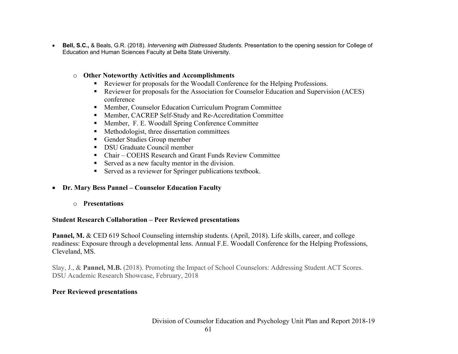• **Bell, S.C.,** & Beals, G.R. (2018). *Intervening with Distressed Students.* Presentation to the opening session for College of Education and Human Sciences Faculty at Delta State University.

#### o **Other Noteworthy Activities and Accomplishments**

- Reviewer for proposals for the Woodall Conference for the Helping Professions.
- Reviewer for proposals for the Association for Counselor Education and Supervision (ACES) conference
- Member, Counselor Education Curriculum Program Committee
- Member, CACREP Self-Study and Re-Accreditation Committee
- Member, F. E. Woodall Spring Conference Committee
- Methodologist, three dissertation committees
- Gender Studies Group member
- DSU Graduate Council member
- Chair COEHS Research and Grant Funds Review Committee
- Served as a new faculty mentor in the division.
- Served as a reviewer for Springer publications textbook.
- **Dr. Mary Bess Pannel – Counselor Education Faculty**
	- o **Presentations**

## **Student Research Collaboration – Peer Reviewed presentations**

**Pannel, M.** & CED 619 School Counseling internship students. (April, 2018). Life skills, career, and college readiness: Exposure through a developmental lens. Annual F.E. Woodall Conference for the Helping Professions, Cleveland, MS.

Slay, J., & **Pannel, M.B.** (2018). Promoting the Impact of School Counselors: Addressing Student ACT Scores. DSU Academic Research Showcase, February, 2018

## **Peer Reviewed presentations**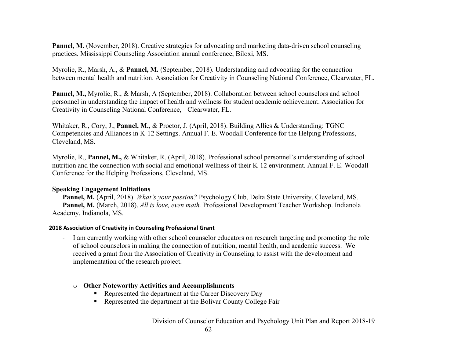**Pannel, M.** (November, 2018). Creative strategies for advocating and marketing data-driven school counseling practices. Mississippi Counseling Association annual conference, Biloxi, MS.

Myrolie, R., Marsh, A., & **Pannel, M.** (September, 2018). Understanding and advocating for the connection between mental health and nutrition. Association for Creativity in Counseling National Conference, Clearwater, FL.

**Pannel, M.,** Myrolie, R., & Marsh, A (September, 2018). Collaboration between school counselors and school personnel in understanding the impact of health and wellness for student academic achievement. Association for Creativity in Counseling National Conference, Clearwater, FL.

Whitaker, R., Cory, J., **Pannel, M.,** & Proctor, J. (April, 2018). Building Allies & Understanding: TGNC Competencies and Alliances in K-12 Settings. Annual F. E. Woodall Conference for the Helping Professions, Cleveland, MS.

Myrolie, R., **Pannel, M.,** & Whitaker, R. (April, 2018). Professional school personnel's understanding of school nutrition and the connection with social and emotional wellness of their K-12 environment. Annual F. E. Woodall Conference for the Helping Professions, Cleveland, MS.

#### **Speaking Engagement Initiations**

**Pannel, M.** (April, 2018). *What's your passion?* Psychology Club, Delta State University, Cleveland, MS. **Pannel, M.** (March, 2018). *All is love, even math.* Professional Development Teacher Workshop. Indianola Academy, Indianola, MS.

#### **2018 Association of Creativity in Counseling Professional Grant**

- I am currently working with other school counselor educators on research targeting and promoting the role of school counselors in making the connection of nutrition, mental health, and academic success. We received a grant from the Association of Creativity in Counseling to assist with the development and implementation of the research project.

#### o **Other Noteworthy Activities and Accomplishments**

- Represented the department at the Career Discovery Day
- Represented the department at the Bolivar County College Fair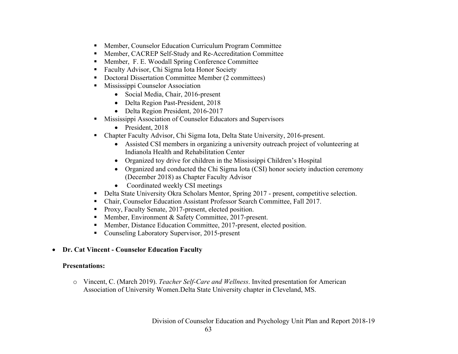- Member, Counselor Education Curriculum Program Committee
- Member, CACREP Self-Study and Re-Accreditation Committee
- Member, F. E. Woodall Spring Conference Committee
- Faculty Advisor, Chi Sigma Iota Honor Society
- Doctoral Dissertation Committee Member (2 committees)
- Mississippi Counselor Association
	- Social Media, Chair, 2016-present
	- Delta Region Past-President, 2018
	- Delta Region President, 2016-2017
- **Mississippi Association of Counselor Educators and Supervisors** 
	- President, 2018
- Chapter Faculty Advisor, Chi Sigma Iota, Delta State University, 2016-present.
	- Assisted CSI members in organizing a university outreach project of volunteering at Indianola Health and Rehabilitation Center
	- Organized toy drive for children in the Mississippi Children's Hospital
	- Organized and conducted the Chi Sigma Iota (CSI) honor society induction ceremony (December 2018) as Chapter Faculty Advisor
	- Coordinated weekly CSI meetings
- Delta State University Okra Scholars Mentor, Spring 2017 present, competitive selection.
- Chair, Counselor Education Assistant Professor Search Committee, Fall 2017.
- Proxy, Faculty Senate, 2017-present, elected position.
- Member, Environment & Safety Committee, 2017-present.
- Member, Distance Education Committee, 2017-present, elected position.
- Counseling Laboratory Supervisor, 2015-present
- **Dr. Cat Vincent - Counselor Education Faculty**

# **Presentations:**

o Vincent, C. (March 2019). *Teacher Self-Care and Wellness*. Invited presentation for American Association of University Women.Delta State University chapter in Cleveland, MS.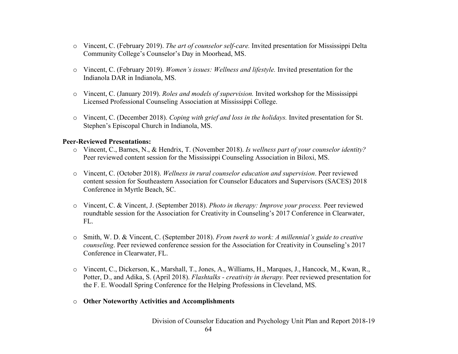- o Vincent, C. (February 2019). *The art of counselor self-care.* Invited presentation for Mississippi Delta Community College's Counselor's Day in Moorhead, MS.
- o Vincent, C. (February 2019). *Women's issues: Wellness and lifestyle.* Invited presentation for the Indianola DAR in Indianola, MS.
- o Vincent, C. (January 2019). *Roles and models of supervision.* Invited workshop for the Mississippi Licensed Professional Counseling Association at Mississippi College.
- o Vincent, C. (December 2018). *Coping with grief and loss in the holidays.* Invited presentation for St. Stephen's Episcopal Church in Indianola, MS.

#### **Peer-Reviewed Presentations:**

- o Vincent, C., Barnes, N., & Hendrix, T. (November 2018). *Is wellness part of your counselor identity?* Peer reviewed content session for the Mississippi Counseling Association in Biloxi, MS.
- o Vincent, C. (October 2018). *Wellness in rural counselor education and supervision*. Peer reviewed content session for Southeastern Association for Counselor Educators and Supervisors (SACES) 2018 Conference in Myrtle Beach, SC.
- o Vincent, C. & Vincent, J. (September 2018). *Photo in therapy: Improve your process.* Peer reviewed roundtable session for the Association for Creativity in Counseling's 2017 Conference in Clearwater, FL.
- o Smith, W. D. & Vincent, C. (September 2018). *From twerk to work: A millennial's guide to creative counseling*. Peer reviewed conference session for the Association for Creativity in Counseling's 2017 Conference in Clearwater, FL.
- o Vincent, C., Dickerson, K., Marshall, T., Jones, A., Williams, H., Marques, J., Hancock, M., Kwan, R., Potter, D., and Adika, S. (April 2018). *Flashtalks - creativity in therapy.* Peer reviewed presentation for the F. E. Woodall Spring Conference for the Helping Professions in Cleveland, MS.
- o **Other Noteworthy Activities and Accomplishments**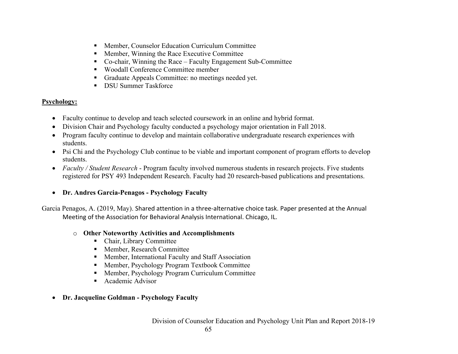- Member, Counselor Education Curriculum Committee
- Member, Winning the Race Executive Committee
- Co-chair, Winning the Race Faculty Engagement Sub-Committee
- Woodall Conference Committee member
- § Graduate Appeals Committee: no meetings needed yet.
- DSU Summer Taskforce

# **Psychology:**

- Faculty continue to develop and teach selected coursework in an online and hybrid format.
- Division Chair and Psychology faculty conducted a psychology major orientation in Fall 2018.
- Program faculty continue to develop and maintain collaborative undergraduate research experiences with students.
- Psi Chi and the Psychology Club continue to be viable and important component of program efforts to develop students.
- *Faculty / Student Research* Program faculty involved numerous students in research projects. Five students registered for PSY 493 Independent Research. Faculty had 20 research-based publications and presentations.
- **Dr. Andres Garcia-Penagos - Psychology Faculty**

Garcia Penagos, A. (2019, May). Shared attention in a three-alternative choice task. Paper presented at the Annual Meeting of the Association for Behavioral Analysis International. Chicago, IL.

# o **Other Noteworthy Activities and Accomplishments**

- Chair, Library Committee
- Member, Research Committee
- Member, International Faculty and Staff Association
- Member, Psychology Program Textbook Committee
- Member, Psychology Program Curriculum Committee
- Academic Advisor
- **Dr. Jacqueline Goldman - Psychology Faculty**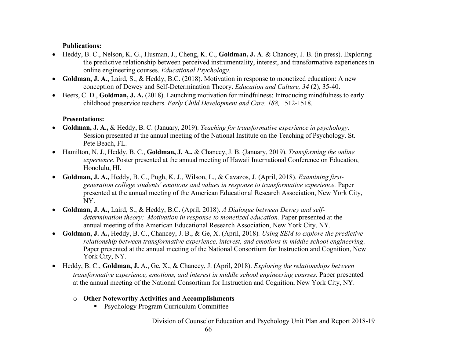## **Publications:**

- Heddy, B. C., Nelson, K. G., Husman, J., Cheng, K. C., **Goldman, J. A**. & Chancey, J. B. (in press). Exploring the predictive relationship between perceived instrumentality, interest, and transformative experiences in online engineering courses. *Educational Psychology*.
- **Goldman, J. A.,** Laird, S., & Heddy, B.C. (2018). Motivation in response to monetized education: A new conception of Dewey and Self-Determination Theory. *Education and Culture, 34* (2), 35-40.
- Beers, C. D., **Goldman, J. A.** (2018). Launching motivation for mindfulness: Introducing mindfulness to early childhood preservice teachers. *Early Child Development and Care, 188,* 1512-1518.

## **Presentations:**

- **Goldman, J. A.,** & Heddy, B. C. (January, 2019). *Teaching for transformative experience in psychology*. Session presented at the annual meeting of the National Institute on the Teaching of Psychology. St. Pete Beach, FL.
- Hamilton, N. J., Heddy, B. C., **Goldman, J. A.,** & Chancey, J. B. (January, 2019). *Transforming the online experience.* Poster presented at the annual meeting of Hawaii International Conference on Education, Honolulu, HI.
- **Goldman, J. A.,** Heddy, B. C., Pugh, K. J., Wilson, L., & Cavazos, J. (April, 2018). *Examining firstgeneration college students' emotions and values in response to transformative experience.* Paper presented at the annual meeting of the American Educational Research Association, New York City, NY.
- **Goldman, J. A.,** Laird, S., & Heddy, B.C. (April, 2018). *A Dialogue between Dewey and selfdetermination theory: Motivation in response to monetized education.* Paper presented at the annual meeting of the American Educational Research Association, New York City, NY.
- **Goldman, J. A.,** Heddy, B. C., Chancey, J. B., & Ge, X. (April, 2018)*. Using SEM to explore the predictive relationship between transformative experience, interest, and emotions in middle school engineering*. Paper presented at the annual meeting of the National Consortium for Instruction and Cognition, New York City, NY.
- Heddy, B. C., **Goldman, J.** A., Ge, X., & Chancey, J. (April, 2018). *Exploring the relationships between transformative experience, emotions, and interest in middle school engineering courses.* Paper presented at the annual meeting of the National Consortium for Instruction and Cognition, New York City, NY.
	- o **Other Noteworthy Activities and Accomplishments**
		- Psychology Program Curriculum Committee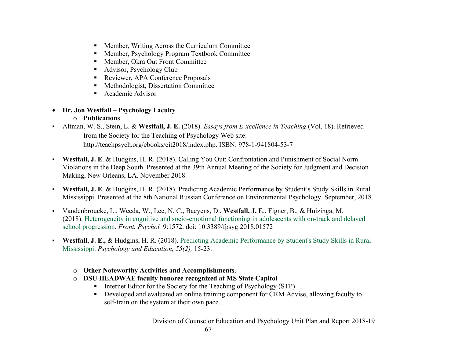- Member, Writing Across the Curriculum Committee
- Member, Psychology Program Textbook Committee
- Member, Okra Out Front Committee
- Advisor, Psychology Club
- Reviewer, APA Conference Proposals
- Methodologist, Dissertation Committee
- Academic Advisor
- **Dr. Jon Westfall – Psychology Faculty**
	- o **Publications**
- § Altman, W. S., Stein, L. & **Westfall, J. E.** (2018). *Essays from E-xcellence in Teaching* (Vol. 18). Retrieved from the Society for the Teaching of Psychology Web site: http://teachpsych.org/ebooks/eit2018/index.php. ISBN: 978-1-941804-53-7
- § **Westfall, J. E**. & Hudgins, H. R. (2018). Calling You Out: Confrontation and Punishment of Social Norm Violations in the Deep South. Presented at the 39th Annual Meeting of the Society for Judgment and Decision Making, New Orleans, LA. November 2018.
- § **Westfall, J. E**. & Hudgins, H. R. (2018). Predicting Academic Performance by Student's Study Skills in Rural Mississippi. Presented at the 8th National Russian Conference on Environmental Psychology. September, 2018.
- § Vandenbroucke, L., Weeda, W., Lee, N. C., Baeyens, D., **Westfall, J. E**., Figner, B., & Huizinga, M. (2018). Heterogeneity in cognitive and socio-emotional functioning in adolescents with on-track and delayed school progression. *Front. Psychol.* 9:1572. doi: 10.3389/fpsyg.2018.01572
- § **Westfall, J. E.,** & Hudgins, H. R. (2018). Predicting Academic Performance by Student's Study Skills in Rural Mississippi. *Psychology and Education, 55(2),* 15-23.
	- o **Other Noteworthy Activities and Accomplishments**.
	- o **DSU HEADWAE faculty honoree recognized at MS State Capitol**
		- Internet Editor for the Society for the Teaching of Psychology (STP)
		- § Developed and evaluated an online training component for CRM Advise, allowing faculty to self-train on the system at their own pace.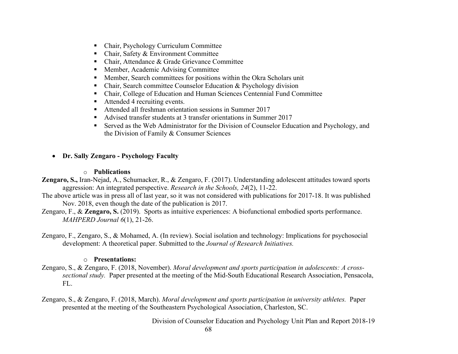- Chair, Psychology Curriculum Committee
- Chair, Safety & Environment Committee
- Chair, Attendance & Grade Grievance Committee
- Member, Academic Advising Committee
- Member, Search committees for positions within the Okra Scholars unit
- Chair, Search committee Counselor Education & Psychology division
- Chair, College of Education and Human Sciences Centennial Fund Committee
- Attended 4 recruiting events.
- Attended all freshman orientation sessions in Summer 2017
- Advised transfer students at 3 transfer orientations in Summer 2017
- Served as the Web Administrator for the Division of Counselor Education and Psychology, and the Division of Family & Consumer Sciences
- **Dr. Sally Zengaro - Psychology Faculty**

#### o **Publications**

**Zengaro, S.,** Iran-Nejad, A., Schumacker, R., & Zengaro, F. (2017). Understanding adolescent attitudes toward sports aggression: An integrated perspective. *Research in the Schools, 24*(2), 11-22.

- The above article was in press all of last year, so it was not considered with publications for 2017-18. It was published Nov. 2018, even though the date of the publication is 2017.
- Zengaro, F., & **Zengaro, S.** (2019). Sports as intuitive experiences: A biofunctional embodied sports performance. *MAHPERD Journal 6*(1), 21-26.
- Zengaro, F., Zengaro, S., & Mohamed, A. (In review). Social isolation and technology: Implications for psychosocial development: A theoretical paper. Submitted to the *Journal of Research Initiatives.*

## o **Presentations:**

- Zengaro, S., & Zengaro, F. (2018, November). *Moral development and sports participation in adolescents: A crosssectional study.* Paper presented at the meeting of the Mid-South Educational Research Association, Pensacola, FL.
- Zengaro, S., & Zengaro, F. (2018, March). *Moral development and sports participation in university athletes.* Paper presented at the meeting of the Southeastern Psychological Association, Charleston, SC.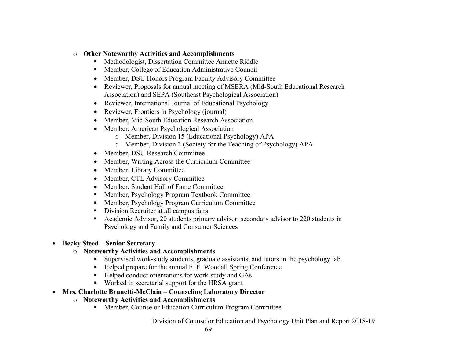- o **Other Noteworthy Activities and Accomplishments**
	- Methodologist, Dissertation Committee Annette Riddle
	- Member, College of Education Administrative Council
	- Member, DSU Honors Program Faculty Advisory Committee
	- Reviewer, Proposals for annual meeting of MSERA (Mid-South Educational Research Association) and SEPA (Southeast Psychological Association)
	- Reviewer, International Journal of Educational Psychology
	- Reviewer, Frontiers in Psychology (journal)
	- Member, Mid-South Education Research Association
	- Member, American Psychological Association
		- o Member, Division 15 (Educational Psychology) APA
		- o Member, Division 2 (Society for the Teaching of Psychology) APA
	- Member, DSU Research Committee
	- Member, Writing Across the Curriculum Committee
	- Member, Library Committee
	- Member, CTL Advisory Committee
	- Member, Student Hall of Fame Committee
	- Member, Psychology Program Textbook Committee
	- Member, Psychology Program Curriculum Committee
	- Division Recruiter at all campus fairs
	- Academic Advisor, 20 students primary advisor, secondary advisor to 220 students in Psychology and Family and Consumer Sciences

# • **Becky Steed – Senior Secretary**

- o **Noteworthy Activities and Accomplishments**
	- Supervised work-study students, graduate assistants, and tutors in the psychology lab.
	- Helped prepare for the annual F. E. Woodall Spring Conference
	- Helped conduct orientations for work-study and GAs
	- Worked in secretarial support for the HRSA grant
- **Mrs. Charlotte Brunetti-McClain – Counseling Laboratory Director**
	- o **Noteworthy Activities and Accomplishments**
		- Member, Counselor Education Curriculum Program Committee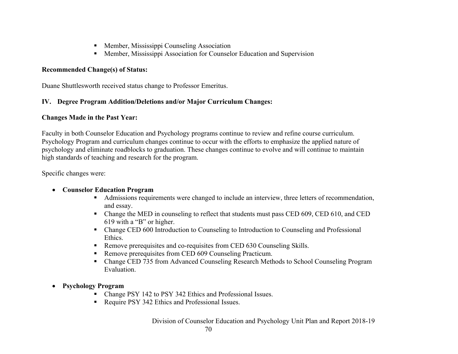- Member, Mississippi Counseling Association
- Member, Mississippi Association for Counselor Education and Supervision

#### **Recommended Change(s) of Status:**

Duane Shuttlesworth received status change to Professor Emeritus.

## **IV. Degree Program Addition/Deletions and/or Major Curriculum Changes:**

#### **Changes Made in the Past Year:**

Faculty in both Counselor Education and Psychology programs continue to review and refine course curriculum. Psychology Program and curriculum changes continue to occur with the efforts to emphasize the applied nature of psychology and eliminate roadblocks to graduation. These changes continue to evolve and will continue to maintain high standards of teaching and research for the program.

Specific changes were:

## • **Counselor Education Program**

- Admissions requirements were changed to include an interview, three letters of recommendation, and essay.
- Change the MED in counseling to reflect that students must pass CED 609, CED 610, and CED 619 with a "B" or higher.
- Change CED 600 Introduction to Counseling to Introduction to Counseling and Professional Ethics.
- Remove prerequisites and co-requisites from CED 630 Counseling Skills.
- Remove prerequisites from CED 609 Counseling Practicum.
- § Change CED 735 from Advanced Counseling Research Methods to School Counseling Program Evaluation.
- **Psychology Program**
	- Change PSY 142 to PSY 342 Ethics and Professional Issues.
	- Require PSY 342 Ethics and Professional Issues.